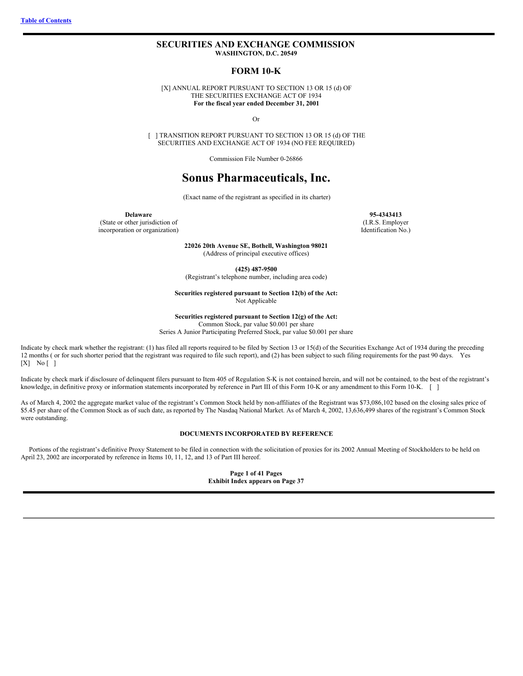## <span id="page-0-0"></span>**SECURITIES AND EXCHANGE COMMISSION WASHINGTON, D.C. 20549**

## **FORM 10-K**

[X] ANNUAL REPORT PURSUANT TO SECTION 13 OR 15 (d) OF THE SECURITIES EXCHANGE ACT OF 1934 **For the fiscal year ended December 31, 2001**

Or

[ ] TRANSITION REPORT PURSUANT TO SECTION 13 OR 15 (d) OF THE SECURITIES AND EXCHANGE ACT OF 1934 (NO FEE REQUIRED)

Commission File Number 0-26866

# **Sonus Pharmaceuticals, Inc.**

(Exact name of the registrant as specified in its charter)

(State or other jurisdiction of incorporation or organization)

> **22026 20th Avenue SE, Bothell, Washington 98021** (Address of principal executive offices)

> > **(425) 487-9500**

(Registrant's telephone number, including area code)

**Securities registered pursuant to Section 12(b) of the Act:** Not Applicable

**Securities registered pursuant to Section 12(g) of the Act:**

Common Stock, par value \$0.001 per share

Series A Junior Participating Preferred Stock, par value \$0.001 per share

Indicate by check mark whether the registrant: (1) has filed all reports required to be filed by Section 13 or 15(d) of the Securities Exchange Act of 1934 during the preceding 12 months ( or for such shorter period that the registrant was required to file such report), and (2) has been subject to such filing requirements for the past 90 days. Yes  $[X]$  No  $[$  ]

Indicate by check mark if disclosure of delinquent filers pursuant to Item 405 of Regulation S-K is not contained herein, and will not be contained, to the best of the registrant's knowledge, in definitive proxy or information statements incorporated by reference in Part III of this Form 10-K or any amendment to this Form 10-K. [ ]

As of March 4, 2002 the aggregate market value of the registrant's Common Stock held by non-affiliates of the Registrant was \$73,086,102 based on the closing sales price of \$5.45 per share of the Common Stock as of such date, as reported by The Nasdaq National Market. As of March 4, 2002, 13,636,499 shares of the registrant's Common Stock were outstanding.

## **DOCUMENTS INCORPORATED BY REFERENCE**

Portions of the registrant's definitive Proxy Statement to be filed in connection with the solicitation of proxies for its 2002 Annual Meeting of Stockholders to be held on April 23, 2002 are incorporated by reference in Items 10, 11, 12, and 13 of Part III hereof.

> **Page 1 of 41 Pages Exhibit Index appears on Page 37**

**Delaware 95-4343413** (I.R.S. Employer Identification No.)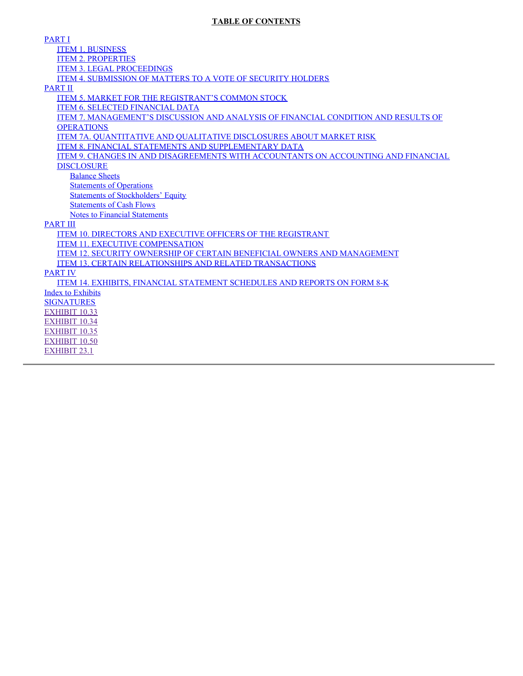## **TABLE OF CONTENTS**

[PART](#page-3-0) I ITEM 1. [BUSINESS](#page-3-1) ITEM 2. [PROPERTIES](#page-14-0) ITEM 3. LEGAL [PROCEEDINGS](#page-14-1) ITEM 4. [SUBMISSION](#page-14-2) OF MATTERS TO A VOTE OF SECURITY HOLDERS [PART](#page-15-0) II ITEM 5. MARKET FOR THE [REGISTRANT'S](#page-15-1) COMMON STOCK ITEM 6. SELECTED [FINANCIAL](#page-16-0) DATA ITEM 7. [MANAGEMENT'S](#page-17-0) DISCUSSION AND ANALYSIS OF FINANCIAL CONDITION AND RESULTS OF **OPERATIONS** ITEM 7A. [QUANTITATIVE](#page-21-0) AND QUALITATIVE DISCLOSURES ABOUT MARKET RISK ITEM 8. FINANCIAL STATEMENTS AND [SUPPLEMENTARY](#page-21-1) DATA ITEM 9. CHANGES IN AND [DISAGREEMENTS](#page-21-2) WITH ACCOUNTANTS ON ACCOUNTING AND FINANCIAL **DISCLOSURE** [Balance](#page-23-0) Sheets **[Statements](#page-24-0) of Operations** Statements of [Stockholders'](#page-25-0) Equity [Statements](#page-26-0) of Cash Flows Notes to Financial [Statements](#page-27-0) [PART](#page-36-0) III ITEM 10. DIRECTORS AND EXECUTIVE OFFICERS OF THE [REGISTRANT](#page-36-1) ITEM 11. EXECUTIVE [COMPENSATION](#page-36-2) ITEM 12. SECURITY OWNERSHIP OF CERTAIN BENEFICIAL OWNERS AND [MANAGEMENT](#page-36-3) ITEM 13. CERTAIN [RELATIONSHIPS](#page-36-4) AND RELATED TRANSACTIONS [PART](#page-37-0) IV ITEM 14. EXHIBITS, FINANCIAL [STATEMENT](#page-37-1) SCHEDULES AND REPORTS ON FORM 8-K Index to [Exhibits](#page-37-2) [SIGNATURES](#page-41-0) [EXHIBIT](#page-46-0) 10.33 [EXHIBIT](#page-54-0) 10.34 [EXHIBIT](#page-61-0) 10.35 [EXHIBIT](#page-68-0) 10.50 [EXHIBIT](#page-71-0) 23.1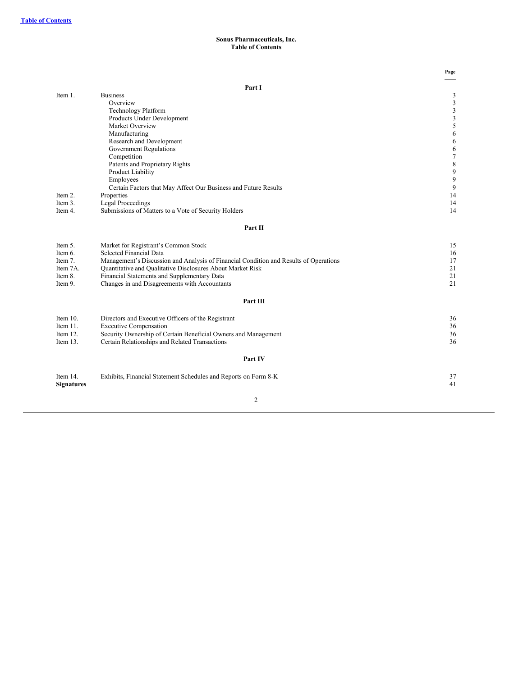## **Sonus Pharmaceuticals, Inc. Table of Contents**

|                   |                                                                                       | Page   |
|-------------------|---------------------------------------------------------------------------------------|--------|
|                   | Part I                                                                                |        |
| Item 1.           | <b>Business</b>                                                                       | 3      |
|                   | Overview                                                                              | 3      |
|                   | Technology Platform                                                                   | 3      |
|                   | Products Under Development                                                            | 3      |
|                   | Market Overview                                                                       | 5      |
|                   | Manufacturing                                                                         | 6      |
|                   | Research and Development                                                              | 6      |
|                   | <b>Government Regulations</b>                                                         | 6      |
|                   | Competition                                                                           | $\tau$ |
|                   | Patents and Proprietary Rights                                                        | 8      |
|                   | Product Liability                                                                     | 9      |
|                   | Employees                                                                             | 9      |
|                   | Certain Factors that May Affect Our Business and Future Results                       | 9      |
| Item 2.           | Properties                                                                            | 14     |
| Item 3.           | <b>Legal Proceedings</b>                                                              | 14     |
| Item 4.           | Submissions of Matters to a Vote of Security Holders                                  | 14     |
|                   | Part II                                                                               |        |
| Item 5.           | Market for Registrant's Common Stock                                                  | 15     |
| Item 6.           | Selected Financial Data                                                               | 16     |
| Item 7.           | Management's Discussion and Analysis of Financial Condition and Results of Operations | 17     |
| Item 7A.          | Quantitative and Qualitative Disclosures About Market Risk                            | 21     |
| Item 8.           | Financial Statements and Supplementary Data                                           | 21     |
| Item 9.           | Changes in and Disagreements with Accountants                                         | 21     |
|                   | Part III                                                                              |        |
|                   |                                                                                       |        |
| Item $10$ .       | Directors and Executive Officers of the Registrant                                    | 36     |
| Item $11$ .       | <b>Executive Compensation</b>                                                         | 36     |
| Item 12.          | Security Ownership of Certain Beneficial Owners and Management                        | 36     |
| Item $13.$        | Certain Relationships and Related Transactions                                        | 36     |
|                   | Part IV                                                                               |        |
| Item 14.          | Exhibits, Financial Statement Schedules and Reports on Form 8-K                       | 37     |
| <b>Signatures</b> |                                                                                       | 41     |
|                   |                                                                                       |        |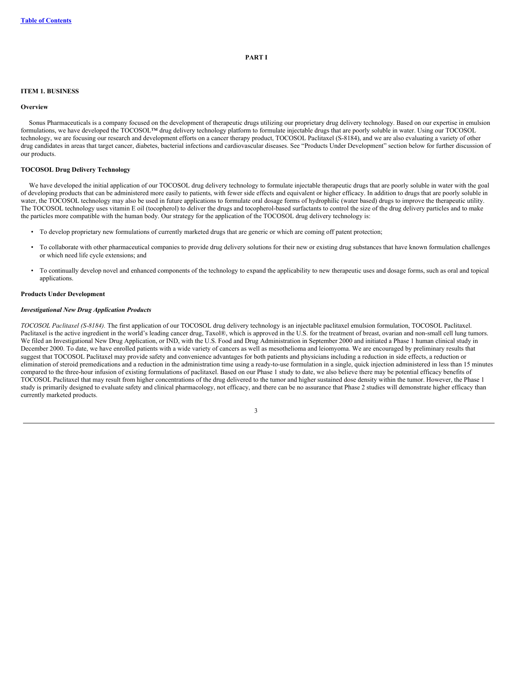## **PART I**

### <span id="page-3-1"></span><span id="page-3-0"></span>**ITEM 1. BUSINESS**

### **Overview**

Sonus Pharmaceuticals is a company focused on the development of therapeutic drugs utilizing our proprietary drug delivery technology. Based on our expertise in emulsion formulations, we have developed the TOCOSOL™ drug delivery technology platform to formulate injectable drugs that are poorly soluble in water. Using our TOCOSOL technology, we are focusing our research and development efforts on a cancer therapy product, TOCOSOL Paclitaxel (S-8184), and we are also evaluating a variety of other drug candidates in areas that target cancer, diabetes, bacterial infections and cardiovascular diseases. See "Products Under Development" section below for further discussion of our products.

## **TOCOSOL Drug Delivery Technology**

We have developed the initial application of our TOCOSOL drug delivery technology to formulate injectable therapeutic drugs that are poorly soluble in water with the goal of developing products that can be administered more easily to patients, with fewer side effects and equivalent or higher efficacy. In addition to drugs that are poorly soluble in water, the TOCOSOL technology may also be used in future applications to formulate oral dosage forms of hydrophilic (water based) drugs to improve the therapeutic utility. The TOCOSOL technology uses vitamin E oil (tocopherol) to deliver the drugs and tocopherol-based surfactants to control the size of the drug delivery particles and to make the particles more compatible with the human body. Our strategy for the application of the TOCOSOL drug delivery technology is:

- To develop proprietary new formulations of currently marketed drugs that are generic or which are coming off patent protection;
- To collaborate with other pharmaceutical companies to provide drug delivery solutions for their new or existing drug substances that have known formulation challenges or which need life cycle extensions; and
- To continually develop novel and enhanced components of the technology to expand the applicability to new therapeutic uses and dosage forms, such as oral and topical applications.

## **Products Under Development**

### *Investigational New Drug Application Products*

*TOCOSOL Paclitaxel (S-8184).* The first application of our TOCOSOL drug delivery technology is an injectable paclitaxel emulsion formulation, TOCOSOL Paclitaxel. Paclitaxel is the active ingredient in the world's leading cancer drug, Taxol®, which is approved in the U.S. for the treatment of breast, ovarian and non-small cell lung tumors. We filed an Investigational New Drug Application, or IND, with the U.S. Food and Drug Administration in September 2000 and initiated a Phase 1 human clinical study in December 2000. To date, we have enrolled patients with a wide variety of cancers as well as mesothelioma and leiomyoma. We are encouraged by preliminary results that suggest that TOCOSOL Paclitaxel may provide safety and convenience advantages for both patients and physicians including a reduction in side effects, a reduction or elimination of steroid premedications and a reduction in the administration time using a ready-to-use formulation in a single, quick injection administered in less than 15 minutes compared to the three-hour infusion of existing formulations of paclitaxel. Based on our Phase 1 study to date, we also believe there may be potential efficacy benefits of TOCOSOL Paclitaxel that may result from higher concentrations of the drug delivered to the tumor and higher sustained dose density within the tumor. However, the Phase 1 study is primarily designed to evaluate safety and clinical pharmacology, not efficacy, and there can be no assurance that Phase 2 studies will demonstrate higher efficacy than currently marketed products.

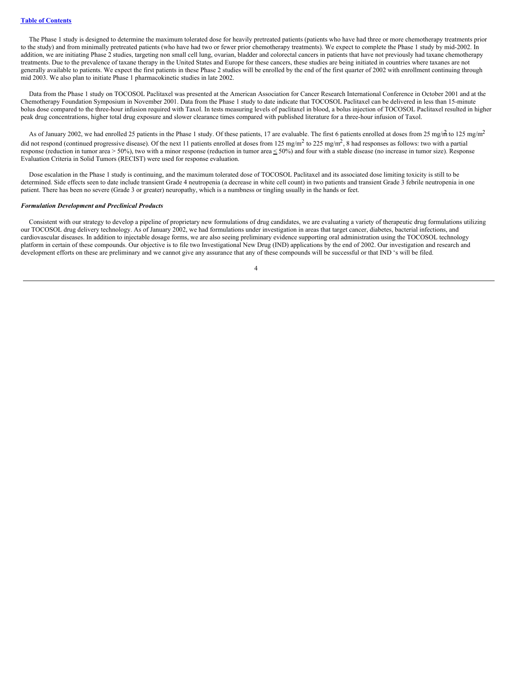The Phase 1 study is designed to determine the maximum tolerated dose for heavily pretreated patients (patients who have had three or more chemotherapy treatments prior to the study) and from minimally pretreated patients (who have had two or fewer prior chemotherapy treatments). We expect to complete the Phase 1 study by mid-2002. In addition, we are initiating Phase 2 studies, targeting non small cell lung, ovarian, bladder and colorectal cancers in patients that have not previously had taxane chemotherapy treatments. Due to the prevalence of taxane therapy in the United States and Europe for these cancers, these studies are being initiated in countries where taxanes are not generally available to patients. We expect the first patients in these Phase 2 studies will be enrolled by the end of the first quarter of 2002 with enrollment continuing through mid 2003. We also plan to initiate Phase 1 pharmacokinetic studies in late 2002.

Data from the Phase 1 study on TOCOSOL Paclitaxel was presented at the American Association for Cancer Research International Conference in October 2001 and at the Chemotherapy Foundation Symposium in November 2001. Data from the Phase 1 study to date indicate that TOCOSOL Paclitaxel can be delivered in less than 15-minute bolus dose compared to the three-hour infusion required with Taxol. In tests measuring levels of paclitaxel in blood, a bolus injection of TOCOSOL Paclitaxel resulted in higher peak drug concentrations, higher total drug exposure and slower clearance times compared with published literature for a three-hour infusion of Taxol.

As of January 2002, we had enrolled 25 patients in the Phase 1 study. Of these patients, 17 are evaluable. The first 6 patients enrolled at doses from 25 mg/m<sup>2</sup> to 125 mg/m<sup>2</sup> did not respond (continued progressive disease). Of the next 11 patients enrolled at doses from 125 mg/m<sup>2</sup> to 225 mg/m<sup>2</sup>, 8 had responses as follows: two with a partial response (reduction in tumor area  $> 50\%$ ), two with a minor response (reduction in tumor area  $\leq 50\%$ ) and four with a stable disease (no increase in tumor size). Response Evaluation Criteria in Solid Tumors (RECIST) were used for response evaluation.

Dose escalation in the Phase 1 study is continuing, and the maximum tolerated dose of TOCOSOL Paclitaxel and its associated dose limiting toxicity is still to be determined. Side effects seen to date include transient Grade 4 neutropenia (a decrease in white cell count) in two patients and transient Grade 3 febrile neutropenia in one patient. There has been no severe (Grade 3 or greater) neuropathy, which is a numbness or tingling usually in the hands or feet.

## *Formulation Development and Preclinical Products*

Consistent with our strategy to develop a pipeline of proprietary new formulations of drug candidates, we are evaluating a variety of therapeutic drug formulations utilizing our TOCOSOL drug delivery technology. As of January 2002, we had formulations under investigation in areas that target cancer, diabetes, bacterial infections, and cardiovascular diseases. In addition to injectable dosage forms, we are also seeing preliminary evidence supporting oral administration using the TOCOSOL technology platform in certain of these compounds. Our objective is to file two Investigational New Drug (IND) applications by the end of 2002. Our investigation and research and development efforts on these are preliminary and we cannot give any assurance that any of these compounds will be successful or that IND 's will be filed.

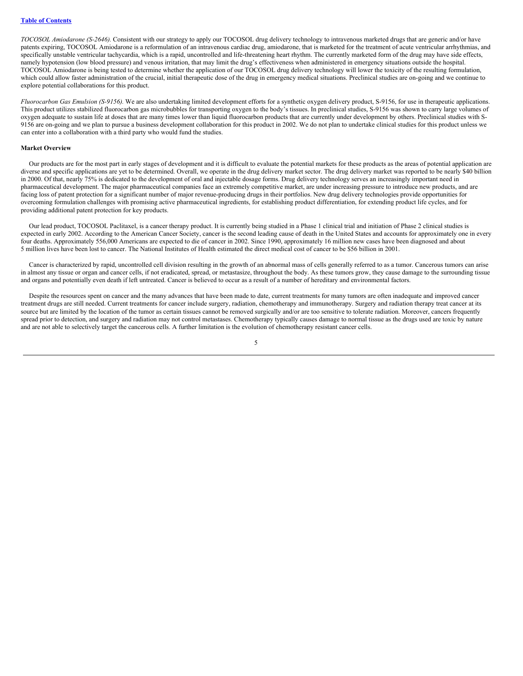*TOCOSOL Amiodarone (S-2646).* Consistent with our strategy to apply our TOCOSOL drug delivery technology to intravenous marketed drugs that are generic and/or have patents expiring, TOCOSOL Amiodarone is a reformulation of an intravenous cardiac drug, amiodarone, that is marketed for the treatment of acute ventricular arrhythmias, and specifically unstable ventricular tachycardia, which is a rapid, uncontrolled and life-threatening heart rhythm. The currently marketed form of the drug may have side effects, namely hypotension (low blood pressure) and venous irritation, that may limit the drug's effectiveness when administered in emergency situations outside the hospital. TOCOSOL Amiodarone is being tested to determine whether the application of our TOCOSOL drug delivery technology will lower the toxicity of the resulting formulation, which could allow faster administration of the crucial, initial therapeutic dose of the drug in emergency medical situations. Preclinical studies are on-going and we continue to explore potential collaborations for this product.

*Fluorocarbon Gas Emulsion (S-9156).* We are also undertaking limited development efforts for a synthetic oxygen delivery product, S-9156, for use in therapeutic applications. This product utilizes stabilized fluorocarbon gas microbubbles for transporting oxygen to the body's tissues. In preclinical studies, S-9156 was shown to carry large volumes of oxygen adequate to sustain life at doses that are many times lower than liquid fluorocarbon products that are currently under development by others. Preclinical studies with S-9156 are on-going and we plan to pursue a business development collaboration for this product in 2002. We do not plan to undertake clinical studies for this product unless we can enter into a collaboration with a third party who would fund the studies.

#### **Market Overview**

Our products are for the most part in early stages of development and it is difficult to evaluate the potential markets for these products as the areas of potential application are diverse and specific applications are yet to be determined. Overall, we operate in the drug delivery market sector. The drug delivery market was reported to be nearly \$40 billion in 2000. Of that, nearly 75% is dedicated to the development of oral and injectable dosage forms. Drug delivery technology serves an increasingly important need in pharmaceutical development. The major pharmaceutical companies face an extremely competitive market, are under increasing pressure to introduce new products, and are facing loss of patent protection for a significant number of major revenue-producing drugs in their portfolios. New drug delivery technologies provide opportunities for overcoming formulation challenges with promising active pharmaceutical ingredients, for establishing product differentiation, for extending product life cycles, and for providing additional patent protection for key products.

Our lead product, TOCOSOL Paclitaxel, is a cancer therapy product. It is currently being studied in a Phase 1 clinical trial and initiation of Phase 2 clinical studies is expected in early 2002. According to the American Cancer Society, cancer is the second leading cause of death in the United States and accounts for approximately one in every four deaths. Approximately 556,000 Americans are expected to die of cancer in 2002. Since 1990, approximately 16 million new cases have been diagnosed and about 5 million lives have been lost to cancer. The National Institutes of Health estimated the direct medical cost of cancer to be \$56 billion in 2001.

Cancer is characterized by rapid, uncontrolled cell division resulting in the growth of an abnormal mass of cells generally referred to as a tumor. Cancerous tumors can arise in almost any tissue or organ and cancer cells, if not eradicated, spread, or metastasize, throughout the body. As these tumors grow, they cause damage to the surrounding tissue and organs and potentially even death if left untreated. Cancer is believed to occur as a result of a number of hereditary and environmental factors.

Despite the resources spent on cancer and the many advances that have been made to date, current treatments for many tumors are often inadequate and improved cancer treatment drugs are still needed. Current treatments for cancer include surgery, radiation, chemotherapy and immunotherapy. Surgery and radiation therapy treat cancer at its source but are limited by the location of the tumor as certain tissues cannot be removed surgically and/or are too sensitive to tolerate radiation. Moreover, cancers frequently spread prior to detection, and surgery and radiation may not control metastases. Chemotherapy typically causes damage to normal tissue as the drugs used are toxic by nature and are not able to selectively target the cancerous cells. A further limitation is the evolution of chemotherapy resistant cancer cells.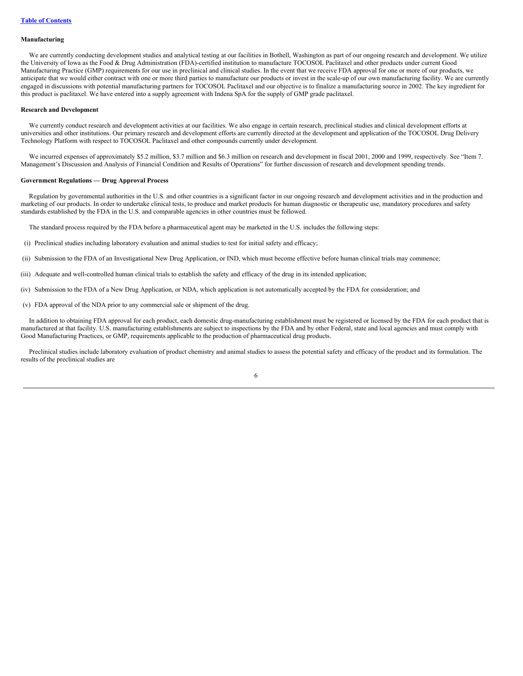#### **Manufacturing**

We are currently conducting development studies and analytical testing at our facilities in Bothell, Washington as part of our ongoing research and development. We utilize the University of Iowa as the Food & Drug Administration (FDA)-certified institution to manufacture TOCOSOL Paclitaxel and other products under current Good Manufacturing Practice (GMP) requirements for our use in preclinical and clinical studies. In the event that we receive FDA approval for one or more of our products, we anticipate that we would either contract with one or more third parties to manufacture our products or invest in the scale-up of our own manufacturing facility. We are currently engaged in discussions with potential manufacturing partners for TOCOSOL Paclitaxel and our objective is to finalize a manufacturing source in 2002. The key ingredient for this product is paclitaxel. We have entered into a supply agreement with Indena SpA for the supply of GMP grade paclitaxel.

#### **Research and Development**

We currently conduct research and development activities at our facilities. We also engage in certain research, preclinical studies and clinical development efforts at universities and other institutions. Our primary research and development efforts are currently directed at the development and application of the TOCOSOL Drug Delivery Technology Platform with respect to TOCOSOL Paclitaxel and other compounds currently under development.

We incurred expenses of approximately \$5.2 million, \$3.7 million and \$6.3 million on research and development in fiscal 2001, 2000 and 1999, respectively. See "Item 7. Management's Discussion and Analysis of Financial Condition and Results of Operations" for further discussion of research and development spending trends.

#### **Government Regulations — Drug Approval Process**

Regulation by governmental authorities in the U.S. and other countries is a significant factor in our ongoing research and development activities and in the production and marketing of our products. In order to undertake clinical tests, to produce and market products for human diagnostic or therapeutic use, mandatory procedures and safety standards established by the FDA in the U.S. and comparable agencies in other countries must be followed.

The standard process required by the FDA before a pharmaceutical agent may be marketed in the U.S. includes the following steps:

- (i) Preclinical studies including laboratory evaluation and animal studies to test for initial safety and efficacy;
- (ii) Submission to the FDA of an Investigational New Drug Application, or IND, which must become effective before human clinical trials may commence;
- (iii) Adequate and well-controlled human clinical trials to establish the safety and efficacy of the drug in its intended application;
- (iv) Submission to the FDA of a New Drug Application, or NDA, which application is not automatically accepted by the FDA for consideration; and
- (v) FDA approval of the NDA prior to any commercial sale or shipment of the drug.

In addition to obtaining FDA approval for each product, each domestic drug-manufacturing establishment must be registered or licensed by the FDA for each product that is manufactured at that facility. U.S. manufacturing establishments are subject to inspections by the FDA and by other Federal, state and local agencies and must comply with Good Manufacturing Practices, or GMP, requirements applicable to the production of pharmaceutical drug products.

Preclinical studies include laboratory evaluation of product chemistry and animal studies to assess the potential safety and efficacy of the product and its formulation. The results of the preclinical studies are

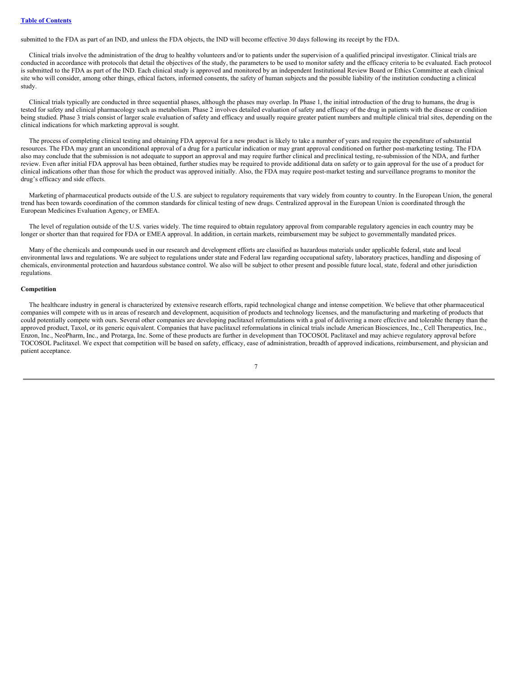submitted to the FDA as part of an IND, and unless the FDA objects, the IND will become effective 30 days following its receipt by the FDA.

Clinical trials involve the administration of the drug to healthy volunteers and/or to patients under the supervision of a qualified principal investigator. Clinical trials are conducted in accordance with protocols that detail the objectives of the study, the parameters to be used to monitor safety and the efficacy criteria to be evaluated. Each protocol is submitted to the FDA as part of the IND. Each clinical study is approved and monitored by an independent Institutional Review Board or Ethics Committee at each clinical site who will consider, among other things, ethical factors, informed consents, the safety of human subjects and the possible liability of the institution conducting a clinical study.

Clinical trials typically are conducted in three sequential phases, although the phases may overlap. In Phase 1, the initial introduction of the drug to humans, the drug is tested for safety and clinical pharmacology such as metabolism. Phase 2 involves detailed evaluation of safety and efficacy of the drug in patients with the disease or condition being studied. Phase 3 trials consist of larger scale evaluation of safety and efficacy and usually require greater patient numbers and multiple clinical trial sites, depending on the clinical indications for which marketing approval is sought.

The process of completing clinical testing and obtaining FDA approval for a new product is likely to take a number of years and require the expenditure of substantial resources. The FDA may grant an unconditional approval of a drug for a particular indication or may grant approval conditioned on further post-marketing testing. The FDA also may conclude that the submission is not adequate to support an approval and may require further clinical and preclinical testing, re-submission of the NDA, and further review. Even after initial FDA approval has been obtained, further studies may be required to provide additional data on safety or to gain approval for the use of a product for clinical indications other than those for which the product was approved initially. Also, the FDA may require post-market testing and surveillance programs to monitor the drug's efficacy and side effects.

Marketing of pharmaceutical products outside of the U.S. are subject to regulatory requirements that vary widely from country to country. In the European Union, the general trend has been towards coordination of the common standards for clinical testing of new drugs. Centralized approval in the European Union is coordinated through the European Medicines Evaluation Agency, or EMEA.

The level of regulation outside of the U.S. varies widely. The time required to obtain regulatory approval from comparable regulatory agencies in each country may be longer or shorter than that required for FDA or EMEA approval. In addition, in certain markets, reimbursement may be subject to governmentally mandated prices.

Many of the chemicals and compounds used in our research and development efforts are classified as hazardous materials under applicable federal, state and local environmental laws and regulations. We are subject to regulations under state and Federal law regarding occupational safety, laboratory practices, handling and disposing of chemicals, environmental protection and hazardous substance control. We also will be subject to other present and possible future local, state, federal and other jurisdiction regulations.

## **Competition**

The healthcare industry in general is characterized by extensive research efforts, rapid technological change and intense competition. We believe that other pharmaceutical companies will compete with us in areas of research and development, acquisition of products and technology licenses, and the manufacturing and marketing of products that could potentially compete with ours. Several other companies are developing paclitaxel reformulations with a goal of delivering a more effective and tolerable therapy than the approved product, Taxol, or its generic equivalent. Companies that have paclitaxel reformulations in clinical trials include American Biosciences, Inc., Cell Therapeutics, Inc., Enzon, Inc., NeoPharm, Inc., and Protarga, Inc. Some of these products are further in development than TOCOSOL Paclitaxel and may achieve regulatory approval before TOCOSOL Paclitaxel. We expect that competition will be based on safety, efficacy, ease of administration, breadth of approved indications, reimbursement, and physician and patient acceptance.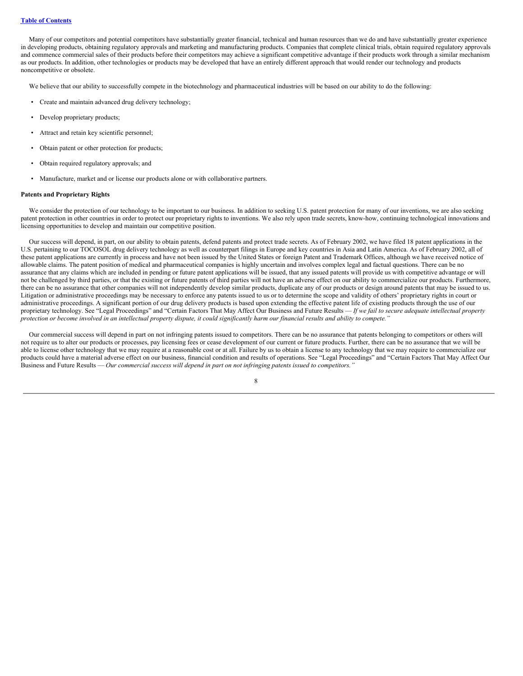Many of our competitors and potential competitors have substantially greater financial, technical and human resources than we do and have substantially greater experience in developing products, obtaining regulatory approvals and marketing and manufacturing products. Companies that complete clinical trials, obtain required regulatory approvals and commence commercial sales of their products before their competitors may achieve a significant competitive advantage if their products work through a similar mechanism as our products. In addition, other technologies or products may be developed that have an entirely different approach that would render our technology and products noncompetitive or obsolete.

We believe that our ability to successfully compete in the biotechnology and pharmaceutical industries will be based on our ability to do the following:

- Create and maintain advanced drug delivery technology;
- Develop proprietary products;
- Attract and retain key scientific personnel;
- Obtain patent or other protection for products;
- Obtain required regulatory approvals; and
- Manufacture, market and or license our products alone or with collaborative partners.

### **Patents and Proprietary Rights**

We consider the protection of our technology to be important to our business. In addition to seeking U.S. patent protection for many of our inventions, we are also seeking patent protection in other countries in order to protect our proprietary rights to inventions. We also rely upon trade secrets, know-how, continuing technological innovations and licensing opportunities to develop and maintain our competitive position.

Our success will depend, in part, on our ability to obtain patents, defend patents and protect trade secrets. As of February 2002, we have filed 18 patent applications in the U.S. pertaining to our TOCOSOL drug delivery technology as well as counterpart filings in Europe and key countries in Asia and Latin America. As of February 2002, all of these patent applications are currently in process and have not been issued by the United States or foreign Patent and Trademark Offices, although we have received notice of allowable claims. The patent position of medical and pharmaceutical companies is highly uncertain and involves complex legal and factual questions. There can be no assurance that any claims which are included in pending or future patent applications will be issued, that any issued patents will provide us with competitive advantage or will not be challenged by third parties, or that the existing or future patents of third parties will not have an adverse effect on our ability to commercialize our products. Furthermore, there can be no assurance that other companies will not independently develop similar products, duplicate any of our products or design around patents that may be issued to us. Litigation or administrative proceedings may be necessary to enforce any patents issued to us or to determine the scope and validity of others' proprietary rights in court or administrative proceedings. A significant portion of our drug delivery products is based upon extending the effective patent life of existing products through the use of our proprietary technology. See "Legal Proceedings" and "Certain Factors That May Affect Our Business and Future Results - If we fail to secure adequate intellectual property protection or become involved in an intellectual property dispute, it could significantly harm our financial results and ability to compete."

Our commercial success will depend in part on not infringing patents issued to competitors. There can be no assurance that patents belonging to competitors or others will not require us to alter our products or processes, pay licensing fees or cease development of our current or future products. Further, there can be no assurance that we will be able to license other technology that we may require at a reasonable cost or at all. Failure by us to obtain a license to any technology that we may require to commercialize our products could have a material adverse effect on our business, financial condition and results of operations. See "Legal Proceedings" and "Certain Factors That May Affect Our Business and Future Results — *Our commercial success will depend in part on not infringing patents issued to competitors."*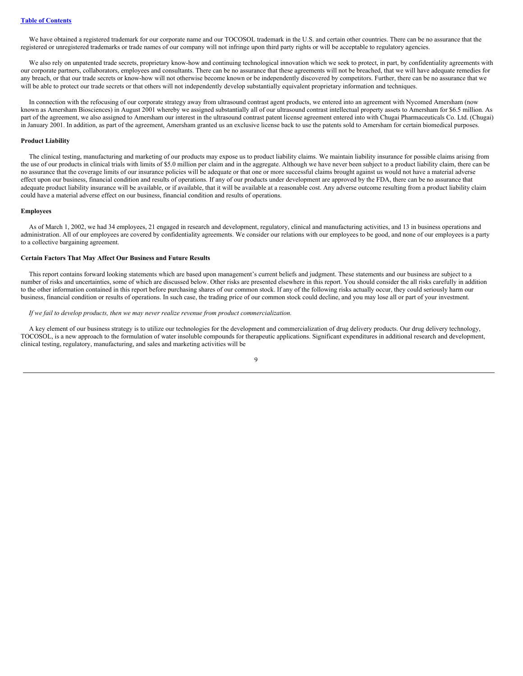We have obtained a registered trademark for our corporate name and our TOCOSOL trademark in the U.S. and certain other countries. There can be no assurance that the registered or unregistered trademarks or trade names of our company will not infringe upon third party rights or will be acceptable to regulatory agencies.

We also rely on unpatented trade secrets, proprietary know-how and continuing technological innovation which we seek to protect, in part, by confidentiality agreements with our corporate partners, collaborators, employees and consultants. There can be no assurance that these agreements will not be breached, that we will have adequate remedies for any breach, or that our trade secrets or know-how will not otherwise become known or be independently discovered by competitors. Further, there can be no assurance that we will be able to protect our trade secrets or that others will not independently develop substantially equivalent proprietary information and techniques.

In connection with the refocusing of our corporate strategy away from ultrasound contrast agent products, we entered into an agreement with Nycomed Amersham (now known as Amersham Biosciences) in August 2001 whereby we assigned substantially all of our ultrasound contrast intellectual property assets to Amersham for \$6.5 million. As part of the agreement, we also assigned to Amersham our interest in the ultrasound contrast patent license agreement entered into with Chugai Pharmaceuticals Co. Ltd. (Chugai) in January 2001. In addition, as part of the agreement, Amersham granted us an exclusive license back to use the patents sold to Amersham for certain biomedical purposes.

#### **Product Liability**

The clinical testing, manufacturing and marketing of our products may expose us to product liability claims. We maintain liability insurance for possible claims arising from the use of our products in clinical trials with limits of \$5.0 million per claim and in the aggregate. Although we have never been subject to a product liability claim, there can be no assurance that the coverage limits of our insurance policies will be adequate or that one or more successful claims brought against us would not have a material adverse effect upon our business, financial condition and results of operations. If any of our products under development are approved by the FDA, there can be no assurance that adequate product liability insurance will be available, or if available, that it will be available at a reasonable cost. Any adverse outcome resulting from a product liability claim could have a material adverse effect on our business, financial condition and results of operations.

#### **Employees**

As of March 1, 2002, we had 34 employees, 21 engaged in research and development, regulatory, clinical and manufacturing activities, and 13 in business operations and administration. All of our employees are covered by confidentiality agreements. We consider our relations with our employees to be good, and none of our employees is a party to a collective bargaining agreement.

## **Certain Factors That May Affect Our Business and Future Results**

This report contains forward looking statements which are based upon management's current beliefs and judgment. These statements and our business are subject to a number of risks and uncertainties, some of which are discussed below. Other risks are presented elsewhere in this report. You should consider the all risks carefully in addition to the other information contained in this report before purchasing shares of our common stock. If any of the following risks actually occur, they could seriously harm our business, financial condition or results of operations. In such case, the trading price of our common stock could decline, and you may lose all or part of your investment.

### *If we fail to develop products, then we may never realize revenue from product commercialization.*

A key element of our business strategy is to utilize our technologies for the development and commercialization of drug delivery products. Our drug delivery technology, TOCOSOL, is a new approach to the formulation of water insoluble compounds for therapeutic applications. Significant expenditures in additional research and development, clinical testing, regulatory, manufacturing, and sales and marketing activities will be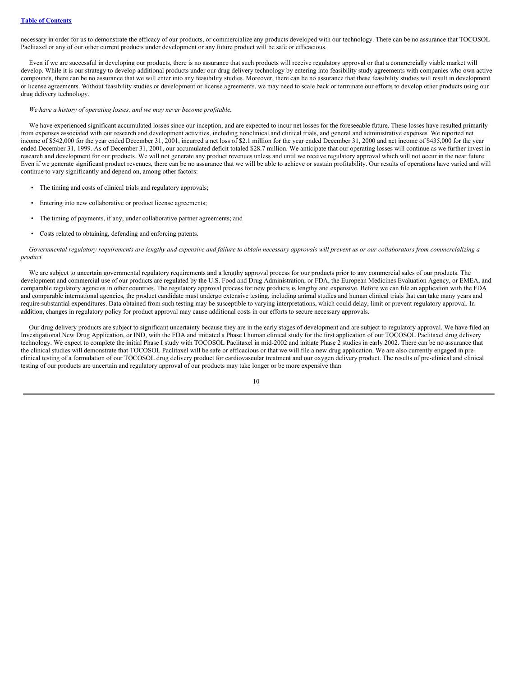necessary in order for us to demonstrate the efficacy of our products, or commercialize any products developed with our technology. There can be no assurance that TOCOSOL Paclitaxel or any of our other current products under development or any future product will be safe or efficacious.

Even if we are successful in developing our products, there is no assurance that such products will receive regulatory approval or that a commercially viable market will develop. While it is our strategy to develop additional products under our drug delivery technology by entering into feasibility study agreements with companies who own active compounds, there can be no assurance that we will enter into any feasibility studies. Moreover, there can be no assurance that these feasibility studies will result in development or license agreements. Without feasibility studies or development or license agreements, we may need to scale back or terminate our efforts to develop other products using our drug delivery technology.

#### *We have a history of operating losses, and we may never become profitable.*

We have experienced significant accumulated losses since our inception, and are expected to incur net losses for the foreseeable future. These losses have resulted primarily from expenses associated with our research and development activities, including nonclinical and clinical trials, and general and administrative expenses. We reported net income of \$542,000 for the year ended December 31, 2001, incurred a net loss of \$2.1 million for the year ended December 31, 2000 and net income of \$435,000 for the year ended December 31, 1999. As of December 31, 2001, our accumulated deficit totaled \$28.7 million. We anticipate that our operating losses will continue as we further invest in research and development for our products. We will not generate any product revenues unless and until we receive regulatory approval which will not occur in the near future. Even if we generate significant product revenues, there can be no assurance that we will be able to achieve or sustain profitability. Our results of operations have varied and will continue to vary significantly and depend on, among other factors:

- The timing and costs of clinical trials and regulatory approvals;
- Entering into new collaborative or product license agreements;
- The timing of payments, if any, under collaborative partner agreements; and
- Costs related to obtaining, defending and enforcing patents.

Governmental regulatory requirements are lengthy and expensive and failure to obtain necessary approvals will prevent us or our collaborators from commercializing a *product.*

We are subject to uncertain governmental regulatory requirements and a lengthy approval process for our products prior to any commercial sales of our products. The development and commercial use of our products are regulated by the U.S. Food and Drug Administration, or FDA, the European Medicines Evaluation Agency, or EMEA, and comparable regulatory agencies in other countries. The regulatory approval process for new products is lengthy and expensive. Before we can file an application with the FDA and comparable international agencies, the product candidate must undergo extensive testing, including animal studies and human clinical trials that can take many years and require substantial expenditures. Data obtained from such testing may be susceptible to varying interpretations, which could delay, limit or prevent regulatory approval. In addition, changes in regulatory policy for product approval may cause additional costs in our efforts to secure necessary approvals.

Our drug delivery products are subject to significant uncertainty because they are in the early stages of development and are subject to regulatory approval. We have filed an Investigational New Drug Application, or IND, with the FDA and initiated a Phase I human clinical study for the first application of our TOCOSOL Paclitaxel drug delivery technology. We expect to complete the initial Phase I study with TOCOSOL Paclitaxel in mid-2002 and initiate Phase 2 studies in early 2002. There can be no assurance that the clinical studies will demonstrate that TOCOSOL Paclitaxel will be safe or efficacious or that we will file a new drug application. We are also currently engaged in preclinical testing of a formulation of our TOCOSOL drug delivery product for cardiovascular treatment and our oxygen delivery product. The results of pre-clinical and clinical testing of our products are uncertain and regulatory approval of our products may take longer or be more expensive than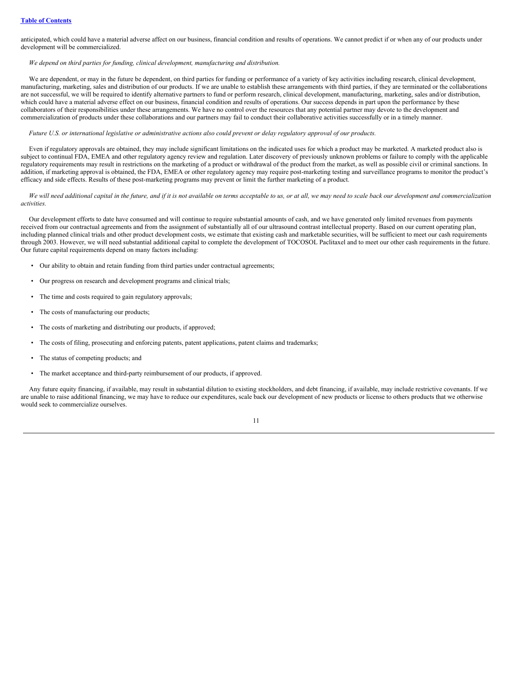anticipated, which could have a material adverse affect on our business, financial condition and results of operations. We cannot predict if or when any of our products under development will be commercialized.

## *We depend on third parties for funding, clinical development, manufacturing and distribution.*

We are dependent, or may in the future be dependent, on third parties for funding or performance of a variety of key activities including research, clinical development, manufacturing, marketing, sales and distribution of our products. If we are unable to establish these arrangements with third parties, if they are terminated or the collaborations are not successful, we will be required to identify alternative partners to fund or perform research, clinical development, manufacturing, marketing, sales and/or distribution, which could have a material adverse effect on our business, financial condition and results of operations. Our success depends in part upon the performance by these collaborators of their responsibilities under these arrangements. We have no control over the resources that any potential partner may devote to the development and commercialization of products under these collaborations and our partners may fail to conduct their collaborative activities successfully or in a timely manner.

## Future U.S. or international legislative or administrative actions also could prevent or delay regulatory approval of our products.

Even if regulatory approvals are obtained, they may include significant limitations on the indicated uses for which a product may be marketed. A marketed product also is subject to continual FDA, EMEA and other regulatory agency review and regulation. Later discovery of previously unknown problems or failure to comply with the applicable regulatory requirements may result in restrictions on the marketing of a product or withdrawal of the product from the market, as well as possible civil or criminal sanctions. In addition, if marketing approval is obtained, the FDA, EMEA or other regulatory agency may require post-marketing testing and surveillance programs to monitor the product's efficacy and side effects. Results of these post-marketing programs may prevent or limit the further marketing of a product.

## We will need additional capital in the future, and if it is not available on terms acceptable to us, or at all, we may need to scale back our development and commercialization *activities.*

Our development efforts to date have consumed and will continue to require substantial amounts of cash, and we have generated only limited revenues from payments received from our contractual agreements and from the assignment of substantially all of our ultrasound contrast intellectual property. Based on our current operating plan, including planned clinical trials and other product development costs, we estimate that existing cash and marketable securities, will be sufficient to meet our cash requirements through 2003. However, we will need substantial additional capital to complete the development of TOCOSOL Paclitaxel and to meet our other cash requirements in the future. Our future capital requirements depend on many factors including:

- Our ability to obtain and retain funding from third parties under contractual agreements;
- Our progress on research and development programs and clinical trials;
- The time and costs required to gain regulatory approvals;
- The costs of manufacturing our products;
- The costs of marketing and distributing our products, if approved;
- The costs of filing, prosecuting and enforcing patents, patent applications, patent claims and trademarks;
- The status of competing products; and
- The market acceptance and third-party reimbursement of our products, if approved.

Any future equity financing, if available, may result in substantial dilution to existing stockholders, and debt financing, if available, may include restrictive covenants. If we are unable to raise additional financing, we may have to reduce our expenditures, scale back our development of new products or license to others products that we otherwise would seek to commercialize ourselves.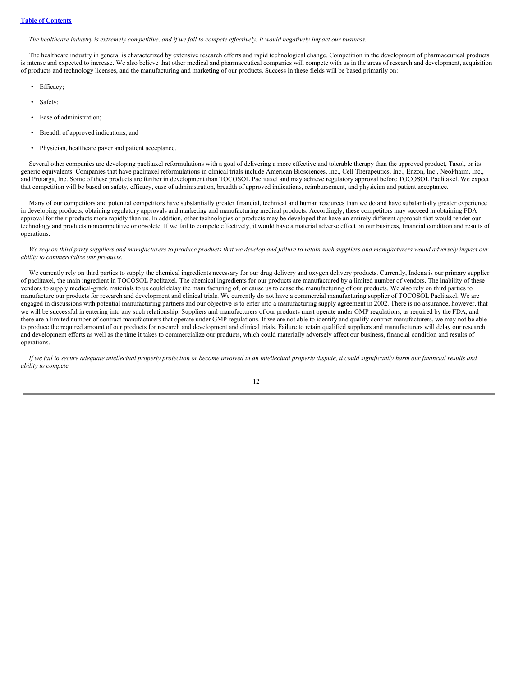## **Table of [Contents](#page-0-0)**

The healthcare industry is extremely competitive, and if we fail to compete effectively, it would negatively impact our business.

The healthcare industry in general is characterized by extensive research efforts and rapid technological change. Competition in the development of pharmaceutical products is intense and expected to increase. We also believe that other medical and pharmaceutical companies will compete with us in the areas of research and development, acquisition of products and technology licenses, and the manufacturing and marketing of our products. Success in these fields will be based primarily on:

- Efficacy;
- Safety;
- Ease of administration;
- Breadth of approved indications; and
- Physician, healthcare payer and patient acceptance.

Several other companies are developing paclitaxel reformulations with a goal of delivering a more effective and tolerable therapy than the approved product, Taxol, or its generic equivalents. Companies that have paclitaxel reformulations in clinical trials include American Biosciences, Inc., Cell Therapeutics, Inc., Enzon, Inc., NeoPharm, Inc., and Protarga, Inc. Some of these products are further in development than TOCOSOL Paclitaxel and may achieve regulatory approval before TOCOSOL Paclitaxel. We expect that competition will be based on safety, efficacy, ease of administration, breadth of approved indications, reimbursement, and physician and patient acceptance.

Many of our competitors and potential competitors have substantially greater financial, technical and human resources than we do and have substantially greater experience in developing products, obtaining regulatory approvals and marketing and manufacturing medical products. Accordingly, these competitors may succeed in obtaining FDA approval for their products more rapidly than us. In addition, other technologies or products may be developed that have an entirely different approach that would render our technology and products noncompetitive or obsolete. If we fail to compete effectively, it would have a material adverse effect on our business, financial condition and results of operations.

### We rely on third party suppliers and manufacturers to produce products that we develop and failure to retain such suppliers and manufacturers would adversely impact our *ability to commercialize our products.*

We currently rely on third parties to supply the chemical ingredients necessary for our drug delivery and oxygen delivery products. Currently, Indena is our primary supplier of paclitaxel, the main ingredient in TOCOSOL Paclitaxel. The chemical ingredients for our products are manufactured by a limited number of vendors. The inability of these vendors to supply medical-grade materials to us could delay the manufacturing of, or cause us to cease the manufacturing of our products. We also rely on third parties to manufacture our products for research and development and clinical trials. We currently do not have a commercial manufacturing supplier of TOCOSOL Paclitaxel. We are engaged in discussions with potential manufacturing partners and our objective is to enter into a manufacturing supply agreement in 2002. There is no assurance, however, that we will be successful in entering into any such relationship. Suppliers and manufacturers of our products must operate under GMP regulations, as required by the FDA, and there are a limited number of contract manufacturers that operate under GMP regulations. If we are not able to identify and qualify contract manufacturers, we may not be able to produce the required amount of our products for research and development and clinical trials. Failure to retain qualified suppliers and manufacturers will delay our research and development efforts as well as the time it takes to commercialize our products, which could materially adversely affect our business, financial condition and results of operations.

If we fail to secure adequate intellectual property protection or become involved in an intellectual property dispute, it could significantly harm our financial results and *ability to compete.*

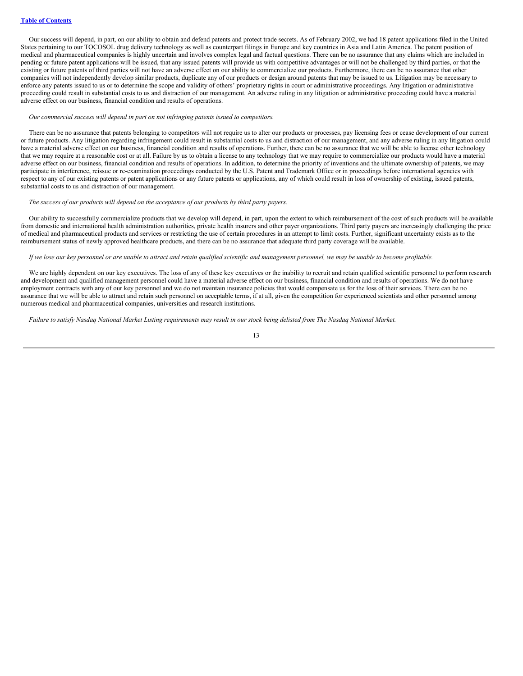Our success will depend, in part, on our ability to obtain and defend patents and protect trade secrets. As of February 2002, we had 18 patent applications filed in the United States pertaining to our TOCOSOL drug delivery technology as well as counterpart filings in Europe and key countries in Asia and Latin America. The patent position of medical and pharmaceutical companies is highly uncertain and involves complex legal and factual questions. There can be no assurance that any claims which are included in pending or future patent applications will be issued, that any issued patents will provide us with competitive advantages or will not be challenged by third parties, or that the existing or future patents of third parties will not have an adverse effect on our ability to commercialize our products. Furthermore, there can be no assurance that other companies will not independently develop similar products, duplicate any of our products or design around patents that may be issued to us. Litigation may be necessary to enforce any patents issued to us or to determine the scope and validity of others' proprietary rights in court or administrative proceedings. Any litigation or administrative proceeding could result in substantial costs to us and distraction of our management. An adverse ruling in any litigation or administrative proceeding could have a material adverse effect on our business, financial condition and results of operations.

### *Our commercial success will depend in part on not infringing patents issued to competitors.*

There can be no assurance that patents belonging to competitors will not require us to alter our products or processes, pay licensing fees or cease development of our current or future products. Any litigation regarding infringement could result in substantial costs to us and distraction of our management, and any adverse ruling in any litigation could have a material adverse effect on our business, financial condition and results of operations. Further, there can be no assurance that we will be able to license other technology that we may require at a reasonable cost or at all. Failure by us to obtain a license to any technology that we may require to commercialize our products would have a material adverse effect on our business, financial condition and results of operations. In addition, to determine the priority of inventions and the ultimate ownership of patents, we may participate in interference, reissue or re-examination proceedings conducted by the U.S. Patent and Trademark Office or in proceedings before international agencies with respect to any of our existing patents or patent applications or any future patents or applications, any of which could result in loss of ownership of existing, issued patents, substantial costs to us and distraction of our management.

## *The success of our products will depend on the acceptance of our products by third party payers.*

Our ability to successfully commercialize products that we develop will depend, in part, upon the extent to which reimbursement of the cost of such products will be available from domestic and international health administration authorities, private health insurers and other payer organizations. Third party payers are increasingly challenging the price of medical and pharmaceutical products and services or restricting the use of certain procedures in an attempt to limit costs. Further, significant uncertainty exists as to the reimbursement status of newly approved healthcare products, and there can be no assurance that adequate third party coverage will be available.

## If we lose our key personnel or are unable to attract and retain qualified scientific and management personnel, we may be unable to become profitable.

We are highly dependent on our key executives. The loss of any of these key executives or the inability to recruit and retain qualified scientific personnel to perform research and development and qualified management personnel could have a material adverse effect on our business, financial condition and results of operations. We do not have employment contracts with any of our key personnel and we do not maintain insurance policies that would compensate us for the loss of their services. There can be no assurance that we will be able to attract and retain such personnel on acceptable terms, if at all, given the competition for experienced scientists and other personnel among numerous medical and pharmaceutical companies, universities and research institutions.

Failure to satisfy Nasdaq National Market Listing requirements may result in our stock being delisted from The Nasdaq National Market.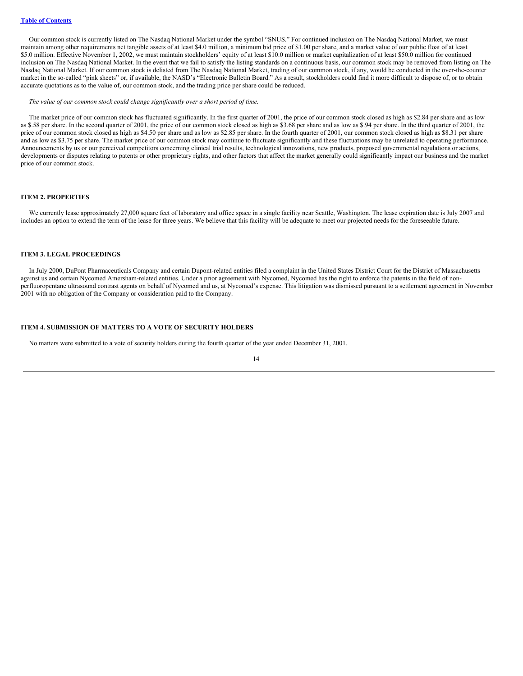Our common stock is currently listed on The Nasdaq National Market under the symbol "SNUS." For continued inclusion on The Nasdaq National Market, we must maintain among other requirements net tangible assets of at least \$4.0 million, a minimum bid price of \$1.00 per share, and a market value of our public float of at least \$5.0 million. Effective November 1, 2002, we must maintain stockholders' equity of at least \$10.0 million or market capitalization of at least \$50.0 million for continued inclusion on The Nasdaq National Market. In the event that we fail to satisfy the listing standards on a continuous basis, our common stock may be removed from listing on The Nasdaq National Market. If our common stock is delisted from The Nasdaq National Market, trading of our common stock, if any, would be conducted in the over-the-counter market in the so-called "pink sheets" or, if available, the NASD's "Electronic Bulletin Board." As a result, stockholders could find it more difficult to dispose of, or to obtain accurate quotations as to the value of, our common stock, and the trading price per share could be reduced.

### *The value of our common stock could change significantly over a short period of time.*

The market price of our common stock has fluctuated significantly. In the first quarter of 2001, the price of our common stock closed as high as \$2.84 per share and as low as \$.58 per share. In the second quarter of 2001, the price of our common stock closed as high as \$3.68 per share and as low as \$.94 per share. In the third quarter of 2001, the price of our common stock closed as high as \$4.50 per share and as low as \$2.85 per share. In the fourth quarter of 2001, our common stock closed as high as \$8.31 per share and as low as \$3.75 per share. The market price of our common stock may continue to fluctuate significantly and these fluctuations may be unrelated to operating performance. Announcements by us or our perceived competitors concerning clinical trial results, technological innovations, new products, proposed governmental regulations or actions, developments or disputes relating to patents or other proprietary rights, and other factors that affect the market generally could significantly impact our business and the market price of our common stock.

### <span id="page-14-0"></span>**ITEM 2. PROPERTIES**

We currently lease approximately 27,000 square feet of laboratory and office space in a single facility near Seattle, Washington. The lease expiration date is July 2007 and includes an option to extend the term of the lease for three years. We believe that this facility will be adequate to meet our projected needs for the foreseeable future.

## <span id="page-14-1"></span>**ITEM 3. LEGAL PROCEEDINGS**

In July 2000, DuPont Pharmaceuticals Company and certain Dupont-related entities filed a complaint in the United States District Court for the District of Massachusetts against us and certain Nycomed Amersham-related entities. Under a prior agreement with Nycomed, Nycomed has the right to enforce the patents in the field of nonperfluoropentane ultrasound contrast agents on behalf of Nycomed and us, at Nycomed's expense. This litigation was dismissed pursuant to a settlement agreement in November 2001 with no obligation of the Company or consideration paid to the Company.

## <span id="page-14-2"></span>**ITEM 4. SUBMISSION OF MATTERS TO A VOTE OF SECURITY HOLDERS**

No matters were submitted to a vote of security holders during the fourth quarter of the year ended December 31, 2001.

$$
14 \\
$$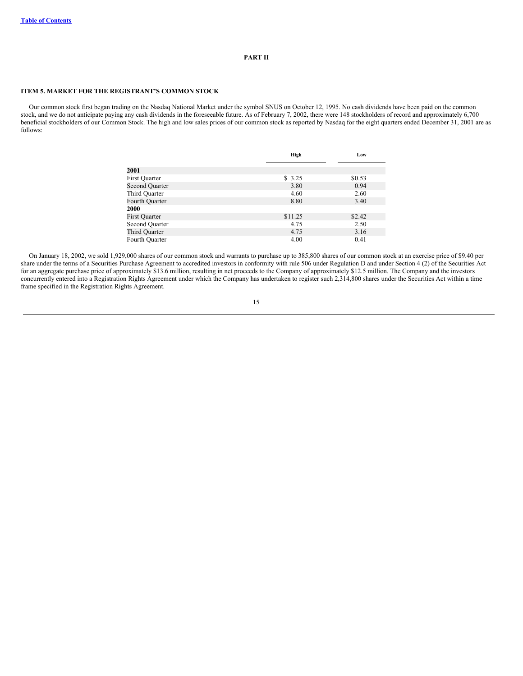## **PART II**

## <span id="page-15-1"></span><span id="page-15-0"></span>**ITEM 5. MARKET FOR THE REGISTRANT'S COMMON STOCK**

Our common stock first began trading on the Nasdaq National Market under the symbol SNUS on October 12, 1995. No cash dividends have been paid on the common stock, and we do not anticipate paying any cash dividends in the foreseeable future. As of February 7, 2002, there were 148 stockholders of record and approximately 6,700 beneficial stockholders of our Common Stock. The high and low sales prices of our common stock as reported by Nasdaq for the eight quarters ended December 31, 2001 are as follows:

|                       | High    | Low    |
|-----------------------|---------|--------|
| 2001                  |         |        |
| First Quarter         | \$ 3.25 | \$0.53 |
| <b>Second Quarter</b> | 3.80    | 0.94   |
| Third Quarter         | 4.60    | 2.60   |
| Fourth Ouarter        | 8.80    | 3.40   |
| 2000                  |         |        |
| <b>First Quarter</b>  | \$11.25 | \$2.42 |
| Second Quarter        | 4.75    | 2.50   |
| Third Quarter         | 4.75    | 3.16   |
| Fourth Ouarter        | 4.00    | 0.41   |

On January 18, 2002, we sold 1,929,000 shares of our common stock and warrants to purchase up to 385,800 shares of our common stock at an exercise price of \$9.40 per share under the terms of a Securities Purchase Agreement to accredited investors in conformity with rule 506 under Regulation D and under Section 4 (2) of the Securities Act for an aggregate purchase price of approximately \$13.6 million, resulting in net proceeds to the Company of approximately \$12.5 million. The Company and the investors concurrently entered into a Registration Rights Agreement under which the Company has undertaken to register such 2,314,800 shares under the Securities Act within a time frame specified in the Registration Rights Agreement.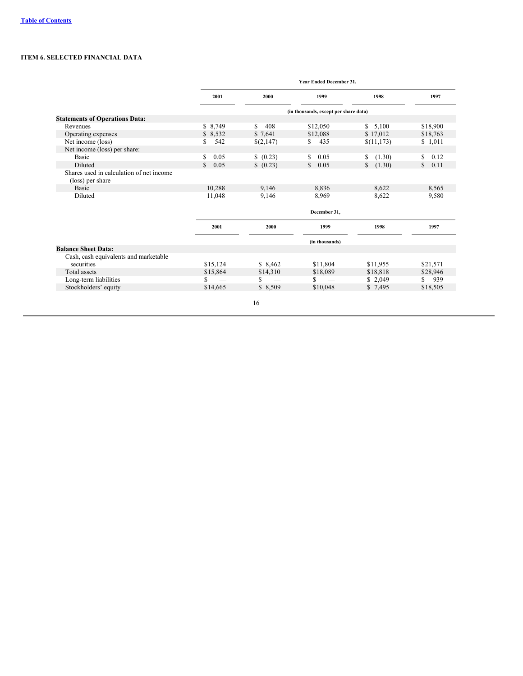## <span id="page-16-0"></span>**ITEM 6. SELECTED FINANCIAL DATA**

|                                                              | Year Ended December 31, |           |                                       |                        |                      |
|--------------------------------------------------------------|-------------------------|-----------|---------------------------------------|------------------------|----------------------|
|                                                              | 2001                    | 2000      | 1999                                  | 1998                   | 1997                 |
|                                                              |                         |           | (in thousands, except per share data) |                        |                      |
| <b>Statements of Operations Data:</b>                        |                         |           |                                       |                        |                      |
| Revenues                                                     | \$8,749                 | S.<br>408 | \$12,050                              | \$5,100                | \$18,900             |
| Operating expenses                                           | \$ 8,532                | \$7,641   | \$12,088                              | \$17,012               | \$18,763             |
| Net income (loss)                                            | 542<br>\$               | \$(2,147) | 435<br>S.                             | \$(11,173)             | \$1,011              |
| Net income (loss) per share:                                 |                         |           |                                       |                        |                      |
| Basic                                                        | \$<br>0.05              | (0.23)    | \$<br>0.05                            | (1.30)<br>S.           | S<br>0.12            |
| Diluted                                                      | 0.05<br>$\mathcal{S}$   | \$ (0.23) | $\mathbb{S}$<br>0.05                  | (1.30)<br>$\mathbb{S}$ | 0.11<br>$\mathbb{S}$ |
| Shares used in calculation of net income<br>(loss) per share |                         |           |                                       |                        |                      |
| Basic                                                        | 10,288                  | 9,146     | 8,836                                 | 8,622                  | 8,565                |
| Diluted                                                      | 11,048                  | 9,146     | 8,969                                 | 8,622                  | 9,580                |
|                                                              |                         |           | December 31,                          |                        |                      |
|                                                              | 2001                    | 2000      | 1999                                  | 1998                   | 1997                 |
|                                                              |                         |           | (in thousands)                        |                        |                      |
| <b>Balance Sheet Data:</b>                                   |                         |           |                                       |                        |                      |
| Cash, cash equivalents and marketable                        |                         |           |                                       |                        |                      |
| securities                                                   | \$15,124                | \$8,462   | \$11,804                              | \$11,955               | \$21,571             |
| Total assets                                                 | \$15,864                | \$14,310  | \$18,089                              | \$18,818               | \$28,946             |
| Long-term liabilities                                        | \$                      | S         | S.<br>$\overline{\phantom{m}}$        | \$2,049                | 939<br>S.            |
| Stockholders' equity                                         | \$14,665                | \$8,509   | \$10,048                              | \$7,495                | \$18,505             |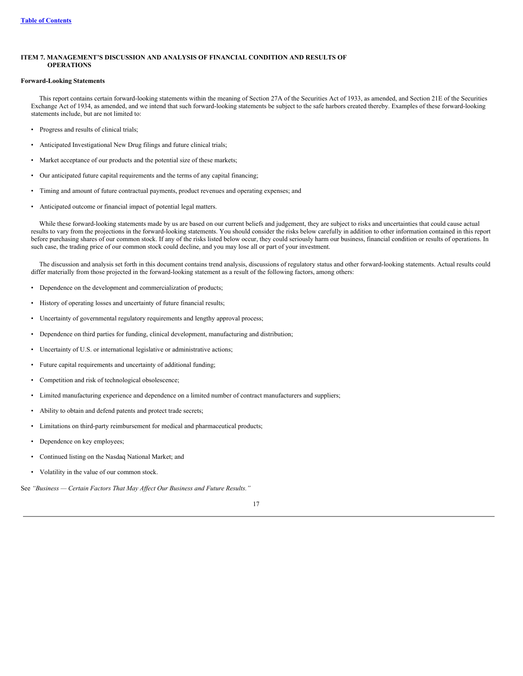## <span id="page-17-0"></span>**ITEM 7. MANAGEMENT'S DISCUSSION AND ANALYSIS OF FINANCIAL CONDITION AND RESULTS OF OPERATIONS**

## **Forward-Looking Statements**

This report contains certain forward-looking statements within the meaning of Section 27A of the Securities Act of 1933, as amended, and Section 21E of the Securities Exchange Act of 1934, as amended, and we intend that such forward-looking statements be subject to the safe harbors created thereby. Examples of these forward-looking statements include, but are not limited to:

- Progress and results of clinical trials;
- Anticipated Investigational New Drug filings and future clinical trials;
- Market acceptance of our products and the potential size of these markets;
- Our anticipated future capital requirements and the terms of any capital financing;
- Timing and amount of future contractual payments, product revenues and operating expenses; and
- Anticipated outcome or financial impact of potential legal matters.

While these forward-looking statements made by us are based on our current beliefs and judgement, they are subject to risks and uncertainties that could cause actual results to vary from the projections in the forward-looking statements. You should consider the risks below carefully in addition to other information contained in this report before purchasing shares of our common stock. If any of the risks listed below occur, they could seriously harm our business, financial condition or results of operations. In such case, the trading price of our common stock could decline, and you may lose all or part of your investment.

The discussion and analysis set forth in this document contains trend analysis, discussions of regulatory status and other forward-looking statements. Actual results could differ materially from those projected in the forward-looking statement as a result of the following factors, among others:

- Dependence on the development and commercialization of products;
- History of operating losses and uncertainty of future financial results;
- Uncertainty of governmental regulatory requirements and lengthy approval process;
- Dependence on third parties for funding, clinical development, manufacturing and distribution;
- Uncertainty of U.S. or international legislative or administrative actions;
- Future capital requirements and uncertainty of additional funding;
- Competition and risk of technological obsolescence;
- Limited manufacturing experience and dependence on a limited number of contract manufacturers and suppliers;
- Ability to obtain and defend patents and protect trade secrets;
- Limitations on third-party reimbursement for medical and pharmaceutical products;
- Dependence on key employees;
- Continued listing on the Nasdaq National Market; and
- Volatility in the value of our common stock.

See *"Business — Certain Factors That May Af ect Our Business and Future Results."*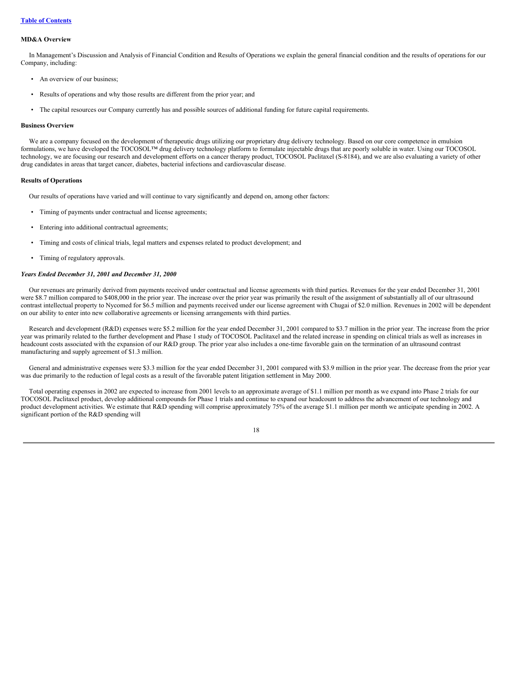### **MD&A Overview**

In Management's Discussion and Analysis of Financial Condition and Results of Operations we explain the general financial condition and the results of operations for our Company, including:

- An overview of our business;
- Results of operations and why those results are different from the prior year; and
- The capital resources our Company currently has and possible sources of additional funding for future capital requirements.

## **Business Overview**

We are a company focused on the development of therapeutic drugs utilizing our proprietary drug delivery technology. Based on our core competence in emulsion formulations, we have developed the TOCOSOL™ drug delivery technology platform to formulate injectable drugs that are poorly soluble in water. Using our TOCOSOL technology, we are focusing our research and development efforts on a cancer therapy product, TOCOSOL Paclitaxel (S-8184), and we are also evaluating a variety of other drug candidates in areas that target cancer, diabetes, bacterial infections and cardiovascular disease.

#### **Results of Operations**

Our results of operations have varied and will continue to vary significantly and depend on, among other factors:

- Timing of payments under contractual and license agreements;
- Entering into additional contractual agreements;
- Timing and costs of clinical trials, legal matters and expenses related to product development; and
- Timing of regulatory approvals.

### *Years Ended December 31, 2001 and December 31, 2000*

Our revenues are primarily derived from payments received under contractual and license agreements with third parties. Revenues for the year ended December 31, 2001 were \$8.7 million compared to \$408,000 in the prior year. The increase over the prior year was primarily the result of the assignment of substantially all of our ultrasound contrast intellectual property to Nycomed for \$6.5 million and payments received under our license agreement with Chugai of \$2.0 million. Revenues in 2002 will be dependent on our ability to enter into new collaborative agreements or licensing arrangements with third parties.

Research and development (R&D) expenses were \$5.2 million for the year ended December 31, 2001 compared to \$3.7 million in the prior year. The increase from the prior year was primarily related to the further development and Phase 1 study of TOCOSOL Paclitaxel and the related increase in spending on clinical trials as well as increases in headcount costs associated with the expansion of our R&D group. The prior year also includes a one-time favorable gain on the termination of an ultrasound contrast manufacturing and supply agreement of \$1.3 million.

General and administrative expenses were \$3.3 million for the year ended December 31, 2001 compared with \$3.9 million in the prior year. The decrease from the prior year was due primarily to the reduction of legal costs as a result of the favorable patent litigation settlement in May 2000.

Total operating expenses in 2002 are expected to increase from 2001 levels to an approximate average of \$1.1 million per month as we expand into Phase 2 trials for our TOCOSOL Paclitaxel product, develop additional compounds for Phase 1 trials and continue to expand our headcount to address the advancement of our technology and product development activities. We estimate that R&D spending will comprise approximately 75% of the average \$1.1 million per month we anticipate spending in 2002. A significant portion of the R&D spending will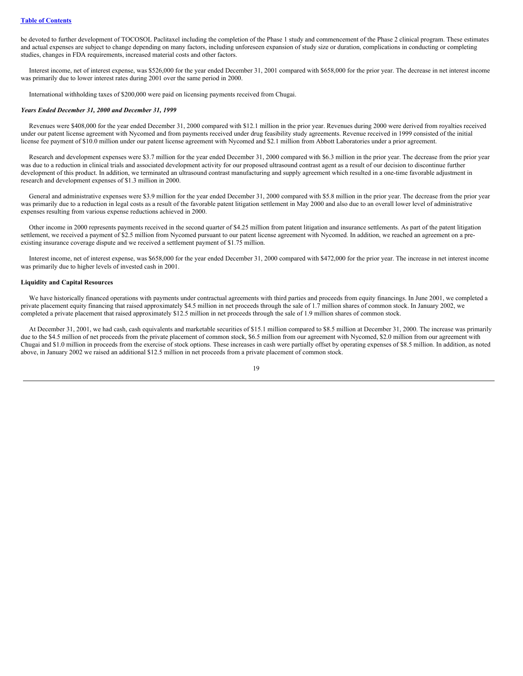be devoted to further development of TOCOSOL Paclitaxel including the completion of the Phase 1 study and commencement of the Phase 2 clinical program. These estimates and actual expenses are subject to change depending on many factors, including unforeseen expansion of study size or duration, complications in conducting or completing studies, changes in FDA requirements, increased material costs and other factors.

Interest income, net of interest expense, was \$526,000 for the year ended December 31, 2001 compared with \$658,000 for the prior year. The decrease in net interest income was primarily due to lower interest rates during 2001 over the same period in 2000.

International withholding taxes of \$200,000 were paid on licensing payments received from Chugai.

#### *Years Ended December 31, 2000 and December 31, 1999*

Revenues were \$408,000 for the year ended December 31, 2000 compared with \$12.1 million in the prior year. Revenues during 2000 were derived from royalties received under our patent license agreement with Nycomed and from payments received under drug feasibility study agreements. Revenue received in 1999 consisted of the initial license fee payment of \$10.0 million under our patent license agreement with Nycomed and \$2.1 million from Abbott Laboratories under a prior agreement.

Research and development expenses were \$3.7 million for the year ended December 31, 2000 compared with \$6.3 million in the prior year. The decrease from the prior year was due to a reduction in clinical trials and associated development activity for our proposed ultrasound contrast agent as a result of our decision to discontinue further development of this product. In addition, we terminated an ultrasound contrast manufacturing and supply agreement which resulted in a one-time favorable adjustment in research and development expenses of \$1.3 million in 2000.

General and administrative expenses were \$3.9 million for the year ended December 31, 2000 compared with \$5.8 million in the prior year. The decrease from the prior year was primarily due to a reduction in legal costs as a result of the favorable patent litigation settlement in May 2000 and also due to an overall lower level of administrative expenses resulting from various expense reductions achieved in 2000.

Other income in 2000 represents payments received in the second quarter of \$4.25 million from patent litigation and insurance settlements. As part of the patent litigation settlement, we received a payment of \$2.5 million from Nycomed pursuant to our patent license agreement with Nycomed. In addition, we reached an agreement on a preexisting insurance coverage dispute and we received a settlement payment of \$1.75 million.

Interest income, net of interest expense, was \$658,000 for the year ended December 31, 2000 compared with \$472,000 for the prior year. The increase in net interest income was primarily due to higher levels of invested cash in 2001.

## **Liquidity and Capital Resources**

We have historically financed operations with payments under contractual agreements with third parties and proceeds from equity financings. In June 2001, we completed a private placement equity financing that raised approximately \$4.5 million in net proceeds through the sale of 1.7 million shares of common stock. In January 2002, we completed a private placement that raised approximately \$12.5 million in net proceeds through the sale of 1.9 million shares of common stock.

At December 31, 2001, we had cash, cash equivalents and marketable securities of \$15.1 million compared to \$8.5 million at December 31, 2000. The increase was primarily due to the \$4.5 million of net proceeds from the private placement of common stock, \$6.5 million from our agreement with Nycomed, \$2.0 million from our agreement with Chugai and \$1.0 million in proceeds from the exercise of stock options. These increases in cash were partially offset by operating expenses of \$8.5 million. In addition, as noted above, in January 2002 we raised an additional \$12.5 million in net proceeds from a private placement of common stock.

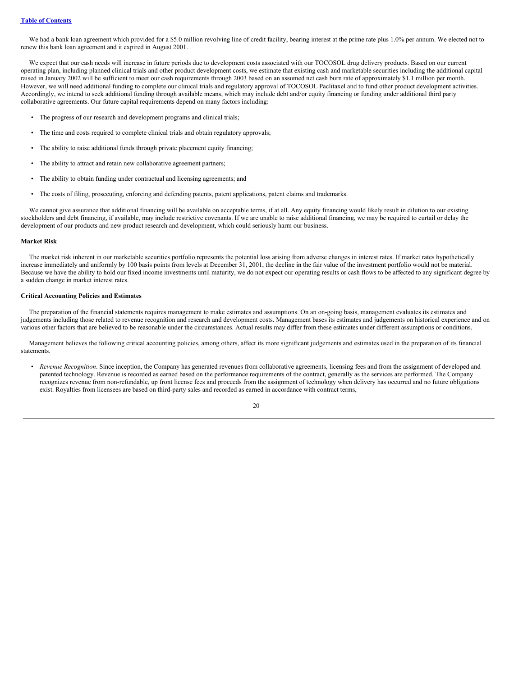We had a bank loan agreement which provided for a \$5.0 million revolving line of credit facility, bearing interest at the prime rate plus 1.0% per annum. We elected not to renew this bank loan agreement and it expired in August 2001.

We expect that our cash needs will increase in future periods due to development costs associated with our TOCOSOL drug delivery products. Based on our current operating plan, including planned clinical trials and other product development costs, we estimate that existing cash and marketable securities including the additional capital raised in January 2002 will be sufficient to meet our cash requirements through 2003 based on an assumed net cash burn rate of approximately \$1.1 million per month. However, we will need additional funding to complete our clinical trials and regulatory approval of TOCOSOL Paclitaxel and to fund other product development activities. Accordingly, we intend to seek additional funding through available means, which may include debt and/or equity financing or funding under additional third party collaborative agreements. Our future capital requirements depend on many factors including:

- The progress of our research and development programs and clinical trials;
- The time and costs required to complete clinical trials and obtain regulatory approvals;
- The ability to raise additional funds through private placement equity financing;
- The ability to attract and retain new collaborative agreement partners;
- The ability to obtain funding under contractual and licensing agreements; and
- The costs of filing, prosecuting, enforcing and defending patents, patent applications, patent claims and trademarks.

We cannot give assurance that additional financing will be available on acceptable terms, if at all. Any equity financing would likely result in dilution to our existing stockholders and debt financing, if available, may include restrictive covenants. If we are unable to raise additional financing, we may be required to curtail or delay the development of our products and new product research and development, which could seriously harm our business.

## **Market Risk**

The market risk inherent in our marketable securities portfolio represents the potential loss arising from adverse changes in interest rates. If market rates hypothetically increase immediately and uniformly by 100 basis points from levels at December 31, 2001, the decline in the fair value of the investment portfolio would not be material. Because we have the ability to hold our fixed income investments until maturity, we do not expect our operating results or cash flows to be affected to any significant degree by a sudden change in market interest rates.

## **Critical Accounting Policies and Estimates**

The preparation of the financial statements requires management to make estimates and assumptions. On an on-going basis, management evaluates its estimates and judgements including those related to revenue recognition and research and development costs. Management bases its estimates and judgements on historical experience and on various other factors that are believed to be reasonable under the circumstances. Actual results may differ from these estimates under different assumptions or conditions.

Management believes the following critical accounting policies, among others, affect its more significant judgements and estimates used in the preparation of its financial statements.

• *Revenue Recognition*. Since inception, the Company has generated revenues from collaborative agreements, licensing fees and from the assignment of developed and patented technology. Revenue is recorded as earned based on the performance requirements of the contract, generally as the services are performed. The Company recognizes revenue from non-refundable, up front license fees and proceeds from the assignment of technology when delivery has occurred and no future obligations exist. Royalties from licensees are based on third-party sales and recorded as earned in accordance with contract terms,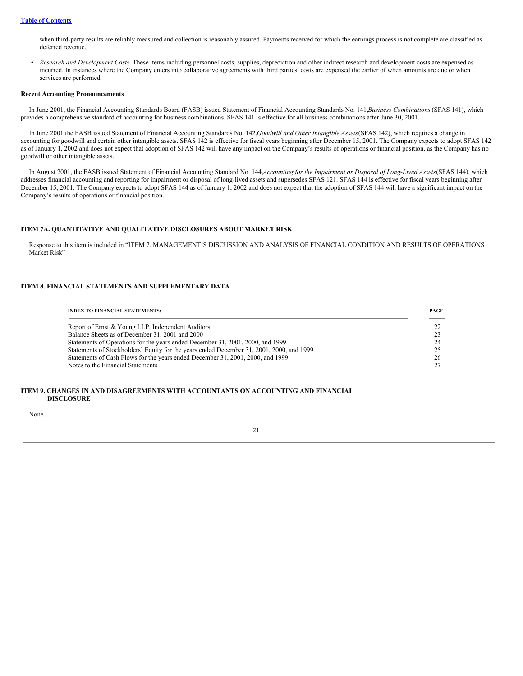when third-party results are reliably measured and collection is reasonably assured. Payments received for which the earnings process is not complete are classified as deferred revenue.

• *Research and Development Costs*. These items including personnel costs, supplies, depreciation and other indirect research and development costs are expensed as incurred. In instances where the Company enters into collaborative agreements with third parties, costs are expensed the earlier of when amounts are due or when services are performed.

#### **Recent Accounting Pronouncements**

In June 2001, the Financial Accounting Standards Board (FASB) issued Statement of Financial Accounting Standards No. 141,*Business Combinations* (SFAS 141), which provides a comprehensive standard of accounting for business combinations. SFAS 141 is effective for all business combinations after June 30, 2001.

In June 2001 the FASB issued Statement of Financial Accounting Standards No. 142,*Goodwill and Other Intangible Assets*(SFAS 142), which requires a change in accounting for goodwill and certain other intangible assets. SFAS 142 is effective for fiscal years beginning after December 15, 2001. The Company expects to adopt SFAS 142 as of January 1, 2002 and does not expect that adoption of SFAS 142 will have any impact on the Company's results of operations or financial position, as the Company has no goodwill or other intangible assets.

In August 2001, the FASB issued Statement of Financial Accounting Standard No. 144, Accounting for the Impairment or Disposal of Long-Lived Assets (SFAS 144), which addresses financial accounting and reporting for impairment or disposal of long-lived assets and supersedes SFAS 121. SFAS 144 is effective for fiscal years beginning after December 15, 2001. The Company expects to adopt SFAS 144 as of January 1, 2002 and does not expect that the adoption of SFAS 144 will have a significant impact on the Company's results of operations or financial position.

## <span id="page-21-0"></span>**ITEM 7A. QUANTITATIVE AND QUALITATIVE DISCLOSURES ABOUT MARKET RISK**

Response to this item is included in "ITEM 7. MANAGEMENT'S DISCUSSION AND ANALYSIS OF FINANCIAL CONDITION AND RESULTS OF OPERATIONS — Market Risk"

## <span id="page-21-1"></span>**ITEM 8. FINANCIAL STATEMENTS AND SUPPLEMENTARY DATA**

| <b>INDEX TO FINANCIAL STATEMENTS:</b>                                                    | PAGE |
|------------------------------------------------------------------------------------------|------|
| Report of Ernst & Young LLP, Independent Auditors                                        |      |
| Balance Sheets as of December 31, 2001 and 2000                                          |      |
| Statements of Operations for the years ended December 31, 2001, 2000, and 1999           | 24   |
| Statements of Stockholders' Equity for the years ended December 31, 2001, 2000, and 1999 |      |
| Statements of Cash Flows for the years ended December 31, 2001, 2000, and 1999           | 26   |
| Notes to the Financial Statements                                                        |      |

## <span id="page-21-2"></span>**ITEM 9. CHANGES IN AND DISAGREEMENTS WITH ACCOUNTANTS ON ACCOUNTING AND FINANCIAL DISCLOSURE**

None.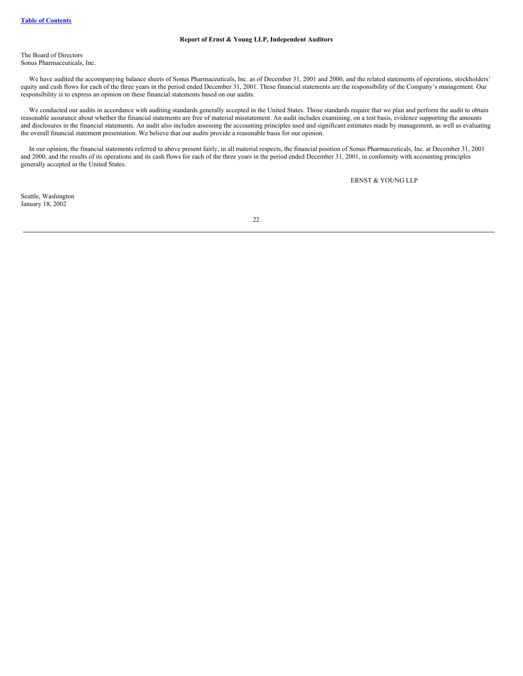## **Report of Ernst & Young LLP, Independent Auditors**

The Board of Directors Sonus Pharmaceuticals, Inc.

We have audited the accompanying balance sheets of Sonus Pharmaceuticals, Inc. as of December 31, 2001 and 2000, and the related statements of operations, stockholders' equity and cash flows for each of the three years in the period ended December 31, 2001. These financial statements are the responsibility of the Company's management. Our responsibility is to express an opinion on these financial statements based on our audits.

We conducted our audits in accordance with auditing standards generally accepted in the United States. Those standards require that we plan and perform the audit to obtain reasonable assurance about whether the financial statements are free of material misstatement. An audit includes examining, on a test basis, evidence supporting the amounts and disclosures in the financial statements. An audit also includes assessing the accounting principles used and significant estimates made by management, as well as evaluating the overall financial statement presentation. We believe that our audits provide a reasonable basis for our opinion.

In our opinion, the financial statements referred to above present fairly, in all material respects, the financial position of Sonus Pharmaceuticals, Inc. at December 31, 2001 and 2000, and the results of its operations and its cash flows for each of the three years in the period ended December 31, 2001, in conformity with accounting principles generally accepted in the United States.

ERNST & YOUNG LLP

Seattle, Washington January 18, 2002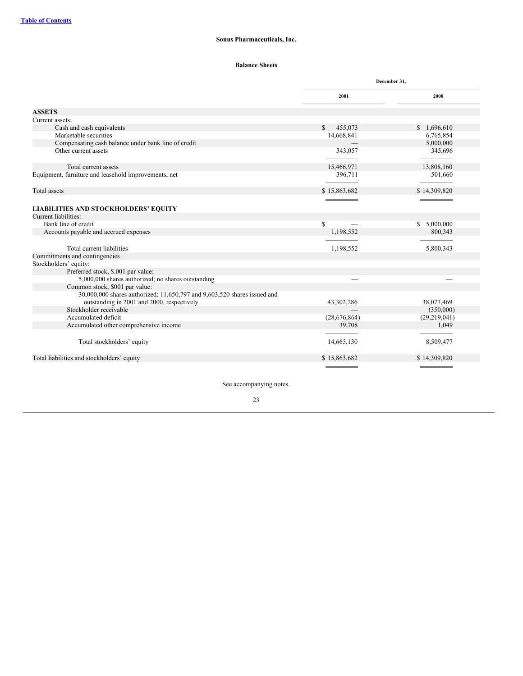## **Balance Sheets**

<span id="page-23-0"></span>

|                                                                          |                         | December 31,   |
|--------------------------------------------------------------------------|-------------------------|----------------|
|                                                                          | 2001                    | 2000           |
| <b>ASSETS</b>                                                            |                         |                |
| Current assets:                                                          |                         |                |
| Cash and cash equivalents                                                | $\mathbb{S}$<br>455,073 | \$1,696,610    |
| Marketable securities                                                    | 14,668,841              | 6,765,854      |
| Compensating cash balance under bank line of credit                      |                         | 5,000,000      |
| Other current assets                                                     | 343,057                 | 345,696        |
| Total current assets                                                     | 15,466,971              | 13,808,160     |
| Equipment, furniture and leasehold improvements, net                     | 396,711                 | 501,660        |
| Total assets                                                             | \$15,863,682            | \$14,309,820   |
|                                                                          |                         |                |
| <b>LIABILITIES AND STOCKHOLDERS' EQUITY</b>                              |                         |                |
| Current liabilities:                                                     |                         |                |
| Bank line of credit                                                      | <sup>\$</sup>           | \$5,000,000    |
| Accounts payable and accrued expenses                                    | 1,198,552               | 800,343        |
|                                                                          |                         |                |
| Total current liabilities                                                | 1,198,552               | 5,800,343      |
| Commitments and contingencies                                            |                         |                |
| Stockholders' equity:                                                    |                         |                |
| Preferred stock, \$.001 par value:                                       |                         |                |
| 5,000,000 shares authorized; no shares outstanding                       |                         |                |
| Common stock, \$001 par value:                                           |                         |                |
| 30,000,000 shares authorized; 11,650,797 and 9,603,520 shares issued and |                         |                |
| outstanding in 2001 and 2000, respectively                               | 43,302,286              | 38,077,469     |
| Stockholder receivable                                                   |                         | (350,000)      |
| Accumulated deficit                                                      | (28,676,864)            | (29, 219, 041) |
| Accumulated other comprehensive income                                   | 39,708                  | 1,049          |
|                                                                          |                         |                |
| Total stockholders' equity                                               | 14,665,130              | 8,509,477      |
| Total liabilities and stockholders' equity                               | \$15,863,682            | \$14,309,820   |
|                                                                          |                         |                |

See accompanying notes.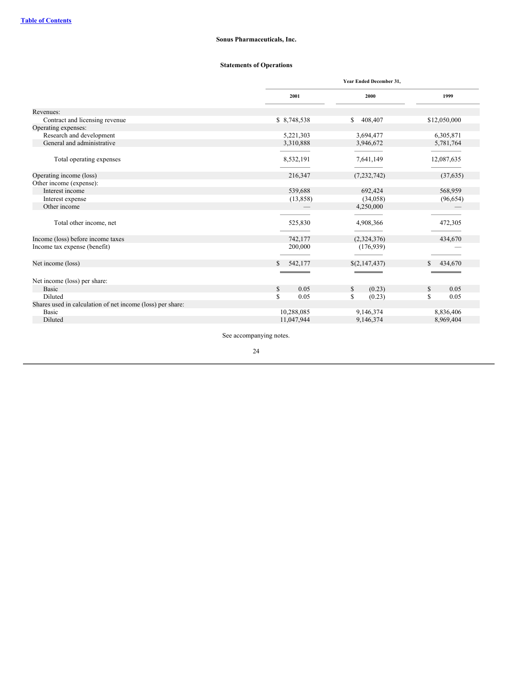## **Statements of Operations**

<span id="page-24-0"></span>

|                                                            |                       | Year Ended December 31, |              |  |
|------------------------------------------------------------|-----------------------|-------------------------|--------------|--|
|                                                            | 2001                  | 2000                    | 1999         |  |
| Revenues:                                                  |                       |                         |              |  |
| Contract and licensing revenue                             | \$ 8,748,538          | 408,407<br>\$           | \$12,050,000 |  |
| Operating expenses:                                        |                       |                         |              |  |
| Research and development                                   | 5,221,303             | 3,694,477               | 6,305,871    |  |
| General and administrative                                 | 3,310,888             | 3,946,672               | 5,781,764    |  |
| Total operating expenses                                   | 8,532,191             | 7,641,149               | 12,087,635   |  |
| Operating income (loss)                                    | 216,347               | (7, 232, 742)           | (37, 635)    |  |
| Other income (expense):                                    |                       |                         |              |  |
| Interest income                                            | 539,688               | 692,424                 | 568,959      |  |
| Interest expense                                           | (13, 858)             | (34,058)                | (96, 654)    |  |
| Other income                                               |                       | 4,250,000               |              |  |
|                                                            |                       |                         |              |  |
| Total other income, net                                    | 525,830               | 4,908,366               | 472,305      |  |
| Income (loss) before income taxes                          | 742,177               | (2,324,376)             | 434,670      |  |
| Income tax expense (benefit)                               | 200,000               | (176, 939)              |              |  |
| Net income (loss)                                          | 542,177<br>S.         | \$(2,147,437)           | 434,670      |  |
|                                                            |                       |                         |              |  |
| Net income (loss) per share:                               |                       |                         |              |  |
| <b>Basic</b>                                               | <sup>\$</sup><br>0.05 | (0.23)<br>\$            | 0.05<br>\$   |  |
| Diluted                                                    | S<br>0.05             | S<br>(0.23)             | \$<br>0.05   |  |
| Shares used in calculation of net income (loss) per share: |                       |                         |              |  |
| Basic                                                      | 10,288,085            | 9,146,374               | 8,836,406    |  |
| Diluted                                                    | 11,047,944            | 9,146,374               | 8,969,404    |  |
|                                                            |                       |                         |              |  |

See accompanying notes.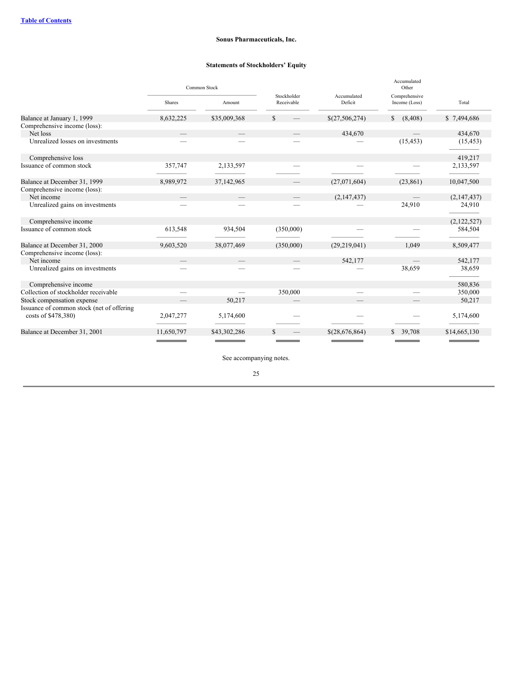## **Statements of Stockholders' Equity**

<span id="page-25-0"></span>

|                                                                  | Common Stock  |              |                           |                        | Accumulated<br>Other           |              |
|------------------------------------------------------------------|---------------|--------------|---------------------------|------------------------|--------------------------------|--------------|
|                                                                  | <b>Shares</b> | Amount       | Stockholder<br>Receivable | Accumulated<br>Deficit | Comprehensive<br>Income (Loss) | Total        |
| Balance at January 1, 1999                                       | 8,632,225     | \$35,009,368 | \$                        | \$(27,506,274)         | (8, 408)<br>\$                 | \$7,494,686  |
| Comprehensive income (loss):                                     |               |              |                           |                        |                                |              |
| Net loss                                                         |               |              |                           | 434,670                |                                | 434,670      |
| Unrealized losses on investments                                 |               |              |                           |                        | (15, 453)                      | (15, 453)    |
| Comprehensive loss                                               |               |              |                           |                        |                                | 419,217      |
| Issuance of common stock                                         | 357,747       | 2,133,597    |                           |                        |                                | 2,133,597    |
| Balance at December 31, 1999                                     | 8,989,972     | 37,142,965   |                           | (27,071,604)           | (23, 861)                      | 10,047,500   |
| Comprehensive income (loss):<br>Net income                       |               |              |                           | (2,147,437)            |                                | (2,147,437)  |
| Unrealized gains on investments                                  |               |              |                           |                        | 24,910                         | 24,910       |
| Comprehensive income                                             |               |              |                           |                        |                                | (2,122,527)  |
| Issuance of common stock                                         | 613,548       | 934,504      | (350,000)                 |                        |                                | 584,504      |
| Balance at December 31, 2000                                     | 9,603,520     | 38,077,469   | (350,000)                 | (29,219,041)           | 1,049                          | 8,509,477    |
| Comprehensive income (loss):                                     |               |              |                           |                        |                                |              |
| Net income                                                       |               |              |                           | 542,177                |                                | 542,177      |
| Unrealized gains on investments                                  |               |              |                           |                        | 38,659                         | 38,659       |
| Comprehensive income                                             |               |              |                           |                        |                                | 580,836      |
| Collection of stockholder receivable                             |               |              | 350,000                   |                        |                                | 350,000      |
| Stock compensation expense                                       |               | 50,217       |                           |                        |                                | 50,217       |
| Issuance of common stock (net of offering<br>costs of \$478,380) | 2,047,277     | 5,174,600    |                           |                        |                                | 5,174,600    |
| Balance at December 31, 2001                                     | 11,650,797    | \$43,302,286 | S                         | \$(28,676,864)         | 39,708<br>\$                   | \$14,665,130 |
|                                                                  |               |              |                           |                        |                                |              |

See accompanying notes.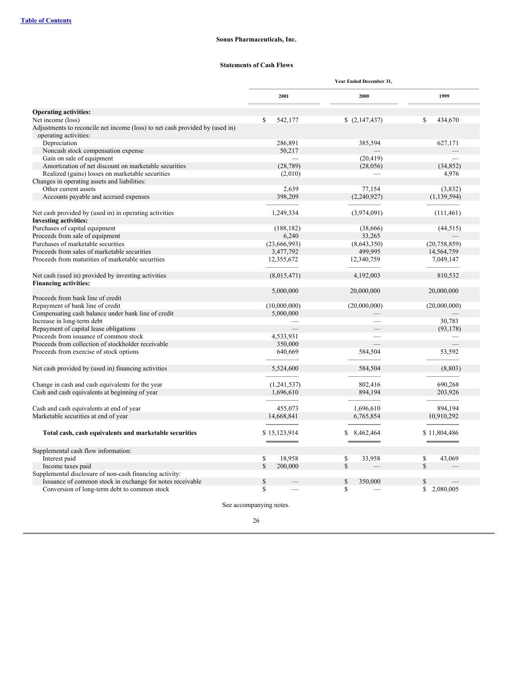## **Statements of Cash Flows**

<span id="page-26-0"></span>

|                                                                                                       | Year Ended December 31, |                |                 |  |
|-------------------------------------------------------------------------------------------------------|-------------------------|----------------|-----------------|--|
|                                                                                                       | 2001                    | 2000           | 1999            |  |
| <b>Operating activities:</b>                                                                          |                         |                |                 |  |
| Net income (loss)                                                                                     | $\mathbb{S}$<br>542,177 | (2,147,437)    | \$<br>434,670   |  |
| Adjustments to reconcile net income (loss) to net cash provided by (used in)<br>operating activities: |                         |                |                 |  |
| Depreciation                                                                                          | 286,891                 | 385,594        | 627,171         |  |
| Noncash stock compensation expense                                                                    | 50,217                  |                |                 |  |
| Gain on sale of equipment                                                                             |                         | (20, 419)      |                 |  |
| Amortization of net discount on marketable securities                                                 | (28, 789)               | (28,056)       | (34, 852)       |  |
| Realized (gains) losses on marketable securities                                                      | (2,010)                 |                | 4,976           |  |
| Changes in operating assets and liabilities:                                                          |                         |                |                 |  |
| Other current assets                                                                                  | 2,639                   | 77,154         | (3,832)         |  |
| Accounts payable and accrued expenses                                                                 | 398,209                 | (2,240,927)    | (1, 139, 594)   |  |
|                                                                                                       |                         |                |                 |  |
| Net cash provided by (used in) in operating activities                                                | 1,249,334               | (3,974,091)    | (111, 461)      |  |
| <b>Investing activities:</b>                                                                          |                         |                |                 |  |
| Purchases of capital equipment                                                                        | (188, 182)              | (38,666)       | (44, 515)       |  |
| Proceeds from sale of equipment                                                                       | 6,240                   | 33,265         |                 |  |
| Purchases of marketable securities                                                                    | (23,666,993)            | (8,643,350)    | (20, 758, 859)  |  |
| Proceeds from sales of marketable securities                                                          | 3,477,792               | 499,995        | 14,564,759      |  |
| Proceeds from maturities of marketable securities                                                     | 12,355,672              | 12,340,759     | 7,049,147       |  |
|                                                                                                       |                         |                |                 |  |
| Net cash (used in) provided by investing activities                                                   | (8,015,471)             | 4,192,003      | 810,532         |  |
| <b>Financing activities:</b>                                                                          |                         |                |                 |  |
| Proceeds from bank line of credit                                                                     | 5,000,000               | 20,000,000     | 20,000,000      |  |
| Repayment of bank line of credit                                                                      | (10,000,000)            | (20,000,000)   | (20,000,000)    |  |
| Compensating cash balance under bank line of credit                                                   | 5,000,000               |                |                 |  |
| Increase in long-term debt                                                                            |                         |                | 30,783          |  |
| Repayment of capital lease obligations                                                                |                         |                | (93, 178)       |  |
| Proceeds from issuance of common stock                                                                | 4,533,931               |                |                 |  |
| Proceeds from collection of stockholder receivable                                                    | 350,000                 |                |                 |  |
| Proceeds from exercise of stock options                                                               | 640,669                 | 584,504        | 53,592          |  |
| Net cash provided by (used in) financing activities                                                   | 5,524,600               | 584,504        | (8, 803)        |  |
|                                                                                                       |                         |                |                 |  |
| Change in cash and cash equivalents for the year                                                      | (1,241,537)             | 802,416        | 690,268         |  |
| Cash and cash equivalents at beginning of year                                                        | 1,696,610               | 894,194        | 203,926         |  |
|                                                                                                       |                         |                |                 |  |
| Cash and cash equivalents at end of year                                                              | 455,073                 | 1,696,610      | 894,194         |  |
| Marketable securities at end of year                                                                  | 14,668,841              | 6,765,854      | 10,910,292      |  |
|                                                                                                       |                         |                |                 |  |
| Total cash, cash equivalents and marketable securities                                                | \$15,123,914            | 8,462,464<br>S | \$11,804,486    |  |
| Supplemental cash flow information:                                                                   |                         |                |                 |  |
| Interest paid                                                                                         | $\mathbb{S}$<br>18,958  | \$<br>33,958   | \$<br>43,069    |  |
| Income taxes paid                                                                                     | S<br>200,000            | $\mathbb{S}$   | \$              |  |
| Supplemental disclosure of non-cash financing activity:                                               |                         |                |                 |  |
| Issuance of common stock in exchange for notes receivable                                             | \$                      | \$<br>350,000  | \$              |  |
| Conversion of long-term debt to common stock                                                          | \$                      | \$             | \$<br>2.080.005 |  |

See accompanying notes.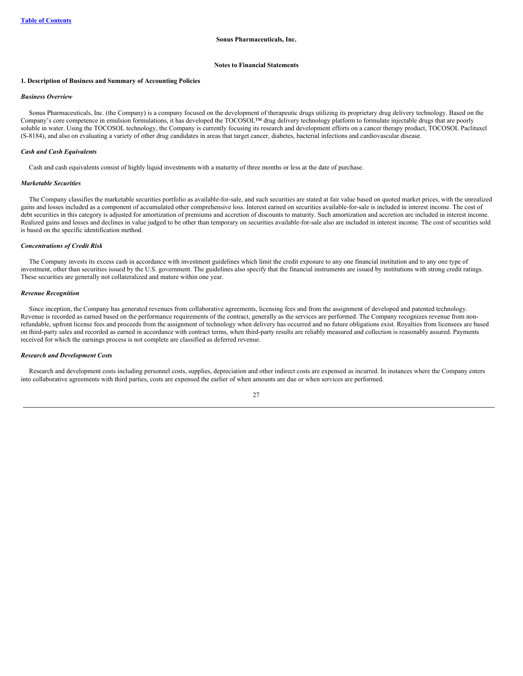### **Notes to Financial Statements**

### <span id="page-27-0"></span>**1. Description of Business and Summary of Accounting Policies**

## *Business Overview*

Sonus Pharmaceuticals, Inc. (the Company) is a company focused on the development of therapeutic drugs utilizing its proprietary drug delivery technology. Based on the Company's core competence in emulsion formulations, it has developed the TOCOSOL™ drug delivery technology platform to formulate injectable drugs that are poorly soluble in water. Using the TOCOSOL technology, the Company is currently focusing its research and development efforts on a cancer therapy product, TOCOSOL Paclitaxel (S-8184), and also on evaluating a variety of other drug candidates in areas that target cancer, diabetes, bacterial infections and cardiovascular disease.

## *Cash and Cash Equivalents*

Cash and cash equivalents consist of highly liquid investments with a maturity of three months or less at the date of purchase.

#### *Marketable Securities*

The Company classifies the marketable securities portfolio as available-for-sale, and such securities are stated at fair value based on quoted market prices, with the unrealized gains and losses included as a component of accumulated other comprehensive loss. Interest earned on securities available-for-sale is included in interest income. The cost of debt securities in this category is adjusted for amortization of premiums and accretion of discounts to maturity. Such amortization and accretion are included in interest income. Realized gains and losses and declines in value judged to be other than temporary on securities available-for-sale also are included in interest income. The cost of securities sold is based on the specific identification method.

### *Concentrations of Credit Risk*

The Company invests its excess cash in accordance with investment guidelines which limit the credit exposure to any one financial institution and to any one type of investment, other than securities issued by the U.S. government. The guidelines also specify that the financial instruments are issued by institutions with strong credit ratings. These securities are generally not collateralized and mature within one year.

#### *Revenue Recognition*

Since inception, the Company has generated revenues from collaborative agreements, licensing fees and from the assignment of developed and patented technology. Revenue is recorded as earned based on the performance requirements of the contract, generally as the services are performed. The Company recognizes revenue from nonrefundable, upfront license fees and proceeds from the assignment of technology when delivery has occurred and no future obligations exist. Royalties from licensees are based on third-party sales and recorded as earned in accordance with contract terms, when third-party results are reliably measured and collection is reasonably assured. Payments received for which the earnings process is not complete are classified as deferred revenue.

## *Research and Development Costs*

Research and development costs including personnel costs, supplies, depreciation and other indirect costs are expensed as incurred. In instances where the Company enters into collaborative agreements with third parties, costs are expensed the earlier of when amounts are due or when services are performed.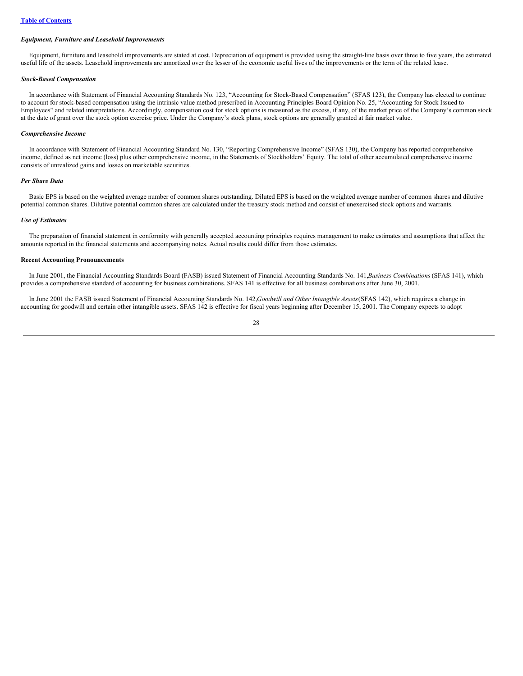## *Equipment, Furniture and Leasehold Improvements*

Equipment, furniture and leasehold improvements are stated at cost. Depreciation of equipment is provided using the straight-line basis over three to five years, the estimated useful life of the assets. Leasehold improvements are amortized over the lesser of the economic useful lives of the improvements or the term of the related lease.

## *Stock-Based Compensation*

In accordance with Statement of Financial Accounting Standards No. 123, "Accounting for Stock-Based Compensation" (SFAS 123), the Company has elected to continue to account for stock-based compensation using the intrinsic value method prescribed in Accounting Principles Board Opinion No. 25, "Accounting for Stock Issued to Employees" and related interpretations. Accordingly, compensation cost for stock options is measured as the excess, if any, of the market price of the Company's common stock at the date of grant over the stock option exercise price. Under the Company's stock plans, stock options are generally granted at fair market value.

### *Comprehensive Income*

In accordance with Statement of Financial Accounting Standard No. 130, "Reporting Comprehensive Income" (SFAS 130), the Company has reported comprehensive income, defined as net income (loss) plus other comprehensive income, in the Statements of Stockholders' Equity. The total of other accumulated comprehensive income consists of unrealized gains and losses on marketable securities.

#### *Per Share Data*

Basic EPS is based on the weighted average number of common shares outstanding. Diluted EPS is based on the weighted average number of common shares and dilutive potential common shares. Dilutive potential common shares are calculated under the treasury stock method and consist of unexercised stock options and warrants.

## *Use of Estimates*

The preparation of financial statement in conformity with generally accepted accounting principles requires management to make estimates and assumptions that affect the amounts reported in the financial statements and accompanying notes. Actual results could differ from those estimates.

## **Recent Accounting Pronouncements**

In June 2001, the Financial Accounting Standards Board (FASB) issued Statement of Financial Accounting Standards No. 141,*Business Combinations* (SFAS 141), which provides a comprehensive standard of accounting for business combinations. SFAS 141 is effective for all business combinations after June 30, 2001.

In June 2001 the FASB issued Statement of Financial Accounting Standards No. 142,*Goodwill and Other Intangible Assets*(SFAS 142), which requires a change in accounting for goodwill and certain other intangible assets. SFAS 142 is effective for fiscal years beginning after December 15, 2001. The Company expects to adopt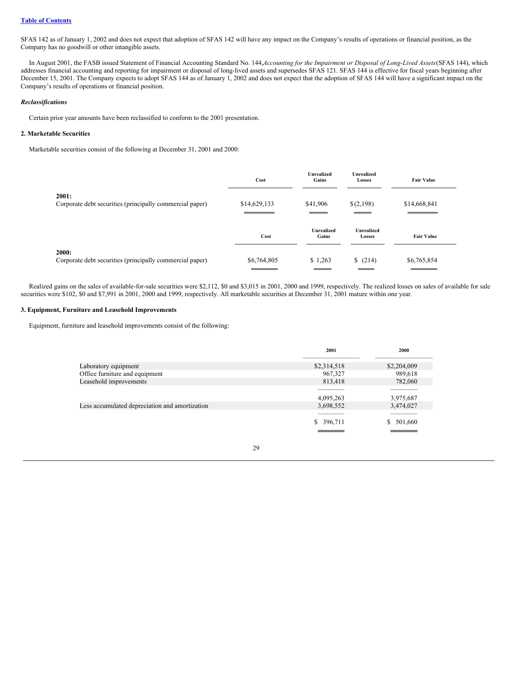## **Table of [Contents](#page-0-0)**

SFAS 142 as of January 1, 2002 and does not expect that adoption of SFAS 142 will have any impact on the Company's results of operations or financial position, as the Company has no goodwill or other intangible assets.

In August 2001, the FASB issued Statement of Financial Accounting Standard No. 144, Accounting for the Impairment or Disposal of Long-Lived Assets (SFAS 144), which addresses financial accounting and reporting for impairment or disposal of long-lived assets and supersedes SFAS 121. SFAS 144 is effective for fiscal years beginning after December 15, 2001. The Company expects to adopt SFAS 144 as of January 1, 2002 and does not expect that the adoption of SFAS 144 will have a significant impact on the Company's results of operations or financial position.

## *Reclassifications*

Certain prior year amounts have been reclassified to conform to the 2001 presentation.

## **2. Marketable Securities**

Marketable securities consist of the following at December 31, 2001 and 2000:

|                                                                   | Cost         | <b>Unrealized</b><br>Gains | <b>Unrealized</b><br>Losses | <b>Fair Value</b> |
|-------------------------------------------------------------------|--------------|----------------------------|-----------------------------|-------------------|
| 2001:<br>Corporate debt securities (principally commercial paper) | \$14,629,133 | \$41,906                   | \$(2,198)                   | \$14,668,841      |
|                                                                   | Cost         | <b>Unrealized</b><br>Gains | <b>Unrealized</b><br>Losses | <b>Fair Value</b> |
| 2000:<br>Corporate debt securities (principally commercial paper) | \$6,764,805  | \$1,263                    | \$(214)                     | \$6,765,854       |

Realized gains on the sales of available-for-sale securities were \$2,112, \$0 and \$3,015 in 2001, 2000 and 1999, respectively. The realized losses on sales of available for sale securities were \$102, \$0 and \$7,991 in 2001, 2000 and 1999, respectively. All marketable securities at December 31, 2001 mature within one year.

## **3. Equipment, Furniture and Leasehold Improvements**

Equipment, furniture and leasehold improvements consist of the following:

|                                                | 2001          | 2000          |
|------------------------------------------------|---------------|---------------|
| Laboratory equipment                           | \$2,314,518   | \$2,204,009   |
| Office furniture and equipment                 | 967,327       | 989,618       |
| Leasehold improvements                         | 813,418       | 782,060       |
|                                                |               |               |
|                                                | 4,095,263     | 3,975,687     |
| Less accumulated depreciation and amortization | 3,698,552     | 3,474,027     |
|                                                |               |               |
|                                                | 396,711<br>S. | 501,660<br>S. |
|                                                |               |               |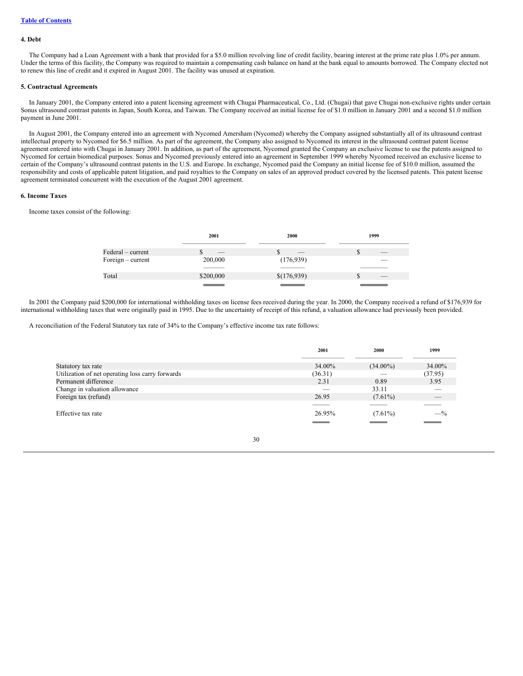### **4. Debt**

The Company had a Loan Agreement with a bank that provided for a \$5.0 million revolving line of credit facility, bearing interest at the prime rate plus 1.0% per annum. Under the terms of this facility, the Company was required to maintain a compensating cash balance on hand at the bank equal to amounts borrowed. The Company elected not to renew this line of credit and it expired in August 2001. The facility was unused at expiration.

### **5. Contractual Agreements**

In January 2001, the Company entered into a patent licensing agreement with Chugai Pharmaceutical, Co., Ltd. (Chugai) that gave Chugai non-exclusive rights under certain Sonus ultrasound contrast patents in Japan, South Korea, and Taiwan. The Company received an initial license fee of \$1.0 million in January 2001 and a second \$1.0 million payment in June 2001.

In August 2001, the Company entered into an agreement with Nycomed Amersham (Nycomed) whereby the Company assigned substantially all of its ultrasound contrast intellectual property to Nycomed for \$6.5 million. As part of the agreement, the Company also assigned to Nycomed its interest in the ultrasound contrast patent license agreement entered into with Chugai in January 2001. In addition, as part of the agreement, Nycomed granted the Company an exclusive license to use the patents assigned to Nycomed for certain biomedical purposes. Sonus and Nycomed previously entered into an agreement in September 1999 whereby Nycomed received an exclusive license to certain of the Company's ultrasound contrast patents in the U.S. and Europe. In exchange, Nycomed paid the Company an initial license fee of \$10.0 million, assumed the responsibility and costs of applicable patent litigation, and paid royalties to the Company on sales of an approved product covered by the licensed patents. This patent license agreement terminated concurrent with the execution of the August 2001 agreement.

### **6. Income Taxes**

Income taxes consist of the following:

|                     | 2001      | 2000        | 1999    |
|---------------------|-----------|-------------|---------|
| Federal – current   |           | __          | ۰D      |
| Foreign $-$ current | 200,000   | (176,939)   | _       |
|                     |           |             |         |
| Total               | \$200,000 | \$(176,939) | __<br>Œ |
|                     |           |             |         |

In 2001 the Company paid \$200,000 for international withholding taxes on license fees received during the year. In 2000, the Company received a refund of \$176,939 for international withholding taxes that were originally paid in 1995. Due to the uncertainty of receipt of this refund, a valuation allowance had previously been provided.

A reconciliation of the Federal Statutory tax rate of 34% to the Company's effective income tax rate follows:

|                                                  | 2001    | 2000        | 1999    |
|--------------------------------------------------|---------|-------------|---------|
|                                                  |         |             |         |
| Statutory tax rate                               | 34.00%  | $(34.00\%)$ | 34.00%  |
| Utilization of net operating loss carry forwards | (36.31) |             | (37.95) |
| Permanent difference                             | 2.31    | 0.89        | 3.95    |
| Change in valuation allowance                    |         | 33.11       | _       |
| Foreign tax (refund)                             | 26.95   | $(7.61\%)$  |         |
|                                                  |         |             |         |
| Effective tax rate                               | 26.95%  | $(7.61\%)$  | $-$ %   |
|                                                  |         |             |         |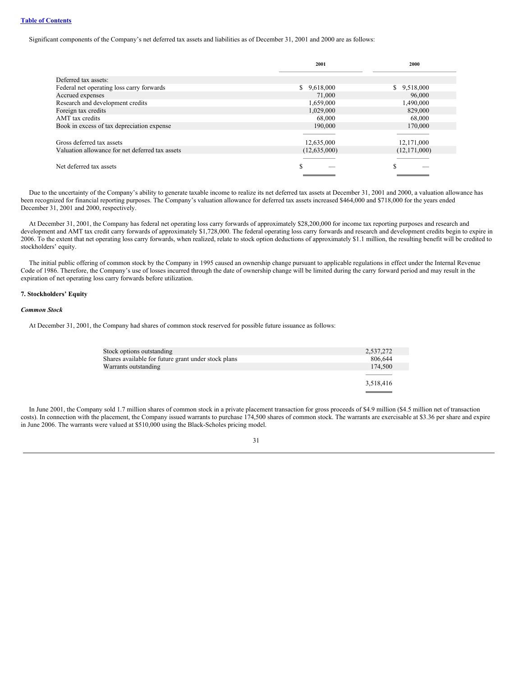Significant components of the Company's net deferred tax assets and liabilities as of December 31, 2001 and 2000 are as follows:

|                                                 | 2001         | 2000           |
|-------------------------------------------------|--------------|----------------|
| Deferred tax assets:                            |              |                |
| Federal net operating loss carry forwards       | \$9,618,000  | \$9,518,000    |
| Accrued expenses                                | 71,000       | 96,000         |
| Research and development credits                | 1,659,000    | 1,490,000      |
| Foreign tax credits                             | 1,029,000    | 829,000        |
| AMT tax credits                                 | 68,000       | 68,000         |
| Book in excess of tax depreciation expense      | 190,000      | 170,000        |
|                                                 |              |                |
| Gross deferred tax assets                       | 12,635,000   | 12,171,000     |
| Valuation allowance for net deferred tax assets | (12,635,000) | (12, 171, 000) |
|                                                 |              |                |
| Net deferred tax assets                         | S            | S              |
|                                                 |              |                |

Due to the uncertainty of the Company's ability to generate taxable income to realize its net deferred tax assets at December 31, 2001 and 2000, a valuation allowance has been recognized for financial reporting purposes. The Company's valuation allowance for deferred tax assets increased \$464,000 and \$718,000 for the years ended December 31, 2001 and 2000, respectively.

At December 31, 2001, the Company has federal net operating loss carry forwards of approximately \$28,200,000 for income tax reporting purposes and research and development and AMT tax credit carry forwards of approximately \$1,728,000. The federal operating loss carry forwards and research and development credits begin to expire in 2006. To the extent that net operating loss carry forwards, when realized, relate to stock option deductions of approximately \$1.1 million, the resulting benefit will be credited to stockholders' equity.

The initial public offering of common stock by the Company in 1995 caused an ownership change pursuant to applicable regulations in effect under the Internal Revenue Code of 1986. Therefore, the Company's use of losses incurred through the date of ownership change will be limited during the carry forward period and may result in the expiration of net operating loss carry forwards before utilization.

## **7. Stockholders' Equity**

## *Common Stock*

At December 31, 2001, the Company had shares of common stock reserved for possible future issuance as follows:

| Stock options outstanding                           | 2,537,272 |
|-----------------------------------------------------|-----------|
| Shares available for future grant under stock plans | 806,644   |
| Warrants outstanding                                | 174,500   |
|                                                     |           |
|                                                     | 3,518,416 |
|                                                     |           |

In June 2001, the Company sold 1.7 million shares of common stock in a private placement transaction for gross proceeds of \$4.9 million (\$4.5 million net of transaction costs). In connection with the placement, the Company issued warrants to purchase 174,500 shares of common stock. The warrants are exercisable at \$3.36 per share and expire in June 2006. The warrants were valued at \$510,000 using the Black-Scholes pricing model.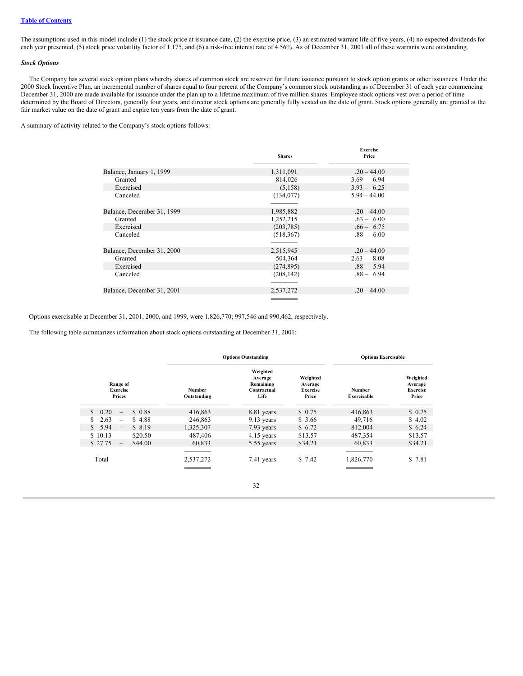## **Table of [Contents](#page-0-0)**

The assumptions used in this model include (1) the stock price at issuance date, (2) the exercise price, (3) an estimated warrant life of five years, (4) no expected dividends for each year presented, (5) stock price volatility factor of 1.175, and (6) a risk-free interest rate of 4.56%. As of December 31, 2001 all of these warrants were outstanding.

### *Stock Options*

The Company has several stock option plans whereby shares of common stock are reserved for future issuance pursuant to stock option grants or other issuances. Under the 2000 Stock Incentive Plan, an incremental number of shares equal to four percent of the Company's common stock outstanding as of December 31 of each year commencing December 31, 2000 are made available for issuance under the plan up to a lifetime maximum of five million shares. Employee stock options vest over a period of time determined by the Board of Directors, generally four years, and director stock options are generally fully vested on the date of grant. Stock options generally are granted at the fair market value on the date of grant and expire ten years from the date of grant.

A summary of activity related to the Company's stock options follows:

|                            | <b>Shares</b> | <b>Exercise</b><br>Price |
|----------------------------|---------------|--------------------------|
|                            |               |                          |
| Balance, January 1, 1999   | 1,311,091     | $.20 - 44.00$            |
| Granted                    | 814,026       | $3.69 - 6.94$            |
| Exercised                  | (5,158)       | $3.93 - 6.25$            |
| Canceled                   | (134,077)     | $5.94 - 44.00$           |
|                            |               |                          |
| Balance, December 31, 1999 | 1,985,882     | $.20 - 44.00$            |
| Granted                    | 1,252,215     | $.63 - 6.00$             |
| Exercised                  | (203, 785)    | $.66 - 6.75$             |
| Canceled                   | (518, 367)    | $.88 - 6.00$             |
|                            |               |                          |
| Balance, December 31, 2000 | 2,515,945     | $.20 - 44.00$            |
| Granted                    | 504,364       | $2.63 - 8.08$            |
| Exercised                  | (274, 895)    | $.88 - 5.94$             |
| Canceled                   | (208, 142)    | $.88 - 6.94$             |
|                            |               |                          |
| Balance, December 31, 2001 | 2,537,272     | $.20 - 44.00$            |
|                            |               |                          |

Options exercisable at December 31, 2001, 2000, and 1999, were 1,826,770; 997,546 and 990,462, respectively.

The following table summarizes information about stock options outstanding at December 31, 2001:

|                                                  | <b>Options Outstanding</b> |                                                         | <b>Options Exercisable</b>                      |                       |                                                 |
|--------------------------------------------------|----------------------------|---------------------------------------------------------|-------------------------------------------------|-----------------------|-------------------------------------------------|
| Range of<br><b>Exercise</b><br>Prices            | Number<br>Outstanding      | Weighted<br>Average<br>Remaining<br>Contractual<br>Life | Weighted<br>Average<br><b>Exercise</b><br>Price | Number<br>Exercisable | Weighted<br>Average<br><b>Exercise</b><br>Price |
| \$0.20<br>\$0.88<br>$\overline{\phantom{0}}$     | 416,863                    | 8.81 years                                              | \$0.75                                          | 416,863               | \$0.75                                          |
| 2.63<br>\$4.88<br>S.<br>$\overline{\phantom{0}}$ | 246,863                    | $9.13$ years                                            | \$3.66                                          | 49,716                | \$4.02                                          |
| \$5.94<br>\$8.19<br>$-$                          | 1,325,307                  | 7.93 years                                              | \$6.72                                          | 812,004               | \$6.24                                          |
| \$10.13<br>\$20.50<br>$\overline{\phantom{0}}$   | 487,406                    | 4.15 years                                              | \$13.57                                         | 487,354               | \$13.57                                         |
| \$27.75<br>\$44.00<br>$\overline{\phantom{0}}$   | 60,833                     | 5.55 years                                              | \$34.21                                         | 60,833                | \$34.21                                         |
| Total                                            | 2,537,272                  | 7.41 years                                              | \$7.42                                          | 1,826,770             | \$7.81                                          |
|                                                  |                            | 32                                                      |                                                 |                       |                                                 |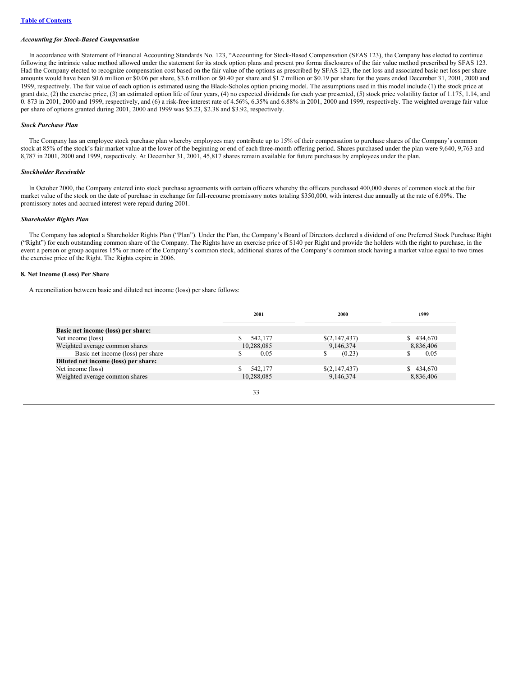#### *Accounting for Stock-Based Compensation*

In accordance with Statement of Financial Accounting Standards No. 123, "Accounting for Stock-Based Compensation (SFAS 123), the Company has elected to continue following the intrinsic value method allowed under the statement for its stock option plans and present pro forma disclosures of the fair value method prescribed by SFAS 123. Had the Company elected to recognize compensation cost based on the fair value of the options as prescribed by SFAS 123, the net loss and associated basic net loss per share amounts would have been \$0.6 million or \$0.06 per share, \$3.6 million or \$0.40 per share and \$1.7 million or \$0.19 per share for the years ended December 31, 2001, 2000 and 1999, respectively. The fair value of each option is estimated using the Black-Scholes option pricing model. The assumptions used in this model include (1) the stock price at grant date, (2) the exercise price, (3) an estimated option life of four years, (4) no expected dividends for each year presented, (5) stock price volatility factor of 1.175, 1.14, and 0. 873 in 2001, 2000 and 1999, respectively, and (6) a risk-free interest rate of 4.56%, 6.35% and 6.88% in 2001, 2000 and 1999, respectively. The weighted average fair value per share of options granted during 2001, 2000 and 1999 was \$5.23, \$2.38 and \$3.92, respectively.

## *Stock Purchase Plan*

The Company has an employee stock purchase plan whereby employees may contribute up to 15% of their compensation to purchase shares of the Company's common stock at 85% of the stock's fair market value at the lower of the beginning or end of each three-month offering period. Shares purchased under the plan were 9,640, 9,763 and 8,787 in 2001, 2000 and 1999, respectively. At December 31, 2001, 45,817 shares remain available for future purchases by employees under the plan.

### *Stockholder Receivable*

In October 2000, the Company entered into stock purchase agreements with certain officers whereby the officers purchased 400,000 shares of common stock at the fair market value of the stock on the date of purchase in exchange for full-recourse promissory notes totaling \$350,000, with interest due annually at the rate of 6.09%. The promissory notes and accrued interest were repaid during 2001.

## *Shareholder Rights Plan*

The Company has adopted a Shareholder Rights Plan ("Plan"). Under the Plan, the Company's Board of Directors declared a dividend of one Preferred Stock Purchase Right ("Right") for each outstanding common share of the Company. The Rights have an exercise price of \$140 per Right and provide the holders with the right to purchase, in the event a person or group acquires 15% or more of the Company's common stock, additional shares of the Company's common stock having a market value equal to two times the exercise price of the Right. The Rights expire in 2006.

#### **8. Net Income (Loss) Per Share**

A reconciliation between basic and diluted net income (loss) per share follows:

|                                      | 2001       | 2000          | 1999      |
|--------------------------------------|------------|---------------|-----------|
| Basic net income (loss) per share:   |            |               |           |
| Net income (loss)                    | 542,177    | \$(2,147,437) | \$434,670 |
| Weighted average common shares       | 10,288,085 | 9,146,374     | 8,836,406 |
| Basic net income (loss) per share    | 0.05       | \$<br>(0.23)  | 0.05      |
| Diluted net income (loss) per share: |            |               |           |
| Net income (loss)                    | 542,177    | \$(2,147,437) | \$434,670 |
| Weighted average common shares       | 10,288,085 | 9,146,374     | 8,836,406 |
|                                      |            |               |           |
|                                      | 33         |               |           |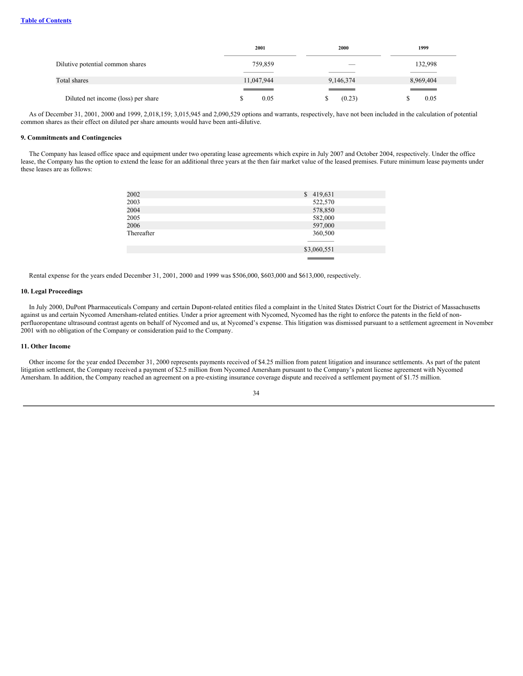|                                     | 2001       | 2000      | 1999                     |
|-------------------------------------|------------|-----------|--------------------------|
| Dilutive potential common shares    | 759,859    |           | 132,998                  |
|                                     |            |           |                          |
| Total shares                        | 11,047,944 | 9,146,374 | 8,969,404                |
|                                     |            |           | <b>Contract Contract</b> |
| Diluted net income (loss) per share | 0.05       | (0.23)    | 0.05                     |

As of December 31, 2001, 2000 and 1999, 2,018,159; 3,015,945 and 2,090,529 options and warrants, respectively, have not been included in the calculation of potential common shares as their effect on diluted per share amounts would have been anti-dilutive.

## **9. Commitments and Contingencies**

The Company has leased office space and equipment under two operating lease agreements which expire in July 2007 and October 2004, respectively. Under the office lease, the Company has the option to extend the lease for an additional three years at the then fair market value of the leased premises. Future minimum lease payments under these leases are as follows:

| 2002       | \$419,631   |
|------------|-------------|
| 2003       | 522,570     |
| 2004       | 578,850     |
| 2005       | 582,000     |
| 2006       | 597,000     |
| Thereafter | 360,500     |
|            |             |
|            | \$3,060,551 |
|            |             |

Rental expense for the years ended December 31, 2001, 2000 and 1999 was \$506,000, \$603,000 and \$613,000, respectively.

### **10. Legal Proceedings**

In July 2000, DuPont Pharmaceuticals Company and certain Dupont-related entities filed a complaint in the United States District Court for the District of Massachusetts against us and certain Nycomed Amersham-related entities. Under a prior agreement with Nycomed, Nycomed has the right to enforce the patents in the field of nonperfluoropentane ultrasound contrast agents on behalf of Nycomed and us, at Nycomed's expense. This litigation was dismissed pursuant to a settlement agreement in November 2001 with no obligation of the Company or consideration paid to the Company.

## **11. Other Income**

Other income for the year ended December 31, 2000 represents payments received of \$4.25 million from patent litigation and insurance settlements. As part of the patent litigation settlement, the Company received a payment of \$2.5 million from Nycomed Amersham pursuant to the Company's patent license agreement with Nycomed Amersham. In addition, the Company reached an agreement on a pre-existing insurance coverage dispute and received a settlement payment of \$1.75 million.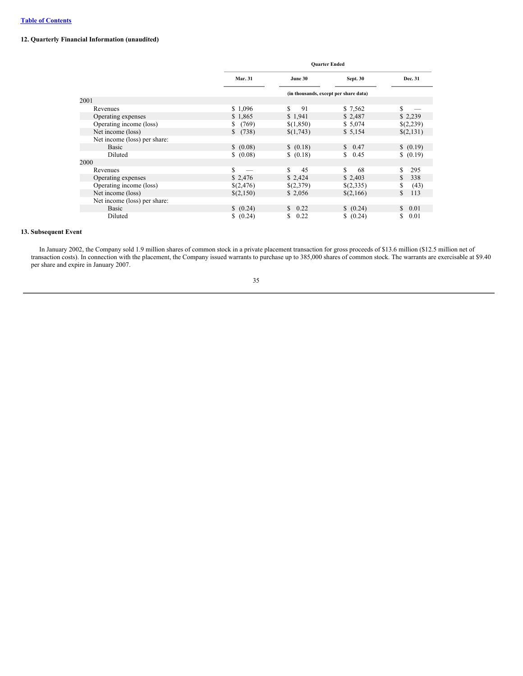## **12. Quarterly Financial Information (unaudited)**

|                              | <b>Quarter Ended</b> |            |                                       |            |
|------------------------------|----------------------|------------|---------------------------------------|------------|
|                              | <b>Mar. 31</b>       | June 30    | Sept. 30                              | Dec. 31    |
|                              |                      |            | (in thousands, except per share data) |            |
| 2001                         |                      |            |                                       |            |
| Revenues                     | \$1,096              | \$.<br>91  | \$7,562                               | S          |
| Operating expenses           | \$1,865              | \$1,941    | \$2,487                               | \$2,239    |
| Operating income (loss)      | (769)<br>S.          | \$(1,850)  | \$5,074                               | \$(2,239)  |
| Net income (loss)            | S.<br>(738)          | \$(1,743)  | \$5,154                               | \$(2,131)  |
| Net income (loss) per share: |                      |            |                                       |            |
| Basic                        | \$ (0.08)            | \$(0.18)   | \$0.47                                | \$ (0.19)  |
| Diluted                      | \$ (0.08)            | \$(0.18)   | \$0.45                                | \$ (0.19)  |
| 2000                         |                      |            |                                       |            |
| Revenues                     | S                    | \$.<br>45  | \$.<br>68                             | 295<br>S.  |
| Operating expenses           | \$2,476              | \$2,424    | \$2,403                               | 338<br>S.  |
| Operating income (loss)      | \$(2,476)            | \$(2,379)  | \$(2,335)                             | (43)<br>S. |
| Net income (loss)            | \$(2,150)            | \$2,056    | \$(2,166)                             | 113<br>\$  |
| Net income (loss) per share: |                      |            |                                       |            |
| Basic                        | (0.24)               | 0.22<br>S. | (0.24)                                | 0.01<br>S. |
| Diluted                      | \$ (0.24)            | 0.22<br>S  | \$ (0.24)                             | 0.01<br>S  |

## **13. Subsequent Event**

In January 2002, the Company sold 1.9 million shares of common stock in a private placement transaction for gross proceeds of \$13.6 million (\$12.5 million net of transaction costs). In connection with the placement, the Company issued warrants to purchase up to 385,000 shares of common stock. The warrants are exercisable at \$9.40 per share and expire in January 2007.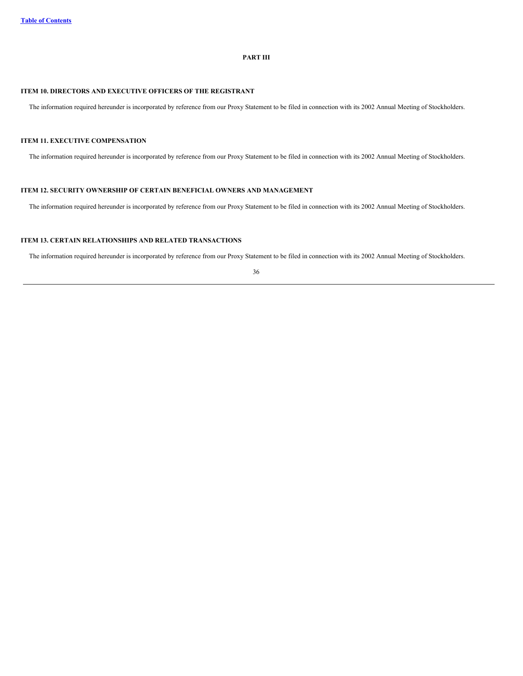## **PART III**

# **ITEM 10. DIRECTORS AND EXECUTIVE OFFICERS OF THE REGISTRANT**

The information required hereunder is incorporated by reference from our Proxy Statement to be filed in connection with its 2002 Annual Meeting of Stockholders.

## **ITEM 11. EXECUTIVE COMPENSATION**

The information required hereunder is incorporated by reference from our Proxy Statement to be filed in connection with its 2002 Annual Meeting of Stockholders.

## **ITEM 12. SECURITY OWNERSHIP OF CERTAIN BENEFICIAL OWNERS AND MANAGEMENT**

The information required hereunder is incorporated by reference from our Proxy Statement to be filed in connection with its 2002 Annual Meeting of Stockholders.

## **ITEM 13. CERTAIN RELATIONSHIPS AND RELATED TRANSACTIONS**

The information required hereunder is incorporated by reference from our Proxy Statement to be filed in connection with its 2002 Annual Meeting of Stockholders.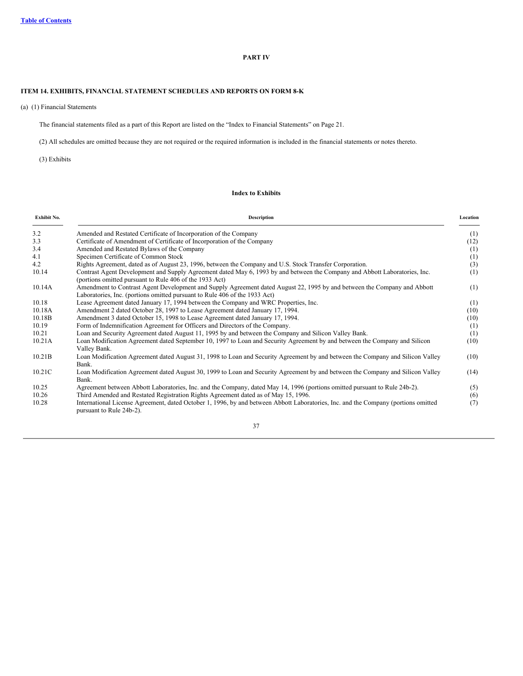## **PART IV**

## **ITEM 14. EXHIBITS, FINANCIAL STATEMENT SCHEDULES AND REPORTS ON FORM 8-K**

(a) (1) Financial Statements

The financial statements filed as a part of this Report are listed on the "Index to Financial Statements" on Page 21.

(2) All schedules are omitted because they are not required or the required information is included in the financial statements or notes thereto.

(3) Exhibits

## **Index to Exhibits**

| Exhibit No. | Description                                                                                                                                                                                            | Location |
|-------------|--------------------------------------------------------------------------------------------------------------------------------------------------------------------------------------------------------|----------|
| 3.2         | Amended and Restated Certificate of Incorporation of the Company                                                                                                                                       | (1)      |
| 3.3         | Certificate of Amendment of Certificate of Incorporation of the Company                                                                                                                                | (12)     |
| 3.4         | Amended and Restated Bylaws of the Company                                                                                                                                                             | (1)      |
| 4.1         | Specimen Certificate of Common Stock                                                                                                                                                                   | (1)      |
| 4.2         | Rights Agreement, dated as of August 23, 1996, between the Company and U.S. Stock Transfer Corporation.                                                                                                | (3)      |
| 10.14       | Contrast Agent Development and Supply Agreement dated May 6, 1993 by and between the Company and Abbott Laboratories, Inc.<br>(portions omitted pursuant to Rule 406 of the 1933 Act)                  | (1)      |
| 10.14A      | Amendment to Contrast Agent Development and Supply Agreement dated August 22, 1995 by and between the Company and Abbott<br>Laboratories, Inc. (portions omitted pursuant to Rule 406 of the 1933 Act) | (1)      |
| 10.18       | Lease Agreement dated January 17, 1994 between the Company and WRC Properties, Inc.                                                                                                                    | (1)      |
| 10.18A      | Amendment 2 dated October 28, 1997 to Lease Agreement dated January 17, 1994.                                                                                                                          | (10)     |
| 10.18B      | Amendment 3 dated October 15, 1998 to Lease Agreement dated January 17, 1994.                                                                                                                          | (10)     |
| 10.19       | Form of Indemnification Agreement for Officers and Directors of the Company.                                                                                                                           | (1)      |
| 10.21       | Loan and Security Agreement dated August 11, 1995 by and between the Company and Silicon Valley Bank.                                                                                                  | (1)      |
| 10.21A      | Loan Modification Agreement dated September 10, 1997 to Loan and Security Agreement by and between the Company and Silicon<br>Valley Bank.                                                             | (10)     |
| 10.21B      | Loan Modification Agreement dated August 31, 1998 to Loan and Security Agreement by and between the Company and Silicon Valley<br>Bank.                                                                | (10)     |
| 10.21C      | Loan Modification Agreement dated August 30, 1999 to Loan and Security Agreement by and between the Company and Silicon Valley<br>Bank.                                                                | (14)     |
| 10.25       | Agreement between Abbott Laboratories, Inc. and the Company, dated May 14, 1996 (portions omitted pursuant to Rule 24b-2).                                                                             | (5)      |
| 10.26       | Third Amended and Restated Registration Rights Agreement dated as of May 15, 1996.                                                                                                                     | (6)      |
| 10.28       | International License Agreement, dated October 1, 1996, by and between Abbott Laboratories, Inc. and the Company (portions omitted<br>pursuant to Rule 24b-2).                                         | (7)      |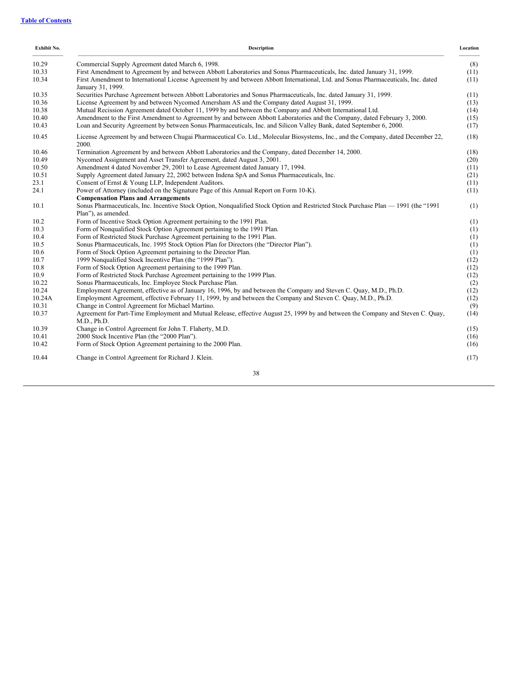| Exhibit No. | Description                                                                                                                                               | Location |
|-------------|-----------------------------------------------------------------------------------------------------------------------------------------------------------|----------|
| 10.29       | Commercial Supply Agreement dated March 6, 1998.                                                                                                          | (8)      |
| 10.33       | First Amendment to Agreement by and between Abbott Laboratories and Sonus Pharmaceuticals, Inc. dated January 31, 1999.                                   | (11)     |
| 10.34       | First Amendment to International License Agreement by and between Abbott International, Ltd. and Sonus Pharmaceuticals, Inc. dated<br>January 31, 1999.   | (11)     |
| 10.35       | Securities Purchase Agreement between Abbott Laboratories and Sonus Pharmaceuticals, Inc. dated January 31, 1999.                                         | (11)     |
| 10.36       | License Agreement by and between Nycomed Amersham AS and the Company dated August 31, 1999.                                                               | (13)     |
| 10.38       | Mutual Recission Agreement dated October 11, 1999 by and between the Company and Abbott International Ltd.                                                | (14)     |
| 10.40       | Amendment to the First Amendment to Agreement by and between Abbott Laboratories and the Company, dated February 3, 2000.                                 | (15)     |
| 10.43       | Loan and Security Agreement by between Sonus Pharmaceuticals, Inc. and Silicon Valley Bank, dated September 6, 2000.                                      | (17)     |
| 10.45       | License Agreement by and between Chugai Pharmaceutical Co. Ltd., Molecular Biosystems, Inc., and the Company, dated December 22,<br>2000.                 | (18)     |
| 10.46       | Termination Agreement by and between Abbott Laboratories and the Company, dated December 14, 2000.                                                        | (18)     |
| 10.49       | Nycomed Assignment and Asset Transfer Agreement, dated August 3, 2001.                                                                                    | (20)     |
| 10.50       | Amendment 4 dated November 29, 2001 to Lease Agreement dated January 17, 1994.                                                                            | (11)     |
| 10.51       | Supply Agreement dated January 22, 2002 between Indena SpA and Sonus Pharmaceuticals, Inc.                                                                | (21)     |
| 23.1        | Consent of Ernst & Young LLP, Independent Auditors.                                                                                                       | (11)     |
| 24.1        | Power of Attorney (included on the Signature Page of this Annual Report on Form 10-K).                                                                    | (11)     |
|             | <b>Compensation Plans and Arrangements</b>                                                                                                                |          |
| 10.1        | Sonus Pharmaceuticals, Inc. Incentive Stock Option, Nonqualified Stock Option and Restricted Stock Purchase Plan — 1991 (the "1991<br>Plan"), as amended. | (1)      |
| 10.2        | Form of Incentive Stock Option Agreement pertaining to the 1991 Plan.                                                                                     | (1)      |
| 10.3        | Form of Nonqualified Stock Option Agreement pertaining to the 1991 Plan.                                                                                  | (1)      |
| 10.4        | Form of Restricted Stock Purchase Agreement pertaining to the 1991 Plan.                                                                                  | (1)      |
| 10.5        | Sonus Pharmaceuticals, Inc. 1995 Stock Option Plan for Directors (the "Director Plan").                                                                   | (1)      |
| 10.6        | Form of Stock Option Agreement pertaining to the Director Plan.                                                                                           | (1)      |
| 10.7        | 1999 Nonqualified Stock Incentive Plan (the "1999 Plan").                                                                                                 | (12)     |
| 10.8        | Form of Stock Option Agreement pertaining to the 1999 Plan.                                                                                               | (12)     |
| 10.9        | Form of Restricted Stock Purchase Agreement pertaining to the 1999 Plan.                                                                                  | (12)     |
| 10.22       | Sonus Pharmaceuticals, Inc. Employee Stock Purchase Plan.                                                                                                 | (2)      |
| 10.24       | Employment Agreement, effective as of January 16, 1996, by and between the Company and Steven C. Quay, M.D., Ph.D.                                        | (12)     |
| 10.24A      | Employment Agreement, effective February 11, 1999, by and between the Company and Steven C. Quay, M.D., Ph.D.                                             | (12)     |
| 10.31       | Change in Control Agreement for Michael Martino.                                                                                                          | (9)      |
| 10.37       | Agreement for Part-Time Employment and Mutual Release, effective August 25, 1999 by and between the Company and Steven C. Quay,<br>M.D., Ph.D.            | (14)     |
| 10.39       | Change in Control Agreement for John T. Flaherty, M.D.                                                                                                    | (15)     |
| 10.41       | 2000 Stock Incentive Plan (the "2000 Plan").                                                                                                              | (16)     |
| 10.42       | Form of Stock Option Agreement pertaining to the 2000 Plan.                                                                                               | (16)     |
| 10.44       | Change in Control Agreement for Richard J. Klein.                                                                                                         | (17)     |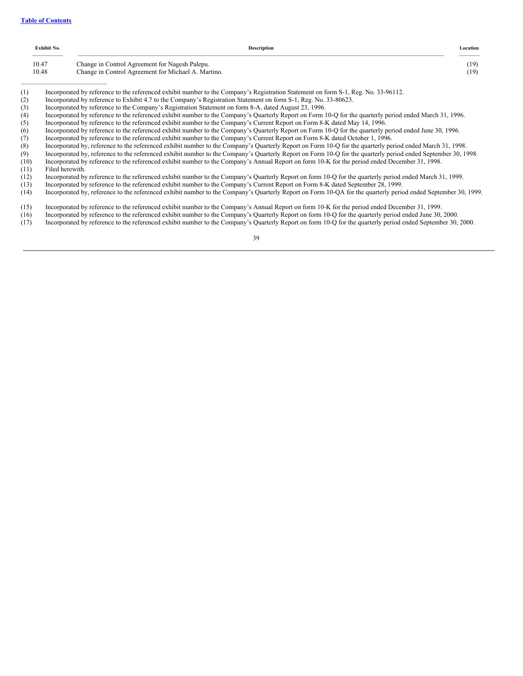| Exhibit No.                | <b>Description</b>                                                                                                                                                                                                                                                                                                                                                                      | Location     |
|----------------------------|-----------------------------------------------------------------------------------------------------------------------------------------------------------------------------------------------------------------------------------------------------------------------------------------------------------------------------------------------------------------------------------------|--------------|
| 10.47<br>10.48             | Change in Control Agreement for Nagesh Palepu.<br>Change in Control Agreement for Michael A. Martino.                                                                                                                                                                                                                                                                                   | (19)<br>(19) |
| $\sim$ . The set of $\sim$ | $\mathbf{a}$ , $\mathbf{a}$ , $\mathbf{a}$ , $\mathbf{a}$ , $\mathbf{a}$ , $\mathbf{a}$ , $\mathbf{a}$ , $\mathbf{a}$ , $\mathbf{a}$ , $\mathbf{a}$ , $\mathbf{a}$ , $\mathbf{a}$ , $\mathbf{a}$ , $\mathbf{a}$ , $\mathbf{a}$ , $\mathbf{a}$ , $\mathbf{a}$ , $\mathbf{a}$ , $\mathbf{a}$ , $\mathbf{a}$ ,<br>$\sim$ $\sim$ $\sim$ $\sim$ $\sim$<br>$\sim$ $\sim$ $\sim$ $\sim$ $\sim$ |              |

(1) Incorporated by reference to the referenced exhibit number to the Company's Registration Statement on form S-1, Reg. No. 33-96112.

(2) Incorporated by reference to Exhibit 4.7 to the Company's Registration Statement on form S-1, Reg. No. 33-80623.

(3) Incorporated by reference to the Company's Registration Statement on form 8-A, dated August 23, 1996.

(4) Incorporated by reference to the referenced exhibit number to the Company's Quarterly Report on Form 10-Q for the quarterly period ended March 31, 1996.

(5) Incorporated by reference to the referenced exhibit number to the Company's Current Report on Form 8-K dated May 14, 1996.

(6) Incorporated by reference to the referenced exhibit number to the Company's Quarterly Report on Form 10-Q for the quarterly period ended June 30, 1996.

(7) Incorporated by reference to the referenced exhibit number to the Company's Current Report on Form 8-K dated October 1, 1996.

(8) Incorporated by, reference to the referenced exhibit number to the Company's Quarterly Report on Form 10-Q for the quarterly period ended March 31, 1998.

(9) Incorporated by, reference to the referenced exhibit number to the Company's Quarterly Report on Form 10-Q for the quarterly period ended September 30, 1998.

- (10) Incorporated by reference to the referenced exhibit number to the Company's Annual Report on form 10-K for the period ended December 31, 1998. (11) Filed herewith.
- 

(12) Incorporated by reference to the referenced exhibit number to the Company's Quarterly Report on form 10-Q for the quarterly period ended March 31, 1999.

(13) Incorporated by reference to the referenced exhibit number to the Company's Current Report on Form 8-K dated September 28, 1999.

(14) Incorporated by, reference to the referenced exhibit number to the Company's Quarterly Report on Form 10-QA for the quarterly period ended September 30, 1999.

(15) Incorporated by reference to the referenced exhibit number to the Company's Annual Report on form 10-K for the period ended December 31, 1999.

(16) Incorporated by reference to the referenced exhibit number to the Company's Quarterly Report on form 10-Q for the quarterly period ended June 30, 2000.

(17) Incorporated by reference to the referenced exhibit number to the Company's Quarterly Report on form 10-Q for the quarterly period ended September 30, 2000.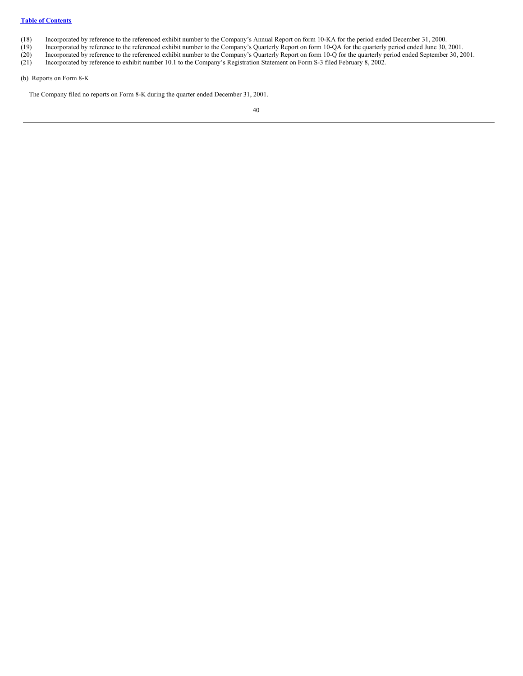## **Table of [Contents](#page-0-0)**

- 
- (18) Incorporated by reference to the referenced exhibit number to the Company's Annual Report on form 10-KA for the period ended December 31, 2000.<br>(19) Incorporated by reference to the referenced exhibit number to the Co (19) Incorporated by reference to the referenced exhibit number to the Company's Quarterly Report on form 10-QA for the quarterly period ended June 30, 2001.<br>(20) Incorporated by reference to the referenced exhibit number
- (20) Incorporated by reference to the referenced exhibit number to the Company's Quarterly Report on form 10-Q for the quarterly period ended September 30, 2001.
- (21) Incorporated by reference to exhibit number 10.1 to the Company's Registration Statement on Form S-3 filed February 8, 2002.
- (b) Reports on Form 8-K

The Company filed no reports on Form 8-K during the quarter ended December 31, 2001.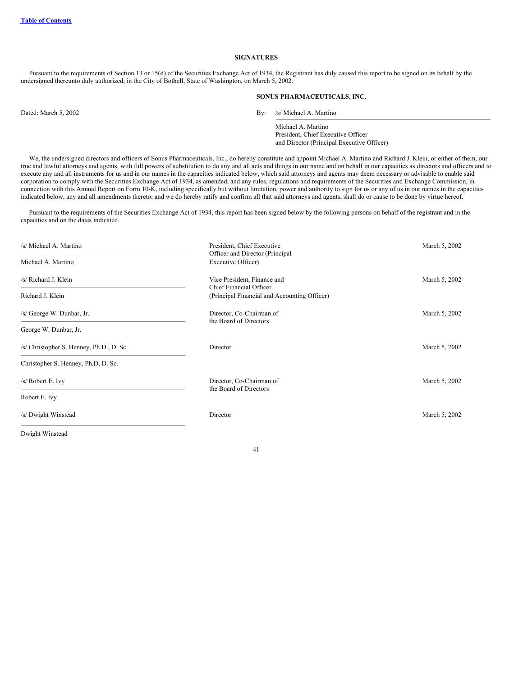## **SIGNATURES**

Pursuant to the requirements of Section 13 or 15(d) of the Securities Exchange Act of 1934, the Registrant has duly caused this report to be signed on its behalf by the undersigned thereunto duly authorized, in the City of Bothell, State of Washington, on March 5, 2002.

#### **SONUS PHARMACEUTICALS, INC.**

Dated: March 5, 2002 By: /s/ Michael A. Martino

Michael A. Martino President, Chief Executive Officer and Director (Principal Executive Officer)

We, the undersigned directors and officers of Sonus Pharmaceuticals, Inc., do hereby constitute and appoint Michael A. Martino and Richard J. Klein, or either of them, our true and lawful attorneys and agents, with full powers of substitution to do any and all acts and things in our name and on behalf in our capacities as directors and officers and to execute any and all instruments for us and in our names in the capacities indicated below, which said attorneys and agents may deem necessary or advisable to enable said corporation to comply with the Securities Exchange Act of 1934, as amended, and any rules, regulations and requirements of the Securities and Exchange Commission, in connection with this Annual Report on Form 10-K, including specifically but without limitation, power and authority to sign for us or any of us in our names in the capacities indicated below, any and all amendments thereto; and we do hereby ratify and confirm all that said attorneys and agents, shall do or cause to be done by virtue hereof.

Pursuant to the requirements of the Securities Exchange Act of 1934, this report has been signed below by the following persons on behalf of the registrant and in the capacities and on the dates indicated.

| /s/ Michael A. Martino                   | President, Chief Executive<br>Officer and Director (Principal | March 5, 2002 |
|------------------------------------------|---------------------------------------------------------------|---------------|
| Michael A. Martino                       | Executive Officer)                                            |               |
| /s/ Richard J. Klein                     | Vice President, Finance and<br>Chief Financial Officer        | March 5, 2002 |
| Richard J. Klein                         | (Principal Financial and Accounting Officer)                  |               |
| /s/ George W. Dunbar, Jr.                | Director, Co-Chairman of<br>the Board of Directors            | March 5, 2002 |
| George W. Dunbar, Jr.                    |                                                               |               |
| /s/ Christopher S. Henney, Ph.D., D. Sc. | Director                                                      | March 5, 2002 |
| Christopher S. Henney, Ph.D, D. Sc.      |                                                               |               |
| /s/ Robert E. Ivy                        | Director, Co-Chairman of<br>the Board of Directors            | March 5, 2002 |
| Robert E. Ivy                            |                                                               |               |
| /s/ Dwight Winstead                      | Director                                                      | March 5, 2002 |

Dwight Winstead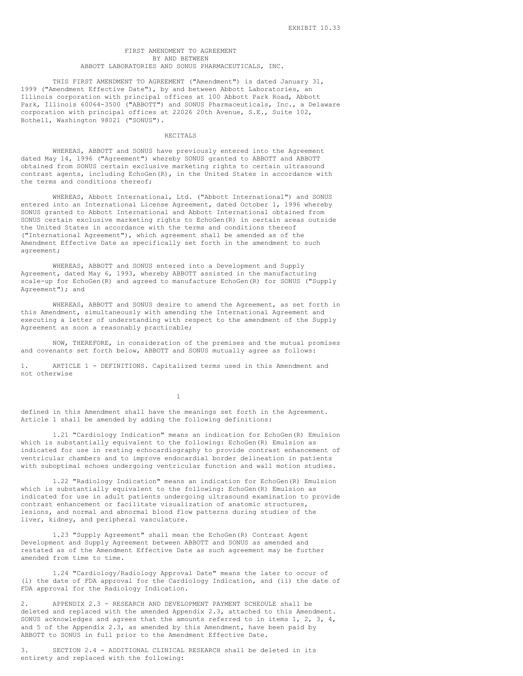### FIRST AMENDMENT TO AGREEMENT BY AND BETWEEN ABBOTT LABORATORIES AND SONUS PHARMACEUTICALS, INC.

THIS FIRST AMENDMENT TO AGREEMENT ("Amendment") is dated January 31, 1999 ("Amendment Effective Date"), by and between Abbott Laboratories, an Illinois corporation with principal offices at 100 Abbott Park Road, Abbott Park, Illinois 60064-3500 ("ABBOTT") and SONUS Pharmaceuticals, Inc., a Delaware corporation with principal offices at 22026 20th Avenue, S.E., Suite 102, Bothell, Washington 98021 ("SONUS").

### RECITALS

WHEREAS, ABBOTT and SONUS have previously entered into the Agreement dated May 14, 1996 ("Agreement") whereby SONUS granted to ABBOTT and ABBOTT obtained from SONUS certain exclusive marketing rights to certain ultrasound contrast agents, including EchoGen(R), in the United States in accordance with the terms and conditions thereof;

WHEREAS, Abbott International, Ltd. ("Abbott International") and SONUS entered into an International License Agreement, dated October 1, 1996 whereby SONUS granted to Abbott International and Abbott International obtained from SONUS certain exclusive marketing rights to EchoGen(R) in certain areas outside the United States in accordance with the terms and conditions thereof ("International Agreement"), which agreement shall be amended as of the Amendment Effective Date as specifically set forth in the amendment to such agreement;

WHEREAS, ABBOTT and SONUS entered into a Development and Supply Agreement, dated May 6, 1993, whereby ABBOTT assisted in the manufacturing scale-up for EchoGen(R) and agreed to manufacture EchoGen(R) for SONUS ("Supply Agreement"); and

WHEREAS, ABBOTT and SONUS desire to amend the Agreement, as set forth in this Amendment, simultaneously with amending the International Agreement and executing a letter of understanding with respect to the amendment of the Supply Agreement as soon a reasonably practicable;

NOW, THEREFORE, in consideration of the premises and the mutual promises and covenants set forth below, ABBOTT and SONUS mutually agree as follows:

1. ARTICLE 1 - DEFINITIONS. Capitalized terms used in this Amendment and not otherwise

1

defined in this Amendment shall have the meanings set forth in the Agreement. Article 1 shall be amended by adding the following definitions:

1.21 "Cardiology Indication" means an indication for EchoGen(R) Emulsion which is substantially equivalent to the following: EchoGen(R) Emulsion as indicated for use in resting echocardiography to provide contrast enhancement of ventricular chambers and to improve endocardial border delineation in patients with suboptimal echoes undergoing ventricular function and wall motion studies.

1.22 "Radiology Indication" means an indication for EchoGen(R) Emulsion which is substantially equivalent to the following: EchoGen(R) Emulsion as indicated for use in adult patients undergoing ultrasound examination to provide contrast enhancement or facilitate visualization of anatomic structures, lesions, and normal and abnormal blood flow patterns during studies of the liver, kidney, and peripheral vasculature.

1.23 "Supply Agreement" shall mean the EchoGen(R) Contrast Agent Development and Supply Agreement between ABBOTT and SONUS as amended and restated as of the Amendment Effective Date as such agreement may be further amended from time to time.

1.24 "Cardiology/Radiology Approval Date" means the later to occur of (i) the date of FDA approval for the Cardiology Indication, and (ii) the date of FDA approval for the Radiology Indication.

2. APPENDIX 2.3 - RESEARCH AND DEVELOPMENT PAYMENT SCHEDULE shall be deleted and replaced with the amended Appendix 2.3, attached to this Amendment. SONUS acknowledges and agrees that the amounts referred to in items 1, 2, 3, 4, and 5 of the Appendix 2.3, as amended by this Amendment, have been paid by ABBOTT to SONUS in full prior to the Amendment Effective Date.

3. SECTION 2.4 - ADDITIONAL CLINICAL RESEARCH shall be deleted in its entirety and replaced with the following: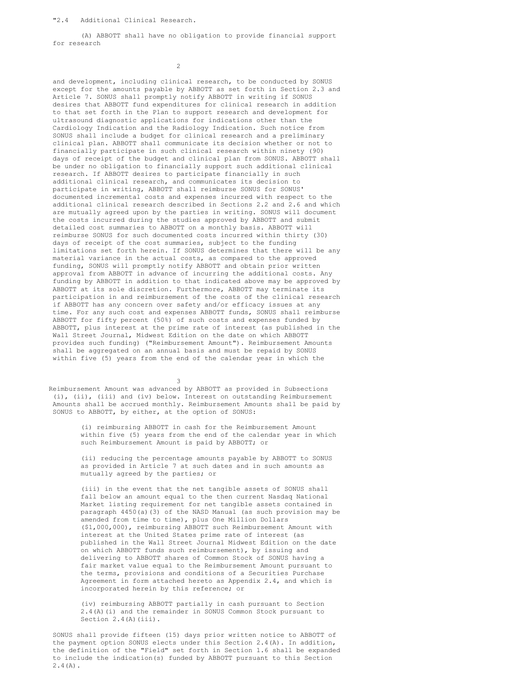### "2.4 Additional Clinical Research.

(A) ABBOTT shall have no obligation to provide financial support for research

 $\overline{2}$ 

and development, including clinical research, to be conducted by SONUS except for the amounts payable by ABBOTT as set forth in Section 2.3 and Article 7. SONUS shall promptly notify ABBOTT in writing if SONUS desires that ABBOTT fund expenditures for clinical research in addition to that set forth in the Plan to support research and development for ultrasound diagnostic applications for indications other than the Cardiology Indication and the Radiology Indication. Such notice from SONUS shall include a budget for clinical research and a preliminary clinical plan. ABBOTT shall communicate its decision whether or not to financially participate in such clinical research within ninety (90) days of receipt of the budget and clinical plan from SONUS. ABBOTT shall be under no obligation to financially support such additional clinical research. If ABBOTT desires to participate financially in such additional clinical research, and communicates its decision to participate in writing, ABBOTT shall reimburse SONUS for SONUS' documented incremental costs and expenses incurred with respect to the additional clinical research described in Sections 2.2 and 2.6 and which are mutually agreed upon by the parties in writing. SONUS will document the costs incurred during the studies approved by ABBOTT and submit detailed cost summaries to ABBOTT on a monthly basis. ABBOTT will reimburse SONUS for such documented costs incurred within thirty (30) days of receipt of the cost summaries, subject to the funding limitations set forth herein. If SONUS determines that there will be any material variance in the actual costs, as compared to the approved funding, SONUS will promptly notify ABBOTT and obtain prior written approval from ABBOTT in advance of incurring the additional costs. Any funding by ABBOTT in addition to that indicated above may be approved by ABBOTT at its sole discretion. Furthermore, ABBOTT may terminate its participation in and reimbursement of the costs of the clinical research if ABBOTT has any concern over safety and/or efficacy issues at any time. For any such cost and expenses ABBOTT funds, SONUS shall reimburse ABBOTT for fifty percent (50%) of such costs and expenses funded by ABBOTT, plus interest at the prime rate of interest (as published in the Wall Street Journal, Midwest Edition on the date on which ABBOTT provides such funding) ("Reimbursement Amount"). Reimbursement Amounts shall be aggregated on an annual basis and must be repaid by SONUS within five (5) years from the end of the calendar year in which the

3 Reimbursement Amount was advanced by ABBOTT as provided in Subsections (i), (ii), (iii) and (iv) below. Interest on outstanding Reimbursement Amounts shall be accrued monthly. Reimbursement Amounts shall be paid by SONUS to ABBOTT, by either, at the option of SONUS:

> (i) reimbursing ABBOTT in cash for the Reimbursement Amount within five (5) years from the end of the calendar year in which such Reimbursement Amount is paid by ABBOTT; or

(ii) reducing the percentage amounts payable by ABBOTT to SONUS as provided in Article 7 at such dates and in such amounts as mutually agreed by the parties; or

(iii) in the event that the net tangible assets of SONUS shall fall below an amount equal to the then current Nasdaq National Market listing requirement for net tangible assets contained in paragraph 4450(a)(3) of the NASD Manual (as such provision may be amended from time to time), plus One Million Dollars (\$1,000,000), reimbursing ABBOTT such Reimbursement Amount with interest at the United States prime rate of interest (as published in the Wall Street Journal Midwest Edition on the date on which ABBOTT funds such reimbursement), by issuing and delivering to ABBOTT shares of Common Stock of SONUS having a fair market value equal to the Reimbursement Amount pursuant to the terms, provisions and conditions of a Securities Purchase Agreement in form attached hereto as Appendix 2.4, and which is incorporated herein by this reference; or

(iv) reimbursing ABBOTT partially in cash pursuant to Section 2.4(A)(i) and the remainder in SONUS Common Stock pursuant to Section 2.4(A)(iii).

SONUS shall provide fifteen (15) days prior written notice to ABBOTT of the payment option SONUS elects under this Section 2.4(A). In addition, the definition of the "Field" set forth in Section 1.6 shall be expanded to include the indication(s) funded by ABBOTT pursuant to this Section  $2.4(A)$ .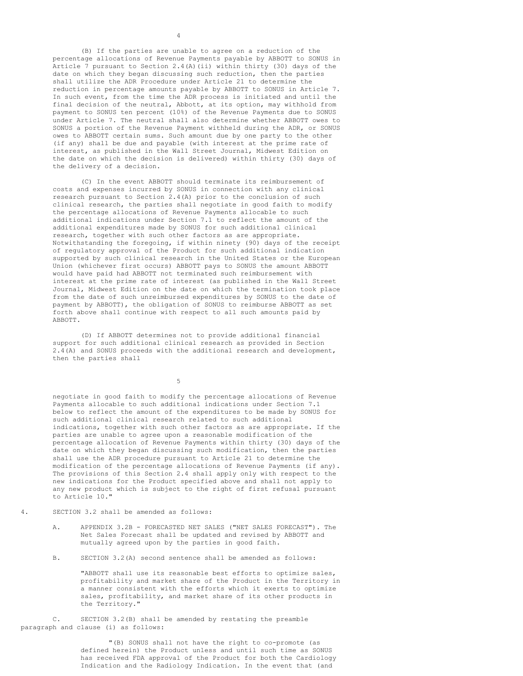(B) If the parties are unable to agree on a reduction of the percentage allocations of Revenue Payments payable by ABBOTT to SONUS in Article 7 pursuant to Section  $2.4(A)$  (ii) within thirty (30) days of the date on which they began discussing such reduction, then the parties shall utilize the ADR Procedure under Article 21 to determine the reduction in percentage amounts payable by ABBOTT to SONUS in Article 7. In such event, from the time the ADR process is initiated and until the final decision of the neutral, Abbott, at its option, may withhold from payment to SONUS ten percent (10%) of the Revenue Payments due to SONUS under Article 7. The neutral shall also determine whether ABBOTT owes to SONUS a portion of the Revenue Payment withheld during the ADR, or SONUS owes to ABBOTT certain sums. Such amount due by one party to the other (if any) shall be due and payable (with interest at the prime rate of interest, as published in the Wall Street Journal, Midwest Edition on the date on which the decision is delivered) within thirty (30) days of the delivery of a decision.

(C) In the event ABBOTT should terminate its reimbursement of costs and expenses incurred by SONUS in connection with any clinical research pursuant to Section 2.4(A) prior to the conclusion of such clinical research, the parties shall negotiate in good faith to modify the percentage allocations of Revenue Payments allocable to such additional indications under Section 7.1 to reflect the amount of the additional expenditures made by SONUS for such additional clinical research, together with such other factors as are appropriate. Notwithstanding the foregoing, if within ninety (90) days of the receipt of regulatory approval of the Product for such additional indication supported by such clinical research in the United States or the European Union (whichever first occurs) ABBOTT pays to SONUS the amount ABBOTT would have paid had ABBOTT not terminated such reimbursement with interest at the prime rate of interest (as published in the Wall Street Journal, Midwest Edition on the date on which the termination took place from the date of such unreimbursed expenditures by SONUS to the date of payment by ABBOTT), the obligation of SONUS to reimburse ABBOTT as set forth above shall continue with respect to all such amounts paid by ABBOTT.

(D) If ABBOTT determines not to provide additional financial support for such additional clinical research as provided in Section 2.4(A) and SONUS proceeds with the additional research and development, then the parties shall

5

negotiate in good faith to modify the percentage allocations of Revenue Payments allocable to such additional indications under Section 7.1 below to reflect the amount of the expenditures to be made by SONUS for such additional clinical research related to such additional indications, together with such other factors as are appropriate. If the parties are unable to agree upon a reasonable modification of the percentage allocation of Revenue Payments within thirty (30) days of the date on which they began discussing such modification, then the parties shall use the ADR procedure pursuant to Article 21 to determine the modification of the percentage allocations of Revenue Payments (if any). The provisions of this Section 2.4 shall apply only with respect to the new indications for the Product specified above and shall not apply to any new product which is subject to the right of first refusal pursuant to Article 10."

4. SECTION 3.2 shall be amended as follows:

- A. APPENDIX 3.2B FORECASTED NET SALES ("NET SALES FORECAST"). The Net Sales Forecast shall be updated and revised by ABBOTT and mutually agreed upon by the parties in good faith.
- B. SECTION 3.2(A) second sentence shall be amended as follows:

"ABBOTT shall use its reasonable best efforts to optimize sales, profitability and market share of the Product in the Territory in a manner consistent with the efforts which it exerts to optimize sales, profitability, and market share of its other products in the Territory."

C. SECTION 3.2(B) shall be amended by restating the preamble paragraph and clause (i) as follows:

> "(B) SONUS shall not have the right to co-promote (as defined herein) the Product unless and until such time as SONUS has received FDA approval of the Product for both the Cardiology Indication and the Radiology Indication. In the event that (and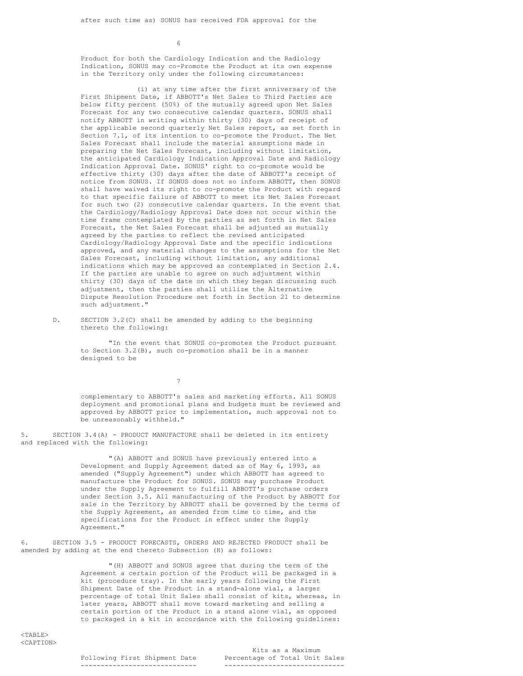6

Product for both the Cardiology Indication and the Radiology Indication, SONUS may co-Promote the Product at its own expense in the Territory only under the following circumstances:

(i) at any time after the first anniversary of the First Shipment Date, if ABBOTT's Net Sales to Third Parties are below fifty percent (50%) of the mutually agreed upon Net Sales Forecast for any two consecutive calendar quarters. SONUS shall notify ABBOTT in writing within thirty (30) days of receipt of the applicable second quarterly Net Sales report, as set forth in Section 7.1, of its intention to co-promote the Product. The Net Sales Forecast shall include the material assumptions made in preparing the Net Sales Forecast, including without limitation, the anticipated Cardiology Indication Approval Date and Radiology Indication Approval Date. SONUS' right to co-promote would be effective thirty (30) days after the date of ABBOTT's receipt of notice from SONUS. If SONUS does not so inform ABBOTT, then SONUS shall have waived its right to co-promote the Product with regard to that specific failure of ABBOTT to meet its Net Sales Forecast for such two (2) consecutive calendar quarters. In the event that the Cardiology/Radiology Approval Date does not occur within the time frame contemplated by the parties as set forth in Net Sales Forecast, the Net Sales Forecast shall be adjusted as mutually agreed by the parties to reflect the revised anticipated Cardiology/Radiology Approval Date and the specific indications approved, and any material changes to the assumptions for the Net Sales Forecast, including without limitation, any additional indications which may be approved as contemplated in Section 2.4. If the parties are unable to agree on such adjustment within thirty (30) days of the date on which they began discussing such adjustment, then the parties shall utilize the Alternative Dispute Resolution Procedure set forth in Section 21 to determine such adjustment."

D. SECTION 3.2(C) shall be amended by adding to the beginning thereto the following:

> "In the event that SONUS co-promotes the Product pursuant to Section 3.2(B), such co-promotion shall be in a manner designed to be

> > 7

complementary to ABBOTT's sales and marketing efforts. All SONUS deployment and promotional plans and budgets must be reviewed and approved by ABBOTT prior to implementation, such approval not to be unreasonably withheld."

5. SECTION 3.4(A) - PRODUCT MANUFACTURE shall be deleted in its entirety and replaced with the following:

> "(A) ABBOTT and SONUS have previously entered into a Development and Supply Agreement dated as of May 6, 1993, as amended ("Supply Agreement") under which ABBOTT has agreed to manufacture the Product for SONUS. SONUS may purchase Product under the Supply Agreement to fulfill ABBOTT's purchase orders under Section 3.5. All manufacturing of the Product by ABBOTT for sale in the Territory by ABBOTT shall be governed by the terms of the Supply Agreement, as amended from time to time, and the specifications for the Product in effect under the Supply Agreement."

6. SECTION 3.5 - PRODUCT FORECASTS, ORDERS AND REJECTED PRODUCT shall be amended by adding at the end thereto Subsection (H) as follows:

> "(H) ABBOTT and SONUS agree that during the term of the Agreement a certain portion of the Product will be packaged in a kit (procedure tray). In the early years following the First Shipment Date of the Product in a stand-alone vial, a larger percentage of total Unit Sales shall consist of kits, whereas, in later years, ABBOTT shall move toward marketing and selling a certain portion of the Product in a stand alone vial, as opposed to packaged in a kit in accordance with the following guidelines:

Kits as a Maximum Following First Shipment Date Percentage of Total Unit Sales ----------------------------- ------------------------------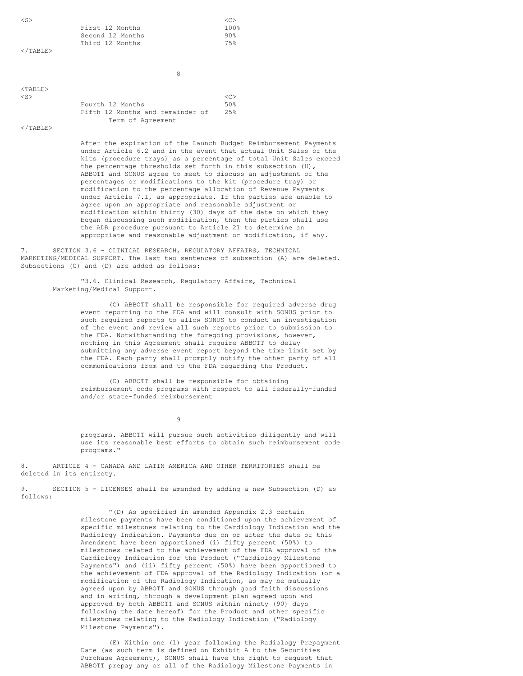| $<$ S $>$         |                                                                                                                                                                                                           | <<               |
|-------------------|-----------------------------------------------------------------------------------------------------------------------------------------------------------------------------------------------------------|------------------|
|                   | First 12 Months                                                                                                                                                                                           | 100 <sub>8</sub> |
|                   | Second 12 Months                                                                                                                                                                                          | $90\%$           |
|                   | Third 12 Months                                                                                                                                                                                           | 75%              |
| $\langle$ /TABLE> |                                                                                                                                                                                                           |                  |
|                   |                                                                                                                                                                                                           |                  |
|                   | 8                                                                                                                                                                                                         |                  |
| $<$ TABLE>        |                                                                                                                                                                                                           |                  |
| $<$ S $>$         |                                                                                                                                                                                                           | <<               |
|                   | Fourth 12 Months                                                                                                                                                                                          | 50%              |
|                   | Fifth 12 Months and remainder of                                                                                                                                                                          | 25%              |
|                   | Term of Agreement                                                                                                                                                                                         |                  |
| $\langle$ /TABLE> |                                                                                                                                                                                                           |                  |
|                   | After the expiration of the Launch Budget Reimbursement Payments<br>under Article 6.2 and in the event that actual Unit Sales of the<br>kits (procedure trays) as a percentage of total Unit Sales exceed |                  |
|                   | the percentage thresholds set forth in this subsection $(H)$ ,<br>ABBOTT and SONUS agree to meet to discuss an adjustment of the                                                                          |                  |

n adjustment of the percentages or modifications to the kit (procedure tray) or modification to the percentage allocation of Revenue Payments under Article 7.1, as appropriate. If the parties are unable to agree upon an appropriate and reasonable adjustment or modification within thirty (30) days of the date on which they began discussing such modification, then the parties shall use the ADR procedure pursuant to Article 21 to determine an appropriate and reasonable adjustment or modification, if any.

7. SECTION 3.6 - CLINICAL RESEARCH, REGULATORY AFFAIRS, TECHNICAL MARKETING/MEDICAL SUPPORT. The last two sentences of subsection (A) are deleted. Subsections (C) and (D) are added as follows:

> "3.6. Clinical Research, Regulatory Affairs, Technical Marketing/Medical Support.

> > (C) ABBOTT shall be responsible for required adverse drug event reporting to the FDA and will consult with SONUS prior to such required reports to allow SONUS to conduct an investigation of the event and review all such reports prior to submission to the FDA. Notwithstanding the foregoing provisions, however, nothing in this Agreement shall require ABBOTT to delay submitting any adverse event report beyond the time limit set by the FDA. Each party shall promptly notify the other party of all communications from and to the FDA regarding the Product.

> > (D) ABBOTT shall be responsible for obtaining reimbursement code programs with respect to all federally-funded and/or state-funded reimbursement

> > > 9

programs. ABBOTT will pursue such activities diligently and will use its reasonable best efforts to obtain such reimbursement code programs."

8. ARTICLE 4 - CANADA AND LATIN AMERICA AND OTHER TERRITORIES shall be deleted in its entirety.

9. SECTION 5 - LICENSES shall be amended by adding a new Subsection (D) as follows:

> "(D) As specified in amended Appendix 2.3 certain milestone payments have been conditioned upon the achievement of specific milestones relating to the Cardiology Indication and the Radiology Indication. Payments due on or after the date of this Amendment have been apportioned (i) fifty percent (50%) to milestones related to the achievement of the FDA approval of the Cardiology Indication for the Product ("Cardiology Milestone Payments") and (ii) fifty percent (50%) have been apportioned to the achievement of FDA approval of the Radiology Indication (or a modification of the Radiology Indication, as may be mutually agreed upon by ABBOTT and SONUS through good faith discussions and in writing, through a development plan agreed upon and approved by both ABBOTT and SONUS within ninety (90) days following the date hereof) for the Product and other specific milestones relating to the Radiology Indication ("Radiology Milestone Payments").

> (E) Within one (1) year following the Radiology Prepayment Date (as such term is defined on Exhibit A to the Securities Purchase Agreement), SONUS shall have the right to request that ABBOTT prepay any or all of the Radiology Milestone Payments in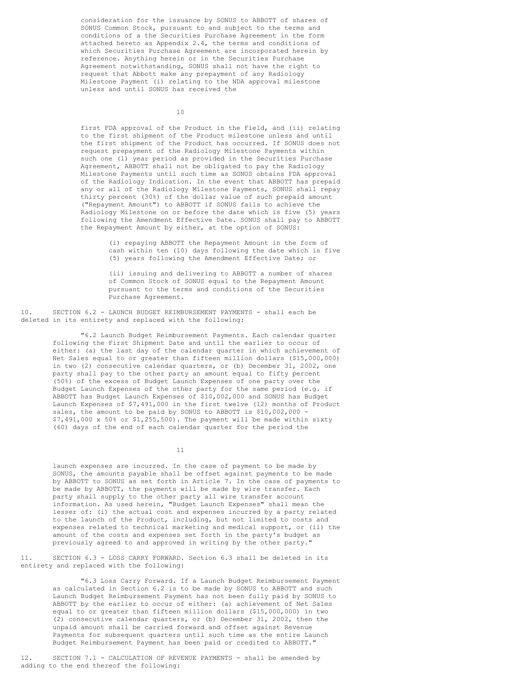consideration for the issuance by SONUS to ABBOTT of shares of SONUS Common Stock, pursuant to and subject to the terms and conditions of a the Securities Purchase Agreement in the form attached hereto as Appendix 2.4, the terms and conditions of which Securities Purchase Agreement are incorporated herein by reference. Anything herein or in the Securities Purchase Agreement notwithstanding, SONUS shall not have the right to request that Abbott make any prepayment of any Radiology Milestone Payment (i) relating to the NDA approval milestone unless and until SONUS has received the

10

first FDA approval of the Product in the Field, and (ii) relating to the first shipment of the Product milestone unless and until the first shipment of the Product has occurred. If SONUS does not request prepayment of the Radiology Milestone Payments within such one (1) year period as provided in the Securities Purchase Agreement, ABBOTT shall not be obligated to pay the Radiology Milestone Payments until such time as SONUS obtains FDA approval of the Radiology Indication. In the event that ABBOTT has prepaid any or all of the Radiology Milestone Payments, SONUS shall repay thirty percent (30%) of the dollar value of such prepaid amount ("Repayment Amount") to ABBOTT if SONUS fails to achieve the Radiology Milestone on or before the date which is five (5) years following the Amendment Effective Date. SONUS shall pay to ABBOTT the Repayment Amount by either, at the option of SONUS:

> (i) repaying ABBOTT the Repayment Amount in the form of cash within ten (10) days following the date which is five (5) years following the Amendment Effective Date; or

(ii) issuing and delivering to ABBOTT a number of shares of Common Stock of SONUS equal to the Repayment Amount pursuant to the terms and conditions of the Securities Purchase Agreement.

10. SECTION 6.2 - LAUNCH BUDGET REIMBURSEMENT PAYMENTS - shall each be deleted in its entirety and replaced with the following:

> "6.2 Launch Budget Reimbursement Payments. Each calendar quarter following the First Shipment Date and until the earlier to occur of either: (a) the last day of the calendar quarter in which achievement of Net Sales equal to or greater than fifteen million dollars (\$15,000,000) in two (2) consecutive calendar quarters, or (b) December 31, 2002, one party shall pay to the other party an amount equal to fifty percent (50%) of the excess of Budget Launch Expenses of one party over the Budget Launch Expenses of the other party for the same period (e.g. if ABBOTT has Budget Launch Expenses of \$10,002,000 and SONUS has Budget Launch Expenses of \$7,491,000 in the first twelve (12) months of Product sales, the amount to be paid by SONUS to ABBOTT is \$10,002,000 -\$7,491,000 x 50% or \$1,255,500). The payment will be made within sixty (60) days of the end of each calendar quarter for the period the

> > 11

launch expenses are incurred. In the case of payment to be made by SONUS, the amounts payable shall be offset against payments to be made by ABBOTT to SONUS as set forth in Article 7. In the case of payments to be made by ABBOTT, the payments will be made by wire transfer. Each party shall supply to the other party all wire transfer account information. As used herein, "Budget Launch Expenses" shall mean the lesser of: (i) the actual cost and expenses incurred by a party related to the launch of the Product, including, but not limited to costs and expenses related to technical marketing and medical support, or (ii) the amount of the costs and expenses set forth in the party's budget as previously agreed to and approved in writing by the other party."

11. SECTION 6.3 - LOSS CARRY FORWARD. Section 6.3 shall be deleted in its entirety and replaced with the following:

> "6.3 Loss Carry Forward. If a Launch Budget Reimbursement Payment as calculated in Section 6.2 is to be made by SONUS to ABBOTT and such Launch Budget Reimbursement Payment has not been fully paid by SONUS to ABBOTT by the earlier to occur of either: (a) achievement of Net Sales equal to or greater than fifteen million dollars (\$15,000,000) in two (2) consecutive calendar quarters, or (b) December 31, 2002, then the unpaid amount shall be carried forward and offset against Revenue Payments for subsequent quarters until such time as the entire Launch Budget Reimbursement Payment has been paid or credited to ABBOTT."

12. SECTION 7.1 - CALCULATION OF REVENUE PAYMENTS - shall be amended by adding to the end thereof the following: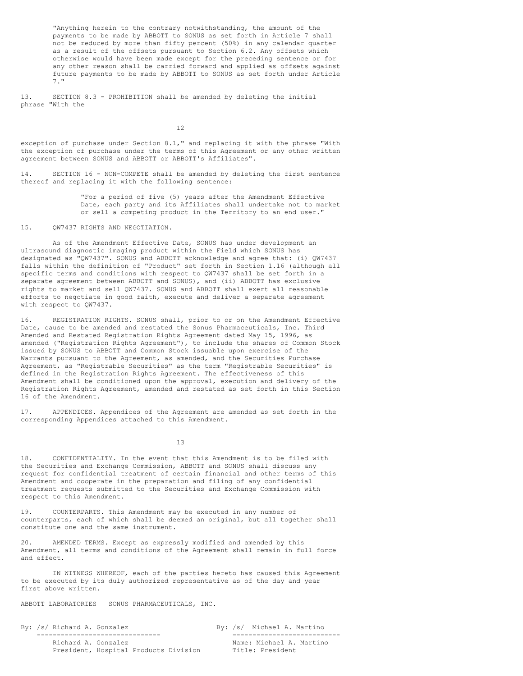"Anything herein to the contrary notwithstanding, the amount of the payments to be made by ABBOTT to SONUS as set forth in Article 7 shall not be reduced by more than fifty percent (50%) in any calendar quarter as a result of the offsets pursuant to Section 6.2. Any offsets which otherwise would have been made except for the preceding sentence or for any other reason shall be carried forward and applied as offsets against future payments to be made by ABBOTT to SONUS as set forth under Article 7."

13. SECTION 8.3 - PROHIBITION shall be amended by deleting the initial phrase "With the

12

exception of purchase under Section 8.1," and replacing it with the phrase "With the exception of purchase under the terms of this Agreement or any other written agreement between SONUS and ABBOTT or ABBOTT's Affiliates".

14. SECTION 16 - NON-COMPETE shall be amended by deleting the first sentence thereof and replacing it with the following sentence:

> "For a period of five (5) years after the Amendment Effective Date, each party and its Affiliates shall undertake not to market or sell a competing product in the Territory to an end user."

15. QW7437 RIGHTS AND NEGOTIATION.

As of the Amendment Effective Date, SONUS has under development an ultrasound diagnostic imaging product within the Field which SONUS has designated as "QW7437". SONUS and ABBOTT acknowledge and agree that: (i) QW7437 falls within the definition of "Product" set forth in Section 1.16 (although all specific terms and conditions with respect to QW7437 shall be set forth in a separate agreement between ABBOTT and SONUS), and (ii) ABBOTT has exclusive rights to market and sell QW7437. SONUS and ABBOTT shall exert all reasonable efforts to negotiate in good faith, execute and deliver a separate agreement with respect to QW7437.

16. REGISTRATION RIGHTS. SONUS shall, prior to or on the Amendment Effective Date, cause to be amended and restated the Sonus Pharmaceuticals, Inc. Third Amended and Restated Registration Rights Agreement dated May 15, 1996, as amended ("Registration Rights Agreement"), to include the shares of Common Stock issued by SONUS to ABBOTT and Common Stock issuable upon exercise of the Warrants pursuant to the Agreement, as amended, and the Securities Purchase Agreement, as "Registrable Securities" as the term "Registrable Securities" is defined in the Registration Rights Agreement. The effectiveness of this Amendment shall be conditioned upon the approval, execution and delivery of the Registration Rights Agreement, amended and restated as set forth in this Section 16 of the Amendment.

17. APPENDICES. Appendices of the Agreement are amended as set forth in the corresponding Appendices attached to this Amendment.

13

18. CONFIDENTIALITY. In the event that this Amendment is to be filed with the Securities and Exchange Commission, ABBOTT and SONUS shall discuss any request for confidential treatment of certain financial and other terms of this Amendment and cooperate in the preparation and filing of any confidential treatment requests submitted to the Securities and Exchange Commission with respect to this Amendment.

19. COUNTERPARTS. This Amendment may be executed in any number of counterparts, each of which shall be deemed an original, but all together shall constitute one and the same instrument.

20. AMENDED TERMS. Except as expressly modified and amended by this Amendment, all terms and conditions of the Agreement shall remain in full force and effect.

IN WITNESS WHEREOF, each of the parties hereto has caused this Agreement to be executed by its duly authorized representative as of the day and year first above written.

ABBOTT LABORATORIES SONUS PHARMACEUTICALS, INC.

By: /s/ Richard A. Gonzalez By: /s/ Michael A. Martino

------------------------------- --------------------------- President, Hospital Products Division Title: President

Name: Michael A. Martino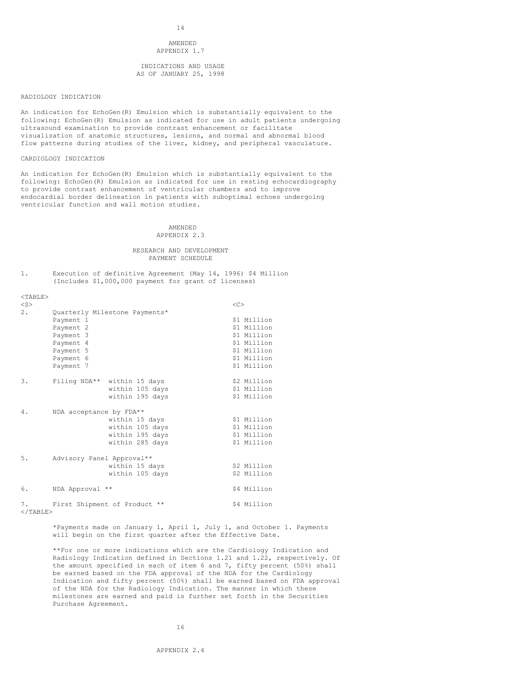14

### AMENDED APPENDIX 1.7

INDICATIONS AND USAGE AS OF JANUARY 25, 1998

#### RADIOLOGY INDICATION

An indication for EchoGen(R) Emulsion which is substantially equivalent to the following: EchoGen(R) Emulsion as indicated for use in adult patients undergoing ultrasound examination to provide contrast enhancement or facilitate visualization of anatomic structures, lesions, and normal and abnormal blood flow patterns during studies of the liver, kidney, and peripheral vasculature.

## CARDIOLOGY INDICATION

An indication for EchoGen(R) Emulsion which is substantially equivalent to the following: EchoGen(R) Emulsion as indicated for use in resting echocardiography to provide contrast enhancement of ventricular chambers and to improve endocardial border delineation in patients with suboptimal echoes undergoing ventricular function and wall motion studies.

#### AMENDED APPENDIX 2.3

#### RESEARCH AND DEVELOPMENT PAYMENT SCHEDULE

1. Execution of definitive Agreement (May 14, 1996) \$4 Million (Includes \$1,000,000 payment for grant of licenses)

| $<$ TABLE> |                           |                               |             |
|------------|---------------------------|-------------------------------|-------------|
| $<$ S $>$  |                           |                               | <<          |
| 2.         |                           | Quarterly Milestone Payments* |             |
|            | Payment 1                 |                               | \$1 Million |
|            | Payment 2                 |                               | \$1 Million |
|            | Payment 3                 |                               | \$1 Million |
|            | Payment 4                 |                               | \$1 Million |
|            | Payment 5                 |                               | \$1 Million |
|            | Payment 6                 |                               | \$1 Million |
|            | Payment 7                 |                               | \$1 Million |
|            |                           |                               |             |
| 3.         |                           | Filing NDA** within 15 days   | \$2 Million |
|            |                           | within 105 days               | \$1 Million |
|            |                           | within 195 days               | \$1 Million |
|            |                           |                               |             |
| 4.         | NDA acceptance by FDA**   |                               |             |
|            |                           | within 15 days                | \$1 Million |
|            |                           | within 105 days               | \$1 Million |
|            |                           | within 195 days               | \$1 Million |
|            |                           | within 285 days               | \$1 Million |
|            |                           |                               |             |
| 5.         | Advisory Panel Approval** |                               |             |
|            |                           | within 15 days                | \$2 Million |
|            |                           | within 105 days               | \$2 Million |
|            |                           |                               |             |
| 6.         | NDA Approval **           |                               | \$4 Million |
| 7.         |                           | First Shipment of Product **  | \$4 Million |
|            |                           |                               |             |

 $<$ /TABLE $>$ 

\*Payments made on January 1, April 1, July 1, and October 1. Payments will begin on the first quarter after the Effective Date.

\*\*For one or more indications which are the Cardiology Indication and Radiology Indication defined in Sections 1.21 and 1.22, respectively. Of the amount specified in each of item 6 and 7, fifty percent (50%) shall be earned based on the FDA approval of the NDA for the Cardiology Indication and fifty percent (50%) shall be earned based on FDA approval of the NDA for the Radiology Indication. The manner in which these milestones are earned and paid is further set forth in the Securities Purchase Agreement.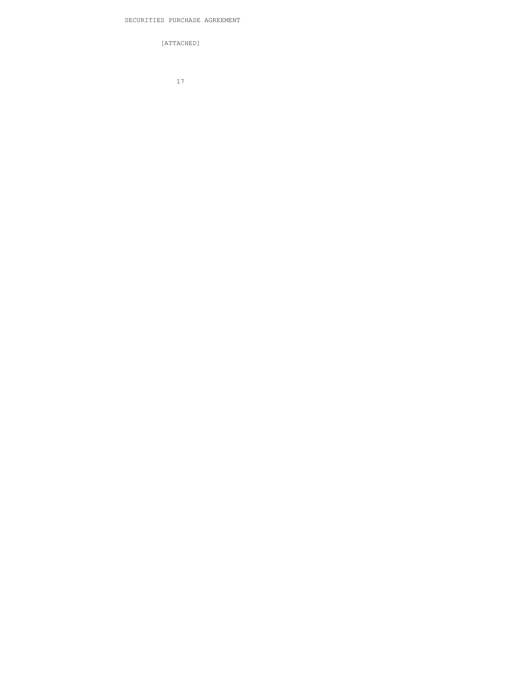[ATTACHED]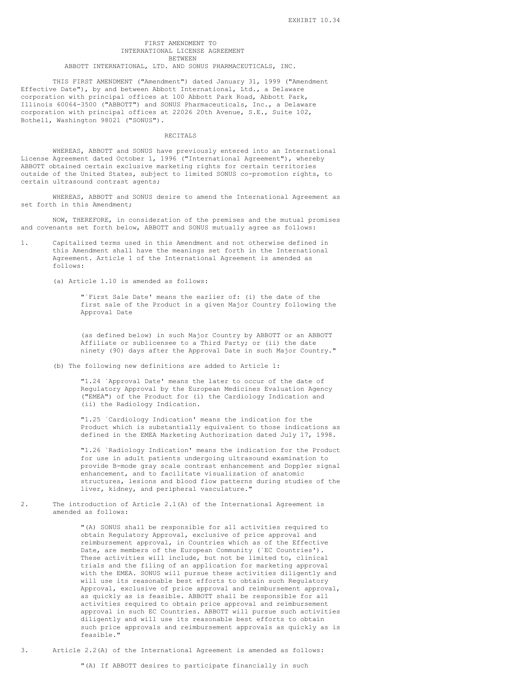### FIRST AMENDMENT TO INTERNATIONAL LICENSE AGREEMENT BETWEEN

ABBOTT INTERNATIONAL, LTD. AND SONUS PHARMACEUTICALS, INC.

THIS FIRST AMENDMENT ("Amendment") dated January 31, 1999 ("Amendment Effective Date"), by and between Abbott International, Ltd., a Delaware corporation with principal offices at 100 Abbott Park Road, Abbott Park, Illinois 60064-3500 ("ABBOTT") and SONUS Pharmaceuticals, Inc., a Delaware corporation with principal offices at 22026 20th Avenue, S.E., Suite 102, Bothell, Washington 98021 ("SONUS").

### RECITALS

WHEREAS, ABBOTT and SONUS have previously entered into an International License Agreement dated October 1, 1996 ("International Agreement"), whereby ABBOTT obtained certain exclusive marketing rights for certain territories outside of the United States, subject to limited SONUS co-promotion rights, to certain ultrasound contrast agents;

WHEREAS, ABBOTT and SONUS desire to amend the International Agreement as set forth in this Amendment;

NOW, THEREFORE, in consideration of the premises and the mutual promises and covenants set forth below, ABBOTT and SONUS mutually agree as follows:

- 1. Capitalized terms used in this Amendment and not otherwise defined in this Amendment shall have the meanings set forth in the International Agreement. Article 1 of the International Agreement is amended as follows:
	- (a) Article 1.10 is amended as follows:

"`First Sale Date' means the earlier of: (i) the date of the first sale of the Product in a given Major Country following the Approval Date

(as defined below) in such Major Country by ABBOTT or an ABBOTT Affiliate or sublicensee to a Third Party; or (ii) the date ninety (90) days after the Approval Date in such Major Country."

(b) The following new definitions are added to Article 1:

"1.24 `Approval Date' means the later to occur of the date of Regulatory Approval by the European Medicines Evaluation Agency ("EMEA") of the Product for (i) the Cardiology Indication and (ii) the Radiology Indication.

"1.25 `Cardiology Indication' means the indication for the Product which is substantially equivalent to those indications as defined in the EMEA Marketing Authorization dated July 17, 1998.

"1.26 `Radiology Indication' means the indication for the Product for use in adult patients undergoing ultrasound examination to provide B-mode gray scale contrast enhancement and Doppler signal enhancement, and to facilitate visualization of anatomic structures, lesions and blood flow patterns during studies of the liver, kidney, and peripheral vasculature."

2. The introduction of Article 2.1(A) of the International Agreement is amended as follows:

> "(A) SONUS shall be responsible for all activities required to obtain Regulatory Approval, exclusive of price approval and reimbursement approval, in Countries which as of the Effective Date, are members of the European Community (`EC Countries'). These activities will include, but not be limited to, clinical trials and the filing of an application for marketing approval with the EMEA. SONUS will pursue these activities diligently and will use its reasonable best efforts to obtain such Regulatory Approval, exclusive of price approval and reimbursement approval, as quickly as is feasible. ABBOTT shall be responsible for all activities required to obtain price approval and reimbursement approval in such EC Countries. ABBOTT will pursue such activities diligently and will use its reasonable best efforts to obtain such price approvals and reimbursement approvals as quickly as is feasible."

3. Article 2.2(A) of the International Agreement is amended as follows: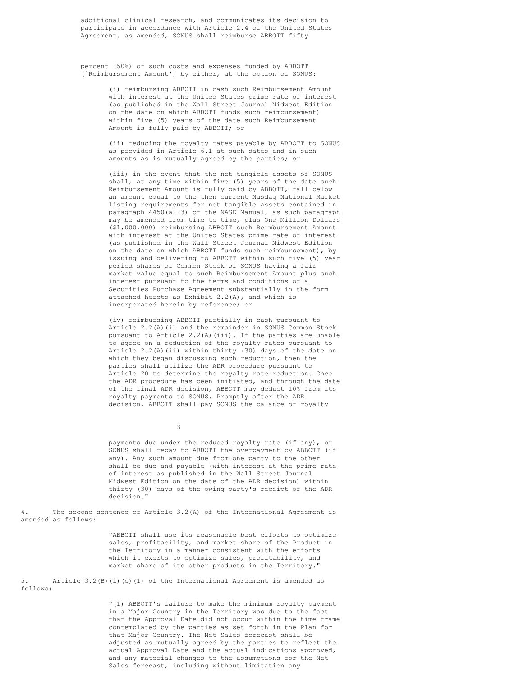additional clinical research, and communicates its decision to participate in accordance with Article 2.4 of the United States Agreement, as amended, SONUS shall reimburse ABBOTT fifty

percent (50%) of such costs and expenses funded by ABBOTT (`Reimbursement Amount') by either, at the option of SONUS:

> (i) reimbursing ABBOTT in cash such Reimbursement Amount with interest at the United States prime rate of interest (as published in the Wall Street Journal Midwest Edition on the date on which ABBOTT funds such reimbursement) within five (5) years of the date such Reimbursement Amount is fully paid by ABBOTT; or

(ii) reducing the royalty rates payable by ABBOTT to SONUS as provided in Article 6.1 at such dates and in such amounts as is mutually agreed by the parties; or

(iii) in the event that the net tangible assets of SONUS shall, at any time within five (5) years of the date such Reimbursement Amount is fully paid by ABBOTT, fall below an amount equal to the then current Nasdaq National Market listing requirements for net tangible assets contained in paragraph 4450(a)(3) of the NASD Manual, as such paragraph may be amended from time to time, plus One Million Dollars (\$1,000,000) reimbursing ABBOTT such Reimbursement Amount with interest at the United States prime rate of interest (as published in the Wall Street Journal Midwest Edition on the date on which ABBOTT funds such reimbursement), by issuing and delivering to ABBOTT within such five (5) year period shares of Common Stock of SONUS having a fair market value equal to such Reimbursement Amount plus such interest pursuant to the terms and conditions of a Securities Purchase Agreement substantially in the form attached hereto as Exhibit 2.2(A), and which is incorporated herein by reference; or

(iv) reimbursing ABBOTT partially in cash pursuant to Article 2.2(A)(i) and the remainder in SONUS Common Stock pursuant to Article  $2.2(A)$  (iii). If the parties are unable to agree on a reduction of the royalty rates pursuant to Article 2.2(A)(ii) within thirty (30) days of the date on which they began discussing such reduction, then the parties shall utilize the ADR procedure pursuant to Article 20 to determine the royalty rate reduction. Once the ADR procedure has been initiated, and through the date of the final ADR decision, ABBOTT may deduct 10% from its royalty payments to SONUS. Promptly after the ADR decision, ABBOTT shall pay SONUS the balance of royalty

3

payments due under the reduced royalty rate (if any), or SONUS shall repay to ABBOTT the overpayment by ABBOTT (if any). Any such amount due from one party to the other shall be due and payable (with interest at the prime rate of interest as published in the Wall Street Journal Midwest Edition on the date of the ADR decision) within thirty (30) days of the owing party's receipt of the ADR decision."

4. The second sentence of Article 3.2(A) of the International Agreement is amended as follows:

> "ABBOTT shall use its reasonable best efforts to optimize sales, profitability, and market share of the Product in the Territory in a manner consistent with the efforts which it exerts to optimize sales, profitability, and market share of its other products in the Territory."

5. Article 3.2(B)(i)(c)(1) of the International Agreement is amended as follows:

> "(1) ABBOTT's failure to make the minimum royalty payment in a Major Country in the Territory was due to the fact that the Approval Date did not occur within the time frame contemplated by the parties as set forth in the Plan for that Major Country. The Net Sales forecast shall be adjusted as mutually agreed by the parties to reflect the actual Approval Date and the actual indications approved, and any material changes to the assumptions for the Net Sales forecast, including without limitation any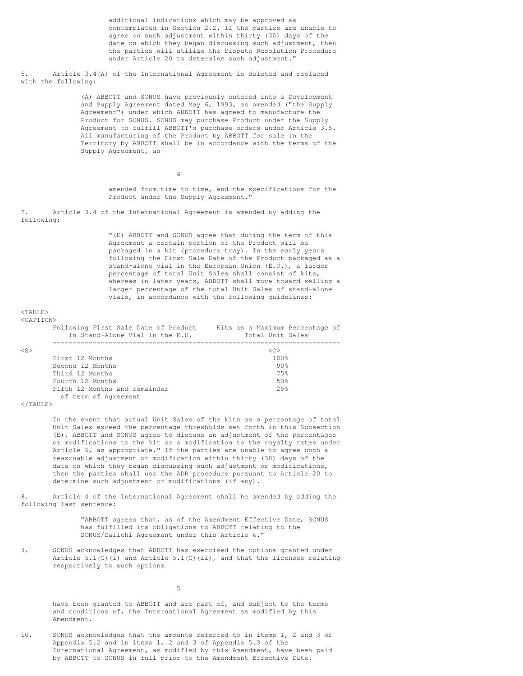additional indications which may be approved as contemplated in Section 2.2. If the parties are unable to agree on such adjustment within thirty (30) days of the date on which they began discussing such adjustment, then the parties will utilize the Dispute Resolution Procedure under Article 20 to determine such adjustment."

6. Article 3.4(A) of the International Agreement is deleted and replaced with the following:

> (A) ABBOTT and SONUS have previously entered into a Development and Supply Agreement dated May 6, 1993, as amended ("the Supply Agreement") under which ABBOTT has agreed to manufacture the Product for SONUS. SONUS may purchase Product under the Supply Agreement to fulfill ABBOTT's purchase orders under Article 3.5. All manufacturing of the Product by ABBOTT for sale in the Territory by ABBOTT shall be in accordance with the terms of the Supply Agreement, as

amended from time to time, and the specifications for the Product under the Supply Agreement."

7. Article 3.4 of the International Agreement is amended by adding the following:

4

"(E) ABBOTT and SONUS agree that during the term of this Agreement a certain portion of the Product will be packaged in a kit (procedure tray). In the early years following the First Sale Date of the Product packaged as a stand-alone vial in the European Union (E.U.), a larger percentage of total Unit Sales shall consist of kits, whereas in later years, ABBOTT shall move toward selling a larger percentage of the total Unit Sales of stand-alone vials, in accordance with the following guidelines:

#### $<$ TABLE>  $\sqrt{C}$   $\lambda$  DTT  $\cap$  MN

| 10232 220217 | Following First Sale Date of Product<br>in Stand-Alone Vial in the E.U. | Kits as a Maximum Percentage of<br>Total Unit Sales |
|--------------|-------------------------------------------------------------------------|-----------------------------------------------------|
| $\langle$ S> |                                                                         | <c></c>                                             |
|              | First 12 Months                                                         | 100%                                                |
|              | Second 12 Months                                                        | 90%                                                 |
|              | Third 12 Months                                                         | 75%                                                 |
|              | Fourth 12 Months                                                        | 50%                                                 |
|              | Fifth 12 Months and remainder                                           | 2.5%                                                |
|              | of term of Agreement                                                    |                                                     |

 $\langle$ /TABLE>

In the event that actual Unit Sales of the kits as a percentage of total Unit Sales exceed the percentage thresholds set forth in this Subsection (E), ABBOTT and SONUS agree to discuss an adjustment of the percentages or modifications to the kit or a modification to the royalty rates under Article 6, as appropriate." If the parties are unable to agree upon a reasonable adjustment or modification within thirty (30) days of the date on which they began discussing such adjustment or modifications, then the parties shall use the ADR procedure pursuant to Article 20 to determine such adjustment or modifications (if any).

8. Article 4 of the International Agreement shall be amended by adding the following last sentence:

> "ABBOTT agrees that, as of the Amendment Effective Date, SONUS has fulfilled its obligations to ABBOTT relating to the SONUS/Daiichi Agreement under this Article 4."

9. SONUS acknowledges that ABBOTT has exercised the options granted under Article  $5.1$ (C)(i) and Article  $5.1$ (C)(ii), and that the licenses relating respectively to such options

5

have been granted to ABBOTT and are part of, and subject to the terms and conditions of, the International Agreement as modified by this Amendment.

10. SONUS acknowledges that the amounts referred to in items 1, 2 and 3 of Appendix 5.2 and in items 1, 2 and 3 of Appendix 5.3 of the International Agreement, as modified by this Amendment, have been paid by ABBOTT to SONUS in full prior to the Amendment Effective Date.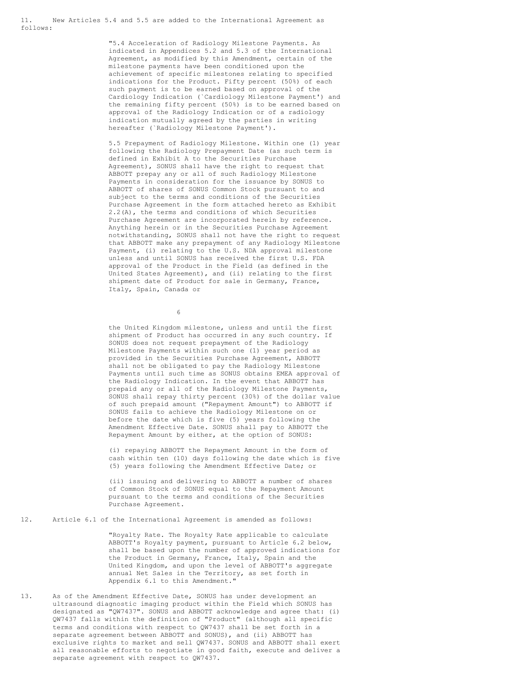11. New Articles 5.4 and 5.5 are added to the International Agreement as follows:

> "5.4 Acceleration of Radiology Milestone Payments. As indicated in Appendices 5.2 and 5.3 of the International Agreement, as modified by this Amendment, certain of the milestone payments have been conditioned upon the achievement of specific milestones relating to specified indications for the Product. Fifty percent (50%) of each such payment is to be earned based on approval of the Cardiology Indication (`Cardiology Milestone Payment') and the remaining fifty percent (50%) is to be earned based on approval of the Radiology Indication or of a radiology indication mutually agreed by the parties in writing hereafter (`Radiology Milestone Payment').

> 5.5 Prepayment of Radiology Milestone. Within one (1) year following the Radiology Prepayment Date (as such term is defined in Exhibit A to the Securities Purchase Agreement), SONUS shall have the right to request that ABBOTT prepay any or all of such Radiology Milestone Payments in consideration for the issuance by SONUS to ABBOTT of shares of SONUS Common Stock pursuant to and subject to the terms and conditions of the Securities Purchase Agreement in the form attached hereto as Exhibit 2.2(A), the terms and conditions of which Securities Purchase Agreement are incorporated herein by reference. Anything herein or in the Securities Purchase Agreement notwithstanding, SONUS shall not have the right to request that ABBOTT make any prepayment of any Radiology Milestone Payment, (i) relating to the U.S. NDA approval milestone unless and until SONUS has received the first U.S. FDA approval of the Product in the Field (as defined in the United States Agreement), and (ii) relating to the first shipment date of Product for sale in Germany, France, Italy, Spain, Canada or

> > 6

the United Kingdom milestone, unless and until the first shipment of Product has occurred in any such country. If SONUS does not request prepayment of the Radiology Milestone Payments within such one (1) year period as provided in the Securities Purchase Agreement, ABBOTT shall not be obligated to pay the Radiology Milestone Payments until such time as SONUS obtains EMEA approval of the Radiology Indication. In the event that ABBOTT has prepaid any or all of the Radiology Milestone Payments, SONUS shall repay thirty percent (30%) of the dollar value of such prepaid amount ("Repayment Amount") to ABBOTT if SONUS fails to achieve the Radiology Milestone on or before the date which is five (5) years following the Amendment Effective Date. SONUS shall pay to ABBOTT the Repayment Amount by either, at the option of SONUS:

(i) repaying ABBOTT the Repayment Amount in the form of cash within ten (10) days following the date which is five (5) years following the Amendment Effective Date; or

(ii) issuing and delivering to ABBOTT a number of shares of Common Stock of SONUS equal to the Repayment Amount pursuant to the terms and conditions of the Securities Purchase Agreement.

12. Article 6.1 of the International Agreement is amended as follows:

"Royalty Rate. The Royalty Rate applicable to calculate ABBOTT's Royalty payment, pursuant to Article 6.2 below, shall be based upon the number of approved indications for the Product in Germany, France, Italy, Spain and the United Kingdom, and upon the level of ABBOTT's aggregate annual Net Sales in the Territory, as set forth in Appendix 6.1 to this Amendment."

13. As of the Amendment Effective Date, SONUS has under development an ultrasound diagnostic imaging product within the Field which SONUS has designated as "QW7437". SONUS and ABBOTT acknowledge and agree that: (i) QW7437 falls within the definition of "Product" (although all specific terms and conditions with respect to QW7437 shall be set forth in a separate agreement between ABBOTT and SONUS), and (ii) ABBOTT has exclusive rights to market and sell QW7437. SONUS and ABBOTT shall exert all reasonable efforts to negotiate in good faith, execute and deliver a separate agreement with respect to QW7437.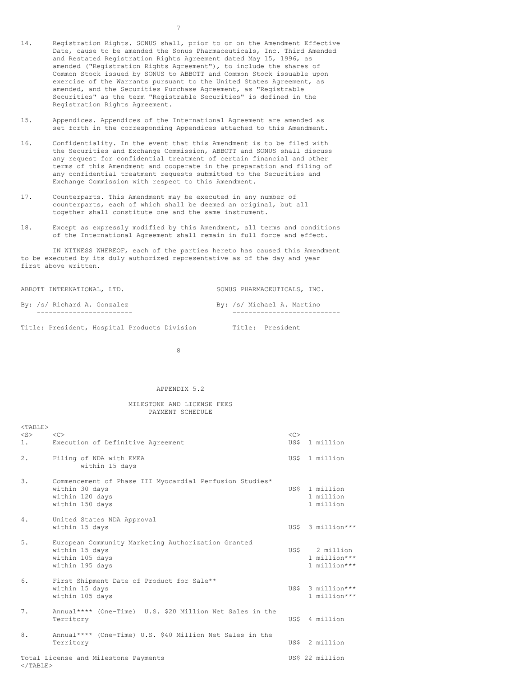- 14. Registration Rights. SONUS shall, prior to or on the Amendment Effective Date, cause to be amended the Sonus Pharmaceuticals, Inc. Third Amended and Restated Registration Rights Agreement dated May 15, 1996, as amended ("Registration Rights Agreement"), to include the shares of Common Stock issued by SONUS to ABBOTT and Common Stock issuable upon exercise of the Warrants pursuant to the United States Agreement, as amended, and the Securities Purchase Agreement, as "Registrable Securities" as the term "Registrable Securities" is defined in the Registration Rights Agreement.
- 15. Appendices. Appendices of the International Agreement are amended as set forth in the corresponding Appendices attached to this Amendment.
- 16. Confidentiality. In the event that this Amendment is to be filed with the Securities and Exchange Commission, ABBOTT and SONUS shall discuss any request for confidential treatment of certain financial and other terms of this Amendment and cooperate in the preparation and filing of any confidential treatment requests submitted to the Securities and Exchange Commission with respect to this Amendment.
- 17. Counterparts. This Amendment may be executed in any number of counterparts, each of which shall be deemed an original, but all together shall constitute one and the same instrument.
- 18. Except as expressly modified by this Amendment, all terms and conditions of the International Agreement shall remain in full force and effect.

IN WITNESS WHEREOF, each of the parties hereto has caused this Amendment to be executed by its duly authorized representative as of the day and year first above written.

| ABBOTT INTERNATIONAL, LTD.  | SONUS PHARMACEUTICALS, INC. |
|-----------------------------|-----------------------------|
| By: /s/ Richard A. Gonzalez | By: /s/ Michael A. Martino  |
|                             |                             |

Title: President, Hospital Products Division Title: President

8

### APPENDIX 5.2

#### MILESTONE AND LICENSE FEES PAYMENT SCHEDULE

| $<$ TABLE><br>$<$ S $>$<br>1. | < <sub><br/>Execution of Definitive Agreement</sub>                                                             | $<<$ $>>$<br>US\$ | 1 million                                  |
|-------------------------------|-----------------------------------------------------------------------------------------------------------------|-------------------|--------------------------------------------|
| 2.                            | Filing of NDA with EMEA<br>within 15 days                                                                       |                   | US\$ 1 million                             |
| 3.                            | Commencement of Phase III Myocardial Perfusion Studies*<br>within 30 days<br>within 120 days<br>within 150 days | USS.              | 1 million<br>1 million<br>1 million        |
| 4.                            | United States NDA Approval<br>within 15 days                                                                    |                   | US\$ 3 million***                          |
| 5.                            | European Community Marketing Authorization Granted<br>within 15 days<br>within 105 days<br>within 195 days      | US\$              | 2 million<br>1 million***<br>1 million *** |
| 6.                            | First Shipment Date of Product for Sale**<br>within 15 days<br>within 105 days                                  |                   | US\$ 3 million***<br>1 million ***         |
| 7.                            | Annual**** (One-Time) U.S. \$20 Million Net Sales in the<br>Territory                                           | US\$              | 4 million                                  |
| 8.                            | Annual**** (One-Time) U.S. \$40 Million Net Sales in the<br>Territory                                           |                   | US\$ 2 million                             |
| $<$ /TABLE>                   | Total License and Milestone Payments                                                                            |                   | US\$ 22 million                            |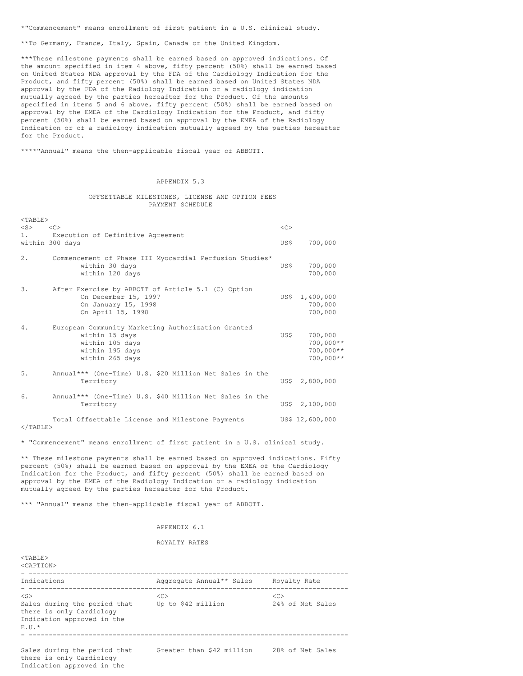\*"Commencement" means enrollment of first patient in a U.S. clinical study.

\*\*To Germany, France, Italy, Spain, Canada or the United Kingdom.

\*\*\*These milestone payments shall be earned based on approved indications. Of the amount specified in item 4 above, fifty percent (50%) shall be earned based on United States NDA approval by the FDA of the Cardiology Indication for the Product, and fifty percent (50%) shall be earned based on United States NDA approval by the FDA of the Radiology Indication or a radiology indication mutually agreed by the parties hereafter for the Product. Of the amounts specified in items 5 and 6 above, fifty percent (50%) shall be earned based on approval by the EMEA of the Cardiology Indication for the Product, and fifty percent (50%) shall be earned based on approval by the EMEA of the Radiology Indication or of a radiology indication mutually agreed by the parties hereafter for the Product.

\*\*\*\*"Annual" means the then-applicable fiscal year of ABBOTT.

### APPENDIX 5.3

### OFFSETTABLE MILESTONES, LICENSE AND OPTION FEES PAYMENT SCHEDULE

| $<$ TABLE><br>$<$ S $>$ | <<                                                                                                                            | <<   |                                                      |
|-------------------------|-------------------------------------------------------------------------------------------------------------------------------|------|------------------------------------------------------|
| $1$ .                   | Execution of Definitive Agreement<br>within 300 days                                                                          | US\$ | 700,000                                              |
| 2.                      | Commencement of Phase III Myocardial Perfusion Studies*<br>within 30 days<br>within 120 days                                  | US\$ | 700,000<br>700,000                                   |
| 3.                      | After Exercise by ABBOTT of Article 5.1 (C) Option<br>On December 15, 1997<br>On January 15, 1998<br>On April 15, 1998        | US\$ | 1,400,000<br>700,000<br>700,000                      |
| 4.                      | European Community Marketing Authorization Granted<br>within 15 days<br>within 105 days<br>within 195 days<br>within 265 days | US\$ | 700,000<br>$700,000**$<br>$700,000**$<br>$700,000**$ |
| 5.                      | Annual*** (One-Time) U.S. \$20 Million Net Sales in the<br>Territory                                                          |      | US\$ 2,800,000                                       |
| 6.                      | Annual*** (One-Time) U.S. \$40 Million Net Sales in the<br>Territory                                                          |      | US\$ 2,100,000                                       |
|                         | Total Offsettable License and Milestone Payments                                                                              |      | US\$ 12,600,000                                      |

 $<$ /TABLE>

\* "Commencement" means enrollment of first patient in a U.S. clinical study.

\*\* These milestone payments shall be earned based on approved indications. Fifty percent (50%) shall be earned based on approval by the EMEA of the Cardiology Indication for the Product, and fifty percent (50%) shall be earned based on approval by the EMEA of the Radiology Indication or a radiology indication mutually agreed by the parties hereafter for the Product.

\*\*\* "Annual" means the then-applicable fiscal year of ABBOTT.

### APPENDIX 6.1

#### ROYALTY RATES

| $<$ TABLE><br>$<$ CAPTION $>$                                                                                    |                           |                        |
|------------------------------------------------------------------------------------------------------------------|---------------------------|------------------------|
| Indications                                                                                                      | Aggregate Annual** Sales  | Royalty Rate           |
| $<$ S $>$<br>Sales during the period that<br>there is only Cardiology<br>Indication approved in the<br>$F. U.$ * | <<<br>Up to \$42 million  | <<<br>24% of Net Sales |
| Sales during the period that<br>there is only Cardiology<br>Indication approved in the                           | Greater than \$42 million | 28% of Net Sales       |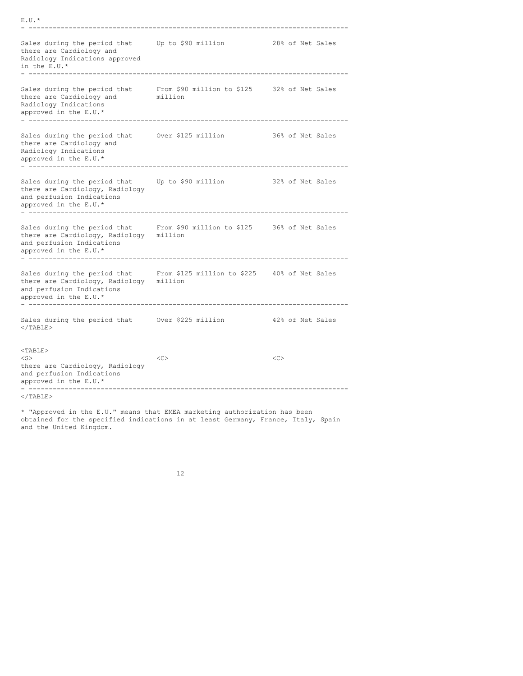| $E.U.*$                                                                                                                                                                    |                                        |    |  |                  |
|----------------------------------------------------------------------------------------------------------------------------------------------------------------------------|----------------------------------------|----|--|------------------|
| Sales during the period that<br>there are Cardiology and<br>Radiology Indications approved<br>in the E.U.*                                                                 | Up to \$90 million                     |    |  | 28% of Net Sales |
| Sales during the period that From \$90 million to \$125 32% of Net Sales<br>there are Cardiology and<br>Radiology Indications<br>approved in the E.U.*                     | million                                |    |  |                  |
| Sales during the period that Over \$125 million<br>there are Cardiology and<br>Radiology Indications<br>approved in the E.U.*<br>. _ _ _ _ _ _ _ _ _ _ _ _                 | 36% of Net Sales                       |    |  |                  |
| Sales during the period that<br>there are Cardiology, Radiology<br>and perfusion Indications<br>approved in the E.U.*<br>------------                                      | 32% of Net Sales<br>Up to \$90 million |    |  |                  |
| Sales during the period that From \$90 million to \$125 36% of Net Sales<br>there are Cardiology, Radiology million<br>and perfusion Indications<br>approved in the E.U.*  |                                        |    |  |                  |
| Sales during the period that From \$125 million to \$225 40% of Net Sales<br>there are Cardiology, Radiology million<br>and perfusion Indications<br>approved in the E.U.* |                                        |    |  |                  |
| Sales during the period that Over \$225 million<br>$<$ /TABLE>                                                                                                             |                                        |    |  | 42% of Net Sales |
| $<$ TABLE $>$<br>$<$ S $>$<br>there are Cardiology, Radiology<br>and perfusion Indications<br>approved in the E.U.*                                                        | < <sub></sub>                          | << |  |                  |
| $\langle$ /TABLE>                                                                                                                                                          |                                        |    |  |                  |

\* "Approved in the E.U." means that EMEA marketing authorization has been obtained for the specified indications in at least Germany, France, Italy, Spain and the United Kingdom.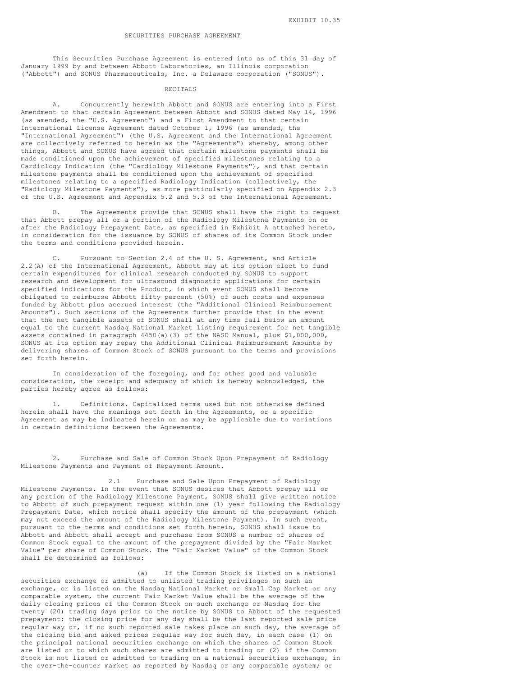#### SECURITIES PURCHASE AGREEMENT

This Securities Purchase Agreement is entered into as of this 31 day of January 1999 by and between Abbott Laboratories, an Illinois corporation ("Abbott") and SONUS Pharmaceuticals, Inc. a Delaware corporation ("SONUS").

#### RECITALS

A. Concurrently herewith Abbott and SONUS are entering into a First Amendment to that certain Agreement between Abbott and SONUS dated May 14, 1996 (as amended, the "U.S. Agreement") and a First Amendment to that certain International License Agreement dated October 1, 1996 (as amended, the "International Agreement") (the U.S. Agreement and the International Agreement are collectively referred to herein as the "Agreements") whereby, among other things, Abbott and SONUS have agreed that certain milestone payments shall be made conditioned upon the achievement of specified milestones relating to a Cardiology Indication (the "Cardiology Milestone Payments"), and that certain milestone payments shall be conditioned upon the achievement of specified milestones relating to a specified Radiology Indication (collectively, the "Radiology Milestone Payments"), as more particularly specified on Appendix 2.3 of the U.S. Agreement and Appendix 5.2 and 5.3 of the International Agreement.

B. The Agreements provide that SONUS shall have the right to request that Abbott prepay all or a portion of the Radiology Milestone Payments on or after the Radiology Prepayment Date, as specified in Exhibit A attached hereto, in consideration for the issuance by SONUS of shares of its Common Stock under the terms and conditions provided herein.

C. Pursuant to Section 2.4 of the U. S. Agreement, and Article 2.2(A) of the International Agreement, Abbott may at its option elect to fund certain expenditures for clinical research conducted by SONUS to support research and development for ultrasound diagnostic applications for certain specified indications for the Product, in which event SONUS shall become obligated to reimburse Abbott fifty percent (50%) of such costs and expenses funded by Abbott plus accrued interest (the "Additional Clinical Reimbursement Amounts"). Such sections of the Agreements further provide that in the event that the net tangible assets of SONUS shall at any time fall below an amount equal to the current Nasdaq National Market listing requirement for net tangible assets contained in paragraph 4450(a)(3) of the NASD Manual, plus \$1,000,000, SONUS at its option may repay the Additional Clinical Reimbursement Amounts by delivering shares of Common Stock of SONUS pursuant to the terms and provisions set forth herein.

In consideration of the foregoing, and for other good and valuable consideration, the receipt and adequacy of which is hereby acknowledged, the parties hereby agree as follows:

1. Definitions. Capitalized terms used but not otherwise defined herein shall have the meanings set forth in the Agreements, or a specific Agreement as may be indicated herein or as may be applicable due to variations in certain definitions between the Agreements.

2. Purchase and Sale of Common Stock Upon Prepayment of Radiology Milestone Payments and Payment of Repayment Amount.

2.1 Purchase and Sale Upon Prepayment of Radiology Milestone Payments. In the event that SONUS desires that Abbott prepay all or any portion of the Radiology Milestone Payment, SONUS shall give written notice to Abbott of such prepayment request within one (1) year following the Radiology Prepayment Date, which notice shall specify the amount of the prepayment (which may not exceed the amount of the Radiology Milestone Payment). In such event, pursuant to the terms and conditions set forth herein, SONUS shall issue to Abbott and Abbott shall accept and purchase from SONUS a number of shares of Common Stock equal to the amount of the prepayment divided by the "Fair Market Value" per share of Common Stock. The "Fair Market Value" of the Common Stock shall be determined as follows:

(a) If the Common Stock is listed on a national securities exchange or admitted to unlisted trading privileges on such an exchange, or is listed on the Nasdaq National Market or Small Cap Market or any comparable system, the current Fair Market Value shall be the average of the daily closing prices of the Common Stock on such exchange or Nasdaq for the twenty (20) trading days prior to the notice by SONUS to Abbott of the requested prepayment; the closing price for any day shall be the last reported sale price regular way or, if no such reported sale takes place on such day, the average of the closing bid and asked prices regular way for such day, in each case (1) on the principal national securities exchange on which the shares of Common Stock are listed or to which such shares are admitted to trading or (2) if the Common Stock is not listed or admitted to trading on a national securities exchange, in the over-the-counter market as reported by Nasdaq or any comparable system; or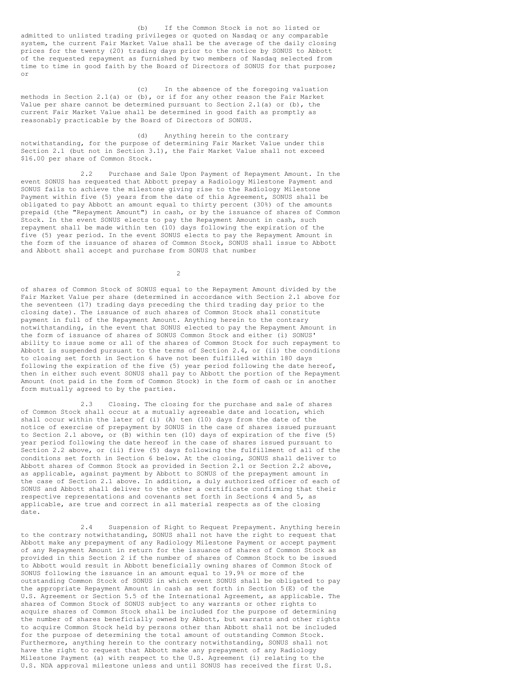(b) If the Common Stock is not so listed or admitted to unlisted trading privileges or quoted on Nasdaq or any comparable system, the current Fair Market Value shall be the average of the daily closing prices for the twenty (20) trading days prior to the notice by SONUS to Abbott of the requested repayment as furnished by two members of Nasdaq selected from time to time in good faith by the Board of Directors of SONUS for that purpose; or

(c) In the absence of the foregoing valuation methods in Section 2.1(a) or (b), or if for any other reason the Fair Market Value per share cannot be determined pursuant to Section  $2.1(a)$  or (b), the current Fair Market Value shall be determined in good faith as promptly as reasonably practicable by the Board of Directors of SONUS.

(d) Anything herein to the contrary notwithstanding, for the purpose of determining Fair Market Value under this Section 2.1 (but not in Section 3.1), the Fair Market Value shall not exceed \$16.00 per share of Common Stock.

2.2 Purchase and Sale Upon Payment of Repayment Amount. In the event SONUS has requested that Abbott prepay a Radiology Milestone Payment and SONUS fails to achieve the milestone giving rise to the Radiology Milestone Payment within five (5) years from the date of this Agreement, SONUS shall be obligated to pay Abbott an amount equal to thirty percent (30%) of the amounts prepaid (the "Repayment Amount") in cash, or by the issuance of shares of Common Stock. In the event SONUS elects to pay the Repayment Amount in cash, such repayment shall be made within ten (10) days following the expiration of the five (5) year period. In the event SONUS elects to pay the Repayment Amount in the form of the issuance of shares of Common Stock, SONUS shall issue to Abbott and Abbott shall accept and purchase from SONUS that number

 $\overline{2}$ 

of shares of Common Stock of SONUS equal to the Repayment Amount divided by the Fair Market Value per share (determined in accordance with Section 2.1 above for the seventeen (17) trading days preceding the third trading day prior to the closing date). The issuance of such shares of Common Stock shall constitute payment in full of the Repayment Amount. Anything herein to the contrary notwithstanding, in the event that SONUS elected to pay the Repayment Amount in the form of issuance of shares of SONUS Common Stock and either (i) SONUS' ability to issue some or all of the shares of Common Stock for such repayment to Abbott is suspended pursuant to the terms of Section 2.4, or (ii) the conditions to closing set forth in Section 6 have not been fulfilled within 180 days following the expiration of the five (5) year period following the date hereof, then in either such event SONUS shall pay to Abbott the portion of the Repayment Amount (not paid in the form of Common Stock) in the form of cash or in another form mutually agreed to by the parties.

2.3 Closing. The closing for the purchase and sale of shares of Common Stock shall occur at a mutually agreeable date and location, which shall occur within the later of (i) (A) ten (10) days from the date of the notice of exercise of prepayment by SONUS in the case of shares issued pursuant to Section 2.1 above, or (B) within ten (10) days of expiration of the five (5) year period following the date hereof in the case of shares issued pursuant to Section 2.2 above, or (ii) five (5) days following the fulfillment of all of the conditions set forth in Section 6 below. At the closing, SONUS shall deliver to Abbott shares of Common Stock as provided in Section 2.1 or Section 2.2 above, as applicable, against payment by Abbott to SONUS of the prepayment amount in the case of Section 2.1 above. In addition, a duly authorized officer of each of SONUS and Abbott shall deliver to the other a certificate confirming that their respective representations and covenants set forth in Sections 4 and 5, as applicable, are true and correct in all material respects as of the closing date.

2.4 Suspension of Right to Request Prepayment. Anything herein to the contrary notwithstanding, SONUS shall not have the right to request that Abbott make any prepayment of any Radiology Milestone Payment or accept payment of any Repayment Amount in return for the issuance of shares of Common Stock as provided in this Section 2 if the number of shares of Common Stock to be issued to Abbott would result in Abbott beneficially owning shares of Common Stock of SONUS following the issuance in an amount equal to 19.9% or more of the outstanding Common Stock of SONUS in which event SONUS shall be obligated to pay the appropriate Repayment Amount in cash as set forth in Section 5(E) of the U.S. Agreement or Section 5.5 of the International Agreement, as applicable. The shares of Common Stock of SONUS subject to any warrants or other rights to acquire shares of Common Stock shall be included for the purpose of determining the number of shares beneficially owned by Abbott, but warrants and other rights to acquire Common Stock held by persons other than Abbott shall not be included for the purpose of determining the total amount of outstanding Common Stock. Furthermore, anything herein to the contrary notwithstanding, SONUS shall not have the right to request that Abbott make any prepayment of any Radiology Milestone Payment (a) with respect to the U.S. Agreement (i) relating to the U.S. NDA approval milestone unless and until SONUS has received the first U.S.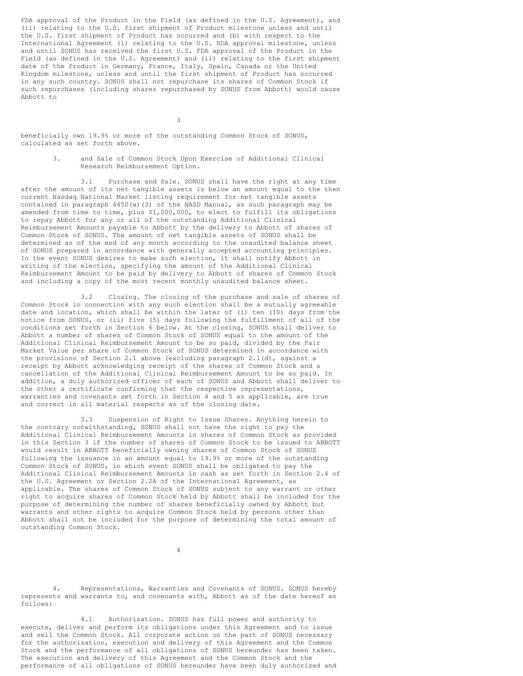FDA approval of the Product in the Field (as defined in the U.S. Agreement), and (ii) relating to the U.S. first shipment of Product milestone unless and until the U.S. first shipment of Product has occurred and (b) with respect to the International Agreement (i) relating to the U.S. NDA approval milestone, unless and until SONUS has received the first U.S. FDA approval of the Product in the Field (as defined in the U.S. Agreement) and (ii) relating to the first shipment date of the Product in Germany, France, Italy, Spain, Canada or the United Kingdom milestone, unless and until the first shipment of Product has occurred in any such country. SONUS shall not repurchase its shares of Common Stock if such repurchases (including shares repurchased by SONUS from Abbott) would cause Abbott to

3

beneficially own 19.9% or more of the outstanding Common Stock of SONUS, calculated as set forth above.

> 3. and Sale of Common Stock Upon Exercise of Additional Clinical Research Reimbursement Option.

3.1 Purchase and Sale. SONUS shall have the right at any time after the amount of its net tangible assets is below an amount equal to the then current Nasdaq National Market listing requirement for net tangible assets contained in paragraph 4450(a)(3) of the NASD Manual, as such paragraph may be amended from time to time, plus \$1,000,000, to elect to fulfill its obligations to repay Abbott for any or all of the outstanding Additional Clinical Reimbursement Amounts payable to Abbott by the delivery to Abbott of shares of Common Stock of SONUS. The amount of net tangible assets of SONUS shall be determined as of the end of any month according to the unaudited balance sheet of SONUS prepared in accordance with generally accepted accounting principles. In the event SONUS desires to make such election, it shall notify Abbott in writing of the election, specifying the amount of the Additional Clinical Reimbursement Amount to be paid by delivery to Abbott of shares of Common Stock and including a copy of the most recent monthly unaudited balance sheet.

3.2 Closing. The closing of the purchase and sale of shares of Common Stock in connection with any such election shall be a mutually agreeable date and location, which shall be within the later of (i) ten (10) days from the notice from SONUS, or (ii) five (5) days following the fulfillment of all of the conditions set forth in Section 6 below. At the closing, SONUS shall deliver to Abbott a number of shares of Common Stock of SONUS equal to the amount of the Additional Clinical Reimbursement Amount to be so paid, divided by the Fair Market Value per share of Common Stock of SONUS determined in accordance with the provisions of Section 2.1 above (excluding paragraph  $2.1$ (d), against a receipt by Abbott acknowledging receipt of the shares of Common Stock and a cancellation of the Additional Clinical Reimbursement Amount to be so paid. In addition, a duly authorized officer of each of SONUS and Abbott shall deliver to the other a certificate confirming that the respective representations, warranties and covenants set forth in Section 4 and 5 as applicable, are true and correct in all material respects as of the closing date.

3.3 Suspension of Right to Issue Shares. Anything herein to the contrary notwithstanding, SONUS shall not have the right to pay the Additional Clinical Reimbursement Amounts in shares of Common Stock as provided in this Section 3 if the number of shares of Common Stock to be issued to ABBOTT would result in ABBOTT beneficially owning shares of Common Stock of SONUS following the issuance in an amount equal to 19.9% or more of the outstanding Common Stock of SONUS, in which event SONUS shall be obligated to pay the Additional Clinical Reimbursement Amounts in cash as set forth in Section 2.4 of the U.S. Agreement or Section 2.2A of the International Agreement, as applicable. The shares of Common Stock of SONUS subject to any warrant or other right to acquire shares of Common Stock held by Abbott shall be included for the purpose of determining the number of shares beneficially owned by Abbott but warrants and other rights to acquire Common Stock held by persons other than Abbott shall not be included for the purpose of determining the total amount of outstanding Common Stock.

4

4. Representations, Warranties and Covenants of SONUS. SONUS hereby represents and warrants to, and covenants with, Abbott as of the date hereof as follows:

4.1 Authorization. SONUS has full power and authority to execute, deliver and perform its obligations under this Agreement and to issue and sell the Common Stock. All corporate action on the part of SONUS necessary for the authorization, execution and delivery of this Agreement and the Common Stock and the performance of all obligations of SONUS hereunder has been taken. The execution and delivery of this Agreement and the Common Stock and the performance of all obligations of SONUS hereunder have been duly authorized and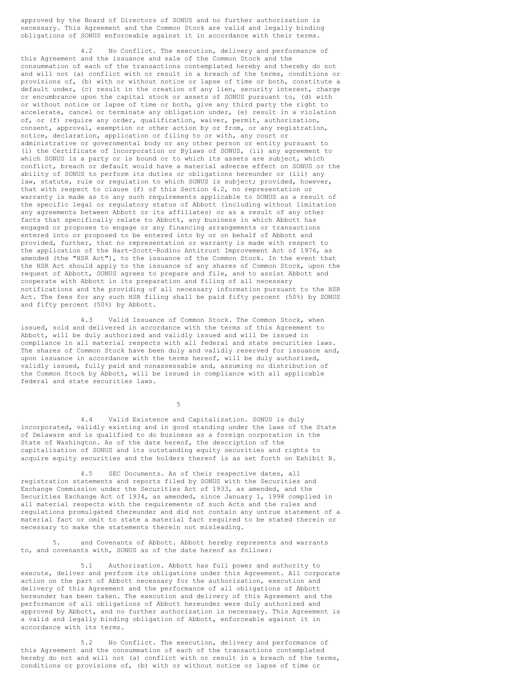approved by the Board of Directors of SONUS and no further authorization is necessary. This Agreement and the Common Stock are valid and legally binding obligations of SONUS enforceable against it in accordance with their terms.

4.2 No Conflict. The execution, delivery and performance of this Agreement and the issuance and sale of the Common Stock and the consummation of each of the transactions contemplated hereby and thereby do not and will not (a) conflict with or result in a breach of the terms, conditions or provisions of, (b) with or without notice or lapse of time or both, constitute a default under, (c) result in the creation of any lien, security interest, charge or encumbrance upon the capital stock or assets of SONUS pursuant to, (d) with or without notice or lapse of time or both, give any third party the right to accelerate, cancel or terminate any obligation under, (e) result in a violation of, or (f) require any order, qualification, waiver, permit, authorization, consent, approval, exemption or other action by or from, or any registration, notice, declaration, application or filing to or with, any court or administrative or governmental body or any other person or entity pursuant to (i) the Certificate of Incorporation or Bylaws of SONUS, (ii) any agreement to which SONUS is a party or is bound or to which its assets are subject, which conflict, breach or default would have a material adverse effect on SONUS or the ability of SONUS to perform its duties or obligations hereunder or (iii) any law, statute, rule or regulation to which SONUS is subject; provided, however, that with respect to clause (f) of this Section 4.2, no representation or warranty is made as to any such requirements applicable to SONUS as a result of the specific legal or regulatory status of Abbott (including without limitation any agreements between Abbott or its affiliates) or as a result of any other facts that specifically relate to Abbott, any business in which Abbott has engaged or proposes to engage or any financing arrangements or transactions entered into or proposed to be entered into by or on behalf of Abbott and provided, further, that no representation or warranty is made with respect to the application of the Hart-Scott-Rodino Antitrust Improvement Act of 1976, as amended (the "HSR Act"), to the issuance of the Common Stock. In the event that the HSR Act should apply to the issuance of any shares of Common Stock, upon the request of Abbott, SONUS agrees to prepare and file, and to assist Abbott and cooperate with Abbott in its preparation and filing of all necessary notifications and the providing of all necessary information pursuant to the HSR Act. The fees for any such HSR filing shall be paid fifty percent (50%) by SONUS and fifty percent (50%) by Abbott.

4.3 Valid Issuance of Common Stock. The Common Stock, when issued, sold and delivered in accordance with the terms of this Agreement to Abbott, will be duly authorized and validly issued and will be issued in compliance in all material respects with all federal and state securities laws. The shares of Common Stock have been duly and validly reserved for issuance and, upon issuance in accordance with the terms hereof, will be duly authorized, validly issued, fully paid and nonassessable and, assuming no distribution of the Common Stock by Abbott, will be issued in compliance with all applicable federal and state securities laws.

5

4.4 Valid Existence and Capitalization. SONUS is duly incorporated, validly existing and in good standing under the laws of the State of Delaware and is qualified to do business as a foreign corporation in the State of Washington. As of the date hereof, the description of the capitalization of SONUS and its outstanding equity securities and rights to acquire equity securities and the holders thereof is as set forth on Exhibit B.

4.5 SEC Documents. As of their respective dates, all registration statements and reports filed by SONUS with the Securities and Exchange Commission under the Securities Act of 1933, as amended, and the Securities Exchange Act of 1934, as amended, since January 1, 1998 complied in all material respects with the requirements of such Acts and the rules and regulations promulgated thereunder and did not contain any untrue statement of a material fact or omit to state a material fact required to be stated therein or necessary to make the statements therein not misleading.

5. and Covenants of Abbott. Abbott hereby represents and warrants to, and covenants with, SONUS as of the date hereof as follows:

5.1 Authorization. Abbott has full power and authority to execute, deliver and perform its obligations under this Agreement. All corporate action on the part of Abbott necessary for the authorization, execution and delivery of this Agreement and the performance of all obligations of Abbott hereunder has been taken. The execution and delivery of this Agreement and the performance of all obligations of Abbott hereunder were duly authorized and approved by Abbott, and no further authorization is necessary. This Agreement is a valid and legally binding obligation of Abbott, enforceable against it in accordance with its terms.

5.2 No Conflict. The execution, delivery and performance of this Agreement and the consummation of each of the transactions contemplated hereby do not and will not (a) conflict with or result in a breach of the terms, conditions or provisions of, (b) with or without notice or lapse of time or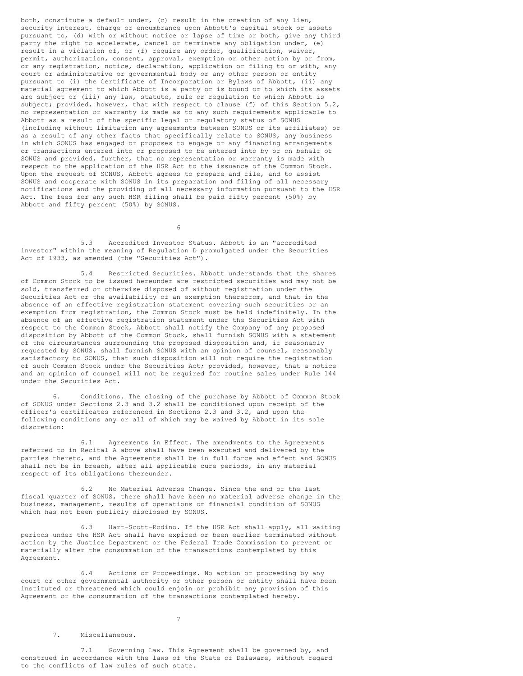both, constitute a default under, (c) result in the creation of any lien, security interest, charge or encumbrance upon Abbott's capital stock or assets pursuant to, (d) with or without notice or lapse of time or both, give any third party the right to accelerate, cancel or terminate any obligation under, (e) result in a violation of, or (f) require any order, qualification, waiver, permit, authorization, consent, approval, exemption or other action by or from, or any registration, notice, declaration, application or filing to or with, any court or administrative or governmental body or any other person or entity pursuant to (i) the Certificate of Incorporation or Bylaws of Abbott, (ii) any material agreement to which Abbott is a party or is bound or to which its assets are subject or (iii) any law, statute, rule or regulation to which Abbott is subject; provided, however, that with respect to clause (f) of this Section 5.2, no representation or warranty is made as to any such requirements applicable to Abbott as a result of the specific legal or regulatory status of SONUS (including without limitation any agreements between SONUS or its affiliates) or as a result of any other facts that specifically relate to SONUS, any business in which SONUS has engaged or proposes to engage or any financing arrangements or transactions entered into or proposed to be entered into by or on behalf of SONUS and provided, further, that no representation or warranty is made with respect to the application of the HSR Act to the issuance of the Common Stock. Upon the request of SONUS, Abbott agrees to prepare and file, and to assist SONUS and cooperate with SONUS in its preparation and filing of all necessary notifications and the providing of all necessary information pursuant to the HSR Act. The fees for any such HSR filing shall be paid fifty percent (50%) by Abbott and fifty percent (50%) by SONUS.

6

5.3 Accredited Investor Status. Abbott is an "accredited investor" within the meaning of Regulation D promulgated under the Securities Act of 1933, as amended (the "Securities Act").

5.4 Restricted Securities. Abbott understands that the shares of Common Stock to be issued hereunder are restricted securities and may not be sold, transferred or otherwise disposed of without registration under the Securities Act or the availability of an exemption therefrom, and that in the absence of an effective registration statement covering such securities or an exemption from registration, the Common Stock must be held indefinitely. In the absence of an effective registration statement under the Securities Act with respect to the Common Stock, Abbott shall notify the Company of any proposed disposition by Abbott of the Common Stock, shall furnish SONUS with a statement of the circumstances surrounding the proposed disposition and, if reasonably requested by SONUS, shall furnish SONUS with an opinion of counsel, reasonably satisfactory to SONUS, that such disposition will not require the registration of such Common Stock under the Securities Act; provided, however, that a notice and an opinion of counsel will not be required for routine sales under Rule 144 under the Securities Act.

6. Conditions. The closing of the purchase by Abbott of Common Stock of SONUS under Sections 2.3 and 3.2 shall be conditioned upon receipt of the officer's certificates referenced in Sections 2.3 and 3.2, and upon the following conditions any or all of which may be waived by Abbott in its sole discretion:

6.1 Agreements in Effect. The amendments to the Agreements referred to in Recital A above shall have been executed and delivered by the parties thereto, and the Agreements shall be in full force and effect and SONUS shall not be in breach, after all applicable cure periods, in any material respect of its obligations thereunder.

6.2 No Material Adverse Change. Since the end of the last fiscal quarter of SONUS, there shall have been no material adverse change in the business, management, results of operations or financial condition of SONUS which has not been publicly disclosed by SONUS.

6.3 Hart-Scott-Rodino. If the HSR Act shall apply, all waiting periods under the HSR Act shall have expired or been earlier terminated without action by the Justice Department or the Federal Trade Commission to prevent or materially alter the consummation of the transactions contemplated by this Agreement.

6.4 Actions or Proceedings. No action or proceeding by any court or other governmental authority or other person or entity shall have been instituted or threatened which could enjoin or prohibit any provision of this Agreement or the consummation of the transactions contemplated hereby.

7

#### 7. Miscellaneous.

7.1 Governing Law. This Agreement shall be governed by, and construed in accordance with the laws of the State of Delaware, without regard to the conflicts of law rules of such state.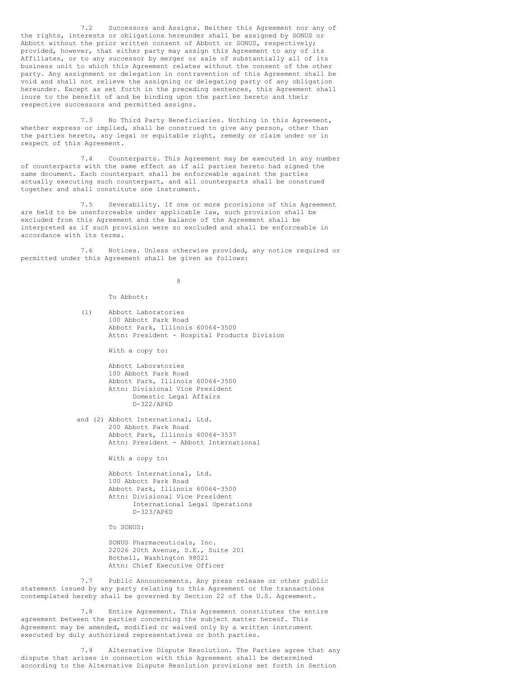7.2 Successors and Assigns. Neither this Agreement nor any of the rights, interests or obligations hereunder shall be assigned by SONUS or Abbott without the prior written consent of Abbott or SONUS, respectively; provided, however, that either party may assign this Agreement to any of its Affiliates, or to any successor by merger or sale of substantially all of its business unit to which this Agreement relates without the consent of the other party. Any assignment or delegation in contravention of this Agreement shall be void and shall not relieve the assigning or delegating party of any obligation hereunder. Except as set forth in the preceding sentences, this Agreement shall inure to the benefit of and be binding upon the parties hereto and their respective successors and permitted assigns.

7.3 No Third Party Beneficiaries. Nothing in this Agreement, whether express or implied, shall be construed to give any person, other than the parties hereto, any legal or equitable right, remedy or claim under or in respect of this Agreement.

7.4 Counterparts. This Agreement may be executed in any number of counterparts with the same effect as if all parties hereto had signed the same document. Each counterpart shall be enforceable against the parties actually executing such counterpart, and all counterparts shall be construed together and shall constitute one instrument.

7.5 Severability. If one or more provisions of this Agreement are held to be unenforceable under applicable law, such provision shall be excluded from this Agreement and the balance of the Agreement shall be interpreted as if such provision were so excluded and shall be enforceable in accordance with its terms.

7.6 Notices. Unless otherwise provided, any notice required or permitted under this Agreement shall be given as follows:

8

To Abbott:

(1) Abbott Laboratories 100 Abbott Park Road Abbott Park, Illinois 60064-3500 Attn: President - Hospital Products Division

With a copy to:

Abbott Laboratories 100 Abbott Park Road Abbott Park, Illinois 60064-3500 Attn: Divisional Vice President Domestic Legal Affairs D-322/AP6D

and (2) Abbott International, Ltd. 200 Abbott Park Road Abbott Park, Illinois 60064-3537 Attn: President - Abbott International

With a copy to:

Abbott International, Ltd. 100 Abbott Park Road Abbott Park, Illinois 60064-3500 Attn: Divisional Vice President International Legal Operations D-323/AP6D

To SONUS:

SONUS Pharmaceuticals, Inc. 22026 20th Avenue, S.E., Suite 201 Bothell, Washington 98021 Attn: Chief Executive Officer

7.7 Public Announcements. Any press release or other public statement issued by any party relating to this Agreement or the transactions contemplated hereby shall be governed by Section 22 of the U.S. Agreement.

7.8 Entire Agreement. This Agreement constitutes the entire agreement between the parties concerning the subject matter hereof. This Agreement may be amended, modified or waived only by a written instrument executed by duly authorized representatives or both parties.

7.9 Alternative Dispute Resolution. The Parties agree that any dispute that arises in connection with this Agreement shall be determined according to the Alternative Dispute Resolution provisions set forth in Section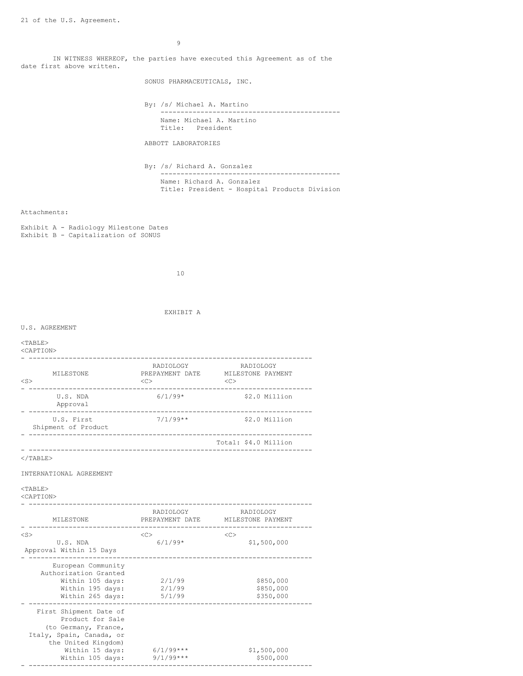IN WITNESS WHEREOF, the parties have executed this Agreement as of the date first above written.

SONUS PHARMACEUTICALS, INC.

By: /s/ Michael A. Martino --------------------------------------------- Name: Michael A. Martino Title: President

ABBOTT LABORATORIES

By: /s/ Richard A. Gonzalez --------------------------------------------- Name: Richard A. Gonzalez Title: President - Hospital Products Division

#### Attachments:

Exhibit A - Radiology Milestone Dates Exhibit B - Capitalization of SONUS

10

EXHIBIT A

U.S. AGREEMENT

### <TABLE>

#### <CAPTION>

| MILESTONE<br>$<$ S $>$                           | RADIOLOGY<br>PREPAYMENT DATE<br>< <c></c> | RADIOLOGY<br>MILESTONE PAYMENT<br><<           |
|--------------------------------------------------|-------------------------------------------|------------------------------------------------|
| U.S. NDA<br>Approval                             | $6/1/99*$                                 | \$2.0 Million<br>---------------               |
| U.S. First<br>Shipment of Product                | $7/1/99**$                                | \$2.0 Million                                  |
|                                                  |                                           | Total: \$4.0 Million                           |
| $\langle$ /TABLE>                                |                                           |                                                |
| INTERNATIONAL AGREEMENT                          |                                           |                                                |
| $<$ TABLE><br><caption></caption>                |                                           |                                                |
| MILESTONE                                        | RADIOLOGY                                 | RADIOLOGY<br>PREPAYMENT DATE MILESTONE PAYMENT |
| $<$ S $>$<br>U.S. NDA<br>Approval Within 15 Days | $<$ C $>$<br>$6/1/99*$                    | $<$ C $>$<br>\$1,500,000                       |

- ----------------------------------------------------------------------- European Community Authorization Granted Within 105 days: 2/1/99 \$850,000

| $\cdots$ chimic room $\alpha$<br>Within 195 days:<br>Within 265 days: | -----<br>2/1/99<br>5/1/99 | 7001000<br>\$850,000<br>\$350,000 |
|-----------------------------------------------------------------------|---------------------------|-----------------------------------|
|                                                                       |                           |                                   |
| First Shipment Date of<br>Product for Sale                            |                           |                                   |
| (to Germany, France,                                                  |                           |                                   |
| Italy, Spain, Canada, or                                              |                           |                                   |
| the United Kingdom)                                                   |                           |                                   |
| Within 15 days:                                                       | $6/1/99***$               | \$1,500,000                       |
| Within 105 days:                                                      | $9/1/99***$               | \$500,000                         |

- -----------------------------------------------------------------------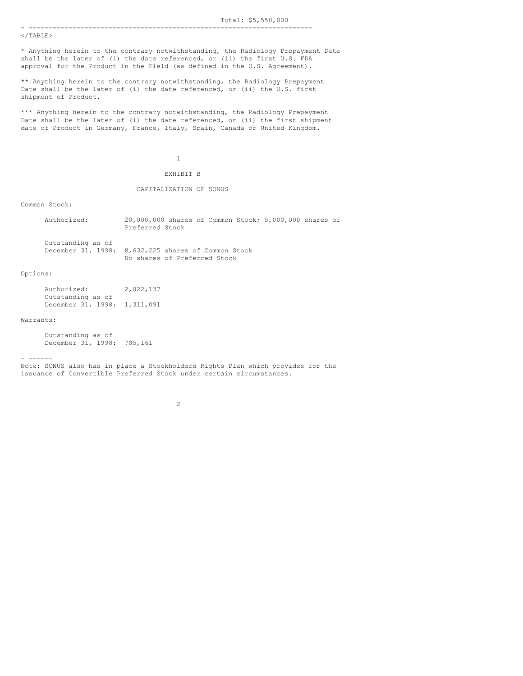#### </TABLE>

\* Anything herein to the contrary notwithstanding, the Radiology Prepayment Date shall be the later of (i) the date referenced, or (ii) the first U.S. FDA approval for the Product in the Field (as defined in the U.S. Agreement).

\*\* Anything herein to the contrary notwithstanding, the Radiology Prepayment Date shall be the later of (i) the date referenced, or (ii) the U.S. first shipment of Product.

\*\*\* Anything herein to the contrary notwithstanding, the Radiology Prepayment Date shall be the later of (i) the date referenced, or (ii) the first shipment date of Product in Germany, France, Italy, Spain, Canada or United Kingdom.

# 1

## EXHIBIT B

#### CAPITALIZATION OF SONUS

Common Stock:

| Authorized:       | 20,000,000 shares of Common Stock; 5,000,000 shares of |
|-------------------|--------------------------------------------------------|
|                   | Preferred Stock                                        |
| Outstanding as of |                                                        |
|                   | December 31, 1998: 8,632,225 shares of Common Stock    |
|                   | No shares of Preferred Stock                           |

#### Options:

| Authorized:        | 2,022,137 |
|--------------------|-----------|
| Outstanding as of  |           |
| December 31, 1998: | 1,311,091 |

### Warrants:

Outstanding as of December 31, 1998: 785,161

#### - ------

Note: SONUS also has in place a Stockholders Rights Plan which provides for the issuance of Convertible Preferred Stock under certain circumstances.

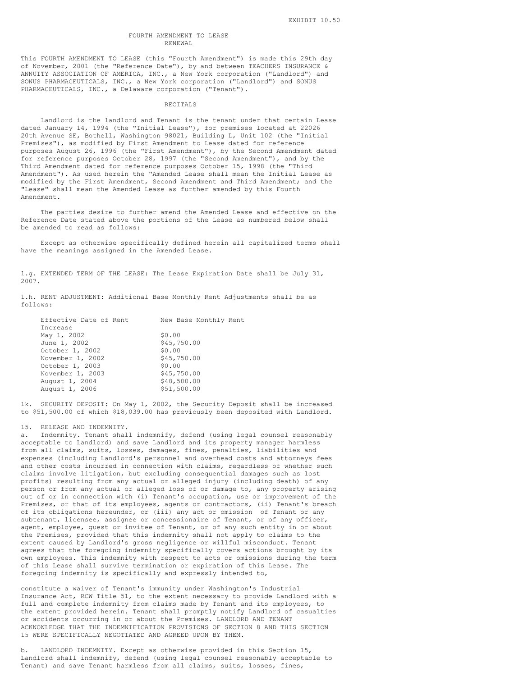#### FOURTH AMENDMENT TO LEASE RENEWAL

This FOURTH AMENDMENT TO LEASE (this "Fourth Amendment") is made this 29th day of November, 2001 (the "Reference Date"), by and between TEACHERS INSURANCE & ANNUITY ASSOCIATION OF AMERICA, INC., a New York corporation ("Landlord") and SONUS PHARMACEUTICALS, INC., a New York corporation ("Landlord") and SONUS PHARMACEUTICALS, INC., a Delaware corporation ("Tenant").

#### RECITALS

Landlord is the landlord and Tenant is the tenant under that certain Lease dated January 14, 1994 (the "Initial Lease"), for premises located at 22026 20th Avenue SE, Bothell, Washington 98021, Building L, Unit 102 (the "Initial Premises"), as modified by First Amendment to Lease dated for reference purposes August 26, 1996 (the "First Amendment"), by the Second Amendment dated for reference purposes October 28, 1997 (the "Second Amendment"), and by the Third Amendment dated for reference purposes October 15, 1998 (the "Third Amendment"). As used herein the "Amended Lease shall mean the Initial Lease as modified by the First Amendment, Second Amendment and Third Amendment; and the "Lease" shall mean the Amended Lease as further amended by this Fourth Amendment.

The parties desire to further amend the Amended Lease and effective on the Reference Date stated above the portions of the Lease as numbered below shall be amended to read as follows:

Except as otherwise specifically defined herein all capitalized terms shall have the meanings assigned in the Amended Lease.

1.g. EXTENDED TERM OF THE LEASE: The Lease Expiration Date shall be July 31, 2007.

1.h. RENT ADJUSTMENT: Additional Base Monthly Rent Adjustments shall be as follows:

| Effective Date of Rent | New Base Monthly Rent |
|------------------------|-----------------------|
| Increase               |                       |
| May 1, 2002            | \$0.00                |
| June 1, 2002           | \$45,750.00           |
| October 1, 2002        | \$0.00                |
| November 1, 2002       | \$45,750.00           |
| October 1, 2003        | \$0.00                |
| November 1, 2003       | \$45,750.00           |
| August 1, 2004         | \$48,500.00           |
| August 1, 2006         | \$51,500.00           |

1k. SECURITY DEPOSIT: On May 1, 2002, the Security Deposit shall be increased to \$51,500.00 of which \$18,039.00 has previously been deposited with Landlord.

#### 15. RELEASE AND INDEMNITY.

a. Indemnity. Tenant shall indemnify, defend (using legal counsel reasonably acceptable to Landlord) and save Landlord and its property manager harmless from all claims, suits, losses, damages, fines, penalties, liabilities and expenses (including Landlord's personnel and overhead costs and attorneys fees and other costs incurred in connection with claims, regardless of whether such claims involve litigation, but excluding consequential damages such as lost profits) resulting from any actual or alleged injury (including death) of any person or from any actual or alleged loss of or damage to, any property arising out of or in connection with (i) Tenant's occupation, use or improvement of the Premises, or that of its employees, agents or contractors, (ii) Tenant's breach of its obligations hereunder, or (iii) any act or omission of Tenant or any subtenant, licensee, assignee or concessionaire of Tenant, or of any officer, agent, employee, guest or invitee of Tenant, or of any such entity in or about the Premises, provided that this indemnity shall not apply to claims to the extent caused by Landlord's gross negligence or willful misconduct. Tenant agrees that the foregoing indemnity specifically covers actions brought by its own employees. This indemnity with respect to acts or omissions during the term of this Lease shall survive termination or expiration of this Lease. The foregoing indemnity is specifically and expressly intended to,

constitute a waiver of Tenant's immunity under Washington's Industrial Insurance Act, RCW Title 51, to the extent necessary to provide Landlord with a full and complete indemnity from claims made by Tenant and its employees, to the extent provided herein. Tenant shall promptly notify Landlord of casualties or accidents occurring in or about the Premises. LANDLORD AND TENANT ACKNOWLEDGE THAT THE INDEMNIFICATION PROVISIONS OF SECTION 8 AND THIS SECTION 15 WERE SPECIFICALLY NEGOTIATED AND AGREED UPON BY THEM.

b. LANDLORD INDEMNITY. Except as otherwise provided in this Section 15, Landlord shall indemnify, defend (using legal counsel reasonably acceptable to Tenant) and save Tenant harmless from all claims, suits, losses, fines,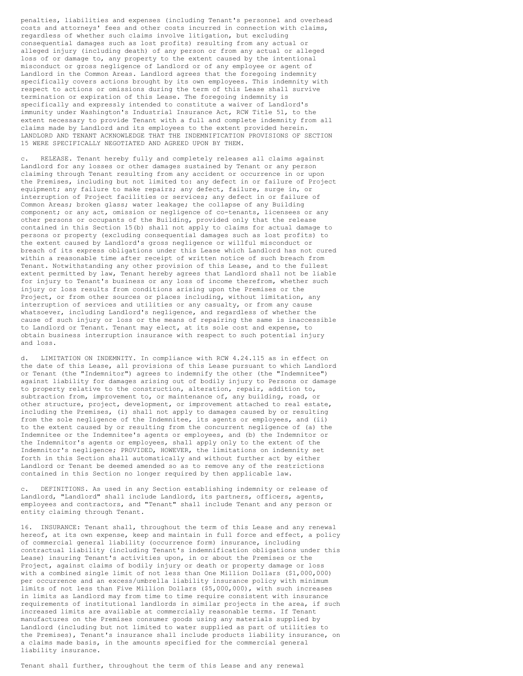penalties, liabilities and expenses (including Tenant's personnel and overhead costs and attorneys' fees and other costs incurred in connection with claims, regardless of whether such claims involve litigation, but excluding consequential damages such as lost profits) resulting from any actual or alleged injury (including death) of any person or from any actual or alleged loss of or damage to, any property to the extent caused by the intentional misconduct or gross negligence of Landlord or of any employee or agent of Landlord in the Common Areas. Landlord agrees that the foregoing indemnity specifically covers actions brought by its own employees. This indemnity with respect to actions or omissions during the term of this Lease shall survive termination or expiration of this Lease. The foregoing indemnity is specifically and expressly intended to constitute a waiver of Landlord's immunity under Washington's Industrial Insurance Act, RCW Title 51, to the extent necessary to provide Tenant with a full and complete indemnity from all claims made by Landlord and its employees to the extent provided herein. LANDLORD AND TENANT ACKNOWLEDGE THAT THE INDEMNIFICATION PROVISIONS OF SECTION 15 WERE SPECIFICALLY NEGOTIATED AND AGREED UPON BY THEM.

c. RELEASE. Tenant hereby fully and completely releases all claims against Landlord for any losses or other damages sustained by Tenant or any person claiming through Tenant resulting from any accident or occurrence in or upon the Premises, including but not limited to: any defect in or failure of Project equipment; any failure to make repairs; any defect, failure, surge in, or interruption of Project facilities or services; any defect in or failure of Common Areas; broken glass; water leakage; the collapse of any Building component; or any act, omission or negligence of co-tenants, licensees or any other persons or occupants of the Building, provided only that the release contained in this Section 15(b) shall not apply to claims for actual damage to persons or property (excluding consequential damages such as lost profits) to the extent caused by Landlord's gross negligence or willful misconduct or breach of its express obligations under this Lease which Landlord has not cured within a reasonable time after receipt of written notice of such breach from Tenant. Notwithstanding any other provision of this Lease, and to the fullest extent permitted by law, Tenant hereby agrees that Landlord shall not be liable for injury to Tenant's business or any loss of income therefrom, whether such injury or loss results from conditions arising upon the Premises or the Project, or from other sources or places including, without limitation, any interruption of services and utilities or any casualty, or from any cause whatsoever, including Landlord's negligence, and regardless of whether the cause of such injury or loss or the means of repairing the same is inaccessible to Landlord or Tenant. Tenant may elect, at its sole cost and expense, to obtain business interruption insurance with respect to such potential injury and loss.

d. LIMITATION ON INDEMNITY. In compliance with RCW 4.24.115 as in effect on the date of this Lease, all provisions of this Lease pursuant to which Landlord or Tenant (the "Indemnitor") agrees to indemnify the other (the "Indemnitee") against liability for damages arising out of bodily injury to Persons or damage to property relative to the construction, alteration, repair, addition to, subtraction from, improvement to, or maintenance of, any building, road, or other structure, project, development, or improvement attached to real estate, including the Premises, (i) shall not apply to damages caused by or resulting from the sole negligence of the Indemnitee, its agents or employees, and (ii) to the extent caused by or resulting from the concurrent negligence of (a) the Indemnitee or the Indemnitee's agents or employees, and (b) the Indemnitor or the Indemnitor's agents or employees, shall apply only to the extent of the Indemnitor's negligence; PROVIDED, HOWEVER, the limitations on indemnity set forth in this Section shall automatically and without further act by either Landlord or Tenant be deemed amended so as to remove any of the restrictions contained in this Section no longer required by then applicable law.

DEFINITIONS. As used in any Section establishing indemnity or release of Landlord, "Landlord" shall include Landlord, its partners, officers, agents, employees and contractors, and "Tenant" shall include Tenant and any person or entity claiming through Tenant.

16. INSURANCE: Tenant shall, throughout the term of this Lease and any renewal hereof, at its own expense, keep and maintain in full force and effect, a policy of commercial general liability (occurrence form) insurance, including contractual liability (including Tenant's indemnification obligations under this Lease) insuring Tenant's activities upon, in or about the Premises or the Project, against claims of bodily injury or death or property damage or loss with a combined single limit of not less than One Million Dollars (\$1,000,000) per occurrence and an excess/umbrella liability insurance policy with minimum limits of not less than Five Million Dollars (\$5,000,000), with such increases in limits as Landlord may from time to time require consistent with insurance requirements of institutional landlords in similar projects in the area, if such increased limits are available at commercially reasonable terms. If Tenant manufactures on the Premises consumer goods using any materials supplied by Landlord (including but not limited to water supplied as part of utilities to the Premises), Tenant's insurance shall include products liability insurance, on a claims made basis, in the amounts specified for the commercial general liability insurance.

Tenant shall further, throughout the term of this Lease and any renewal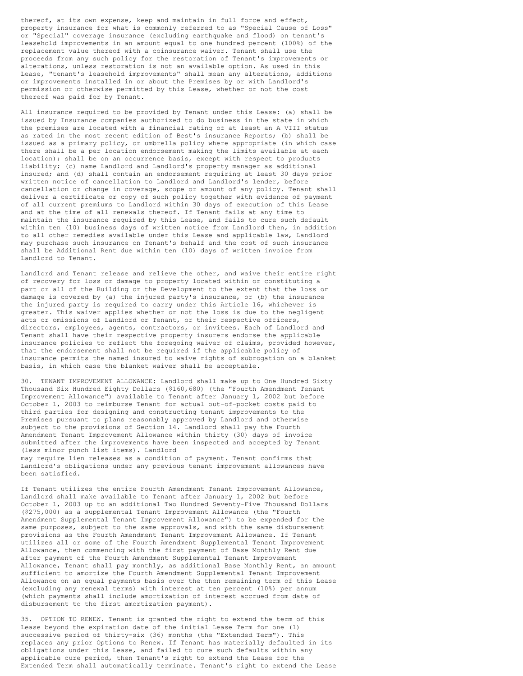thereof, at its own expense, keep and maintain in full force and effect, property insurance for what is commonly referred to as "Special Cause of Loss" or "Special" coverage insurance (excluding earthquake and flood) on tenant's leasehold improvements in an amount equal to one hundred percent (100%) of the replacement value thereof with a coinsurance waiver. Tenant shall use the proceeds from any such policy for the restoration of Tenant's improvements or alterations, unless restoration is not an available option. As used in this Lease, "tenant's leasehold improvements" shall mean any alterations, additions or improvements installed in or about the Premises by or with Landlord's permission or otherwise permitted by this Lease, whether or not the cost thereof was paid for by Tenant.

All insurance required to be provided by Tenant under this Lease: (a) shall be issued by Insurance companies authorized to do business in the state in which the premises are located with a financial rating of at least an A VIII status as rated in the most recent edition of Best's insurance Reports; (b) shall be issued as a primary policy, or umbrella policy where appropriate (in which case there shall be a per location endorsement making the limits available at each location); shall be on an occurrence basis, except with respect to products liability; (c) name Landlord and Landlord's property manager as additional insured; and (d) shall contain an endorsement requiring at least 30 days prior written notice of cancellation to Landlord and Landlord's lender, before cancellation or change in coverage, scope or amount of any policy. Tenant shall deliver a certificate or copy of such policy together with evidence of payment of all current premiums to Landlord within 30 days of execution of this Lease and at the time of all renewals thereof. If Tenant fails at any time to maintain the insurance required by this Lease, and fails to cure such default within ten (10) business days of written notice from Landlord then, in addition to all other remedies available under this Lease and applicable law, Landlord may purchase such insurance on Tenant's behalf and the cost of such insurance shall be Additional Rent due within ten (10) days of written invoice from Landlord to Tenant.

Landlord and Tenant release and relieve the other, and waive their entire right of recovery for loss or damage to property located within or constituting a part or all of the Building or the Development to the extent that the loss or damage is covered by (a) the injured party's insurance, or (b) the insurance the injured party is required to carry under this Article 16, whichever is greater. This waiver applies whether or not the loss is due to the negligent acts or omissions of Landlord or Tenant, or their respective officers, directors, employees, agents, contractors, or invitees. Each of Landlord and Tenant shall have their respective property insurers endorse the applicable insurance policies to reflect the foregoing waiver of claims, provided however, that the endorsement shall not be required if the applicable policy of insurance permits the named insured to waive rights of subrogation on a blanket basis, in which case the blanket waiver shall be acceptable.

30. TENANT IMPROVEMENT ALLOWANCE: Landlord shall make up to One Hundred Sixty Thousand Six Hundred Eighty Dollars (\$160,680) (the "Fourth Amendment Tenant Improvement Allowance") available to Tenant after January 1, 2002 but before October 1, 2003 to reimburse Tenant for actual out-of-pocket costs paid to third parties for designing and constructing tenant improvements to the Premises pursuant to plans reasonably approved by Landlord and otherwise subject to the provisions of Section 14. Landlord shall pay the Fourth Amendment Tenant Improvement Allowance within thirty (30) days of invoice submitted after the improvements have been inspected and accepted by Tenant (less minor punch list items). Landlord may require lien releases as a condition of payment. Tenant confirms that Landlord's obligations under any previous tenant improvement allowances have

been satisfied.

If Tenant utilizes the entire Fourth Amendment Tenant Improvement Allowance, Landlord shall make available to Tenant after January 1, 2002 but before October 1, 2003 up to an additional Two Hundred Seventy-Five Thousand Dollars (\$275,000) as a supplemental Tenant Improvement Allowance (the "Fourth Amendment Supplemental Tenant Improvement Allowance") to be expended for the same purposes, subject to the same approvals, and with the same disbursement provisions as the Fourth Amendment Tenant Improvement Allowance. If Tenant utilizes all or some of the Fourth Amendment Supplemental Tenant Improvement Allowance, then commencing with the first payment of Base Monthly Rent due after payment of the Fourth Amendment Supplemental Tenant Improvement Allowance, Tenant shall pay monthly, as additional Base Monthly Rent, an amount sufficient to amortize the Fourth Amendment Supplemental Tenant Improvement Allowance on an equal payments basis over the then remaining term of this Lease (excluding any renewal terms) with interest at ten percent (10%) per annum (which payments shall include amortization of interest accrued from date of disbursement to the first amortization payment).

35. OPTION TO RENEW. Tenant is granted the right to extend the term of this Lease beyond the expiration date of the initial Lease Term for one (1) successive period of thirty-six (36) months (the "Extended Term"). This replaces any prior Options to Renew. If Tenant has materially defaulted in its obligations under this Lease, and failed to cure such defaults within any applicable cure period, then Tenant's right to extend the Lease for the Extended Term shall automatically terminate. Tenant's right to extend the Lease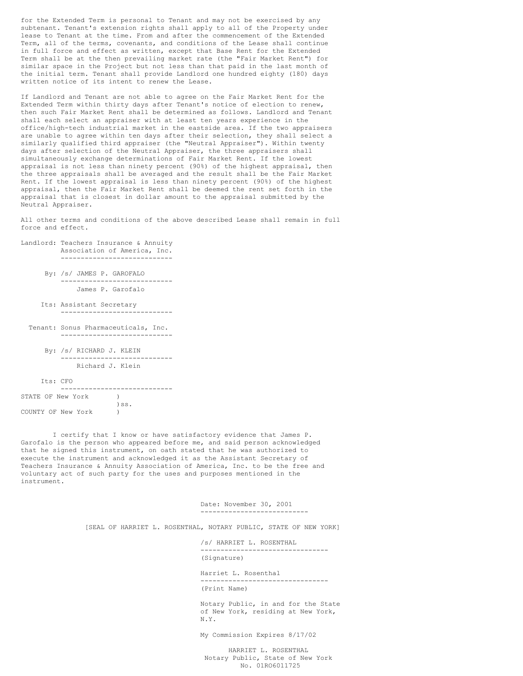for the Extended Term is personal to Tenant and may not be exercised by any subtenant. Tenant's extension rights shall apply to all of the Property under lease to Tenant at the time. From and after the commencement of the Extended Term, all of the terms, covenants, and conditions of the Lease shall continue in full force and effect as written, except that Base Rent for the Extended Term shall be at the then prevailing market rate (the "Fair Market Rent") for similar space in the Project but not less than that paid in the last month of the initial term. Tenant shall provide Landlord one hundred eighty (180) days written notice of its intent to renew the Lease.

If Landlord and Tenant are not able to agree on the Fair Market Rent for the Extended Term within thirty days after Tenant's notice of election to renew, then such Fair Market Rent shall be determined as follows. Landlord and Tenant shall each select an appraiser with at least ten years experience in the office/high-tech industrial market in the eastside area. If the two appraisers are unable to agree within ten days after their selection, they shall select a similarly qualified third appraiser (the "Neutral Appraiser"). Within twenty days after selection of the Neutral Appraiser, the three appraisers shall simultaneously exchange determinations of Fair Market Rent. If the lowest appraisal is not less than ninety percent (90%) of the highest appraisal, then the three appraisals shall be averaged and the result shall be the Fair Market Rent. If the lowest appraisal is less than ninety percent (90%) of the highest appraisal, then the Fair Market Rent shall be deemed the rent set forth in the appraisal that is closest in dollar amount to the appraisal submitted by the Neutral Appraiser.

All other terms and conditions of the above described Lease shall remain in full force and effect.

- Landlord: Teachers Insurance & Annuity Association of America, Inc. ----------------------------
	- By: /s/ JAMES P. GAROFALO ---------------------------- James P. Garofalo
	- Its: Assistant Secretary ----------------------------
	- Tenant: Sonus Pharmaceuticals, Inc. ----------------------------
		- By: /s/ RICHARD J. KLEIN ---------------------------- Richard J. Klein

Its: CFO ---------------------------- STATE OF New York ) )ss. COUNTY OF New York )

I certify that I know or have satisfactory evidence that James P. Garofalo is the person who appeared before me, and said person acknowledged that he signed this instrument, on oath stated that he was authorized to execute the instrument and acknowledged it as the Assistant Secretary of Teachers Insurance & Annuity Association of America, Inc. to be the free and voluntary act of such party for the uses and purposes mentioned in the instrument.

> Date: November 30, 2001 ---------------------------

[SEAL OF HARRIET L. ROSENTHAL, NOTARY PUBLIC, STATE OF NEW YORK]

/s/ HARRIET L. ROSENTHAL -------------------------------- (Signature)

Harriet L. Rosenthal -------------------------------- (Print Name)

Notary Public, in and for the State of New York, residing at New York, N.Y.

My Commission Expires 8/17/02

HARRIET L. ROSENTHAL Notary Public, State of New York No. 01RO6011725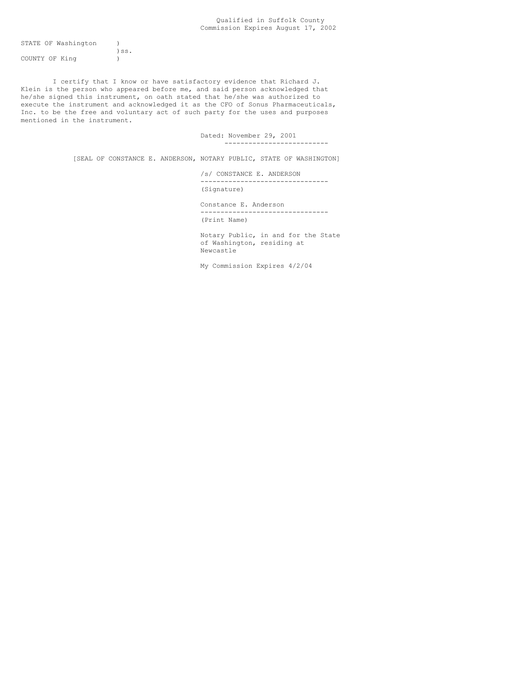### Qualified in Suffolk County Commission Expires August 17, 2002

STATE OF Washington ) )ss.

COUNTY OF King )

I certify that I know or have satisfactory evidence that Richard J. Klein is the person who appeared before me, and said person acknowledged that he/she signed this instrument, on oath stated that he/she was authorized to execute the instrument and acknowledged it as the CFO of Sonus Pharmaceuticals, Inc. to be the free and voluntary act of such party for the uses and purposes mentioned in the instrument.

> Dated: November 29, 2001 --------------------------

[SEAL OF CONSTANCE E. ANDERSON, NOTARY PUBLIC, STATE OF WASHINGTON]

/s/ CONSTANCE E. ANDERSON -------------------------------- (Signature)

Constance E. Anderson -------------------------------- (Print Name)

Notary Public, in and for the State of Washington, residing at Newcastle

My Commission Expires 4/2/04